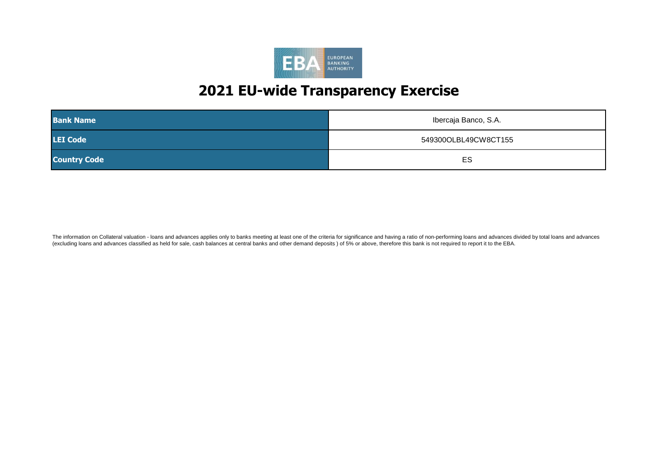

| <b>Bank Name</b>    | Ibercaja Banco, S.A. |
|---------------------|----------------------|
| <b>LEI Code</b>     | 549300OLBL49CW8CT155 |
| <b>Country Code</b> | ES                   |

The information on Collateral valuation - loans and advances applies only to banks meeting at least one of the criteria for significance and having a ratio of non-performing loans and advances divided by total loans and ad (excluding loans and advances classified as held for sale, cash balances at central banks and other demand deposits ) of 5% or above, therefore this bank is not required to report it to the EBA.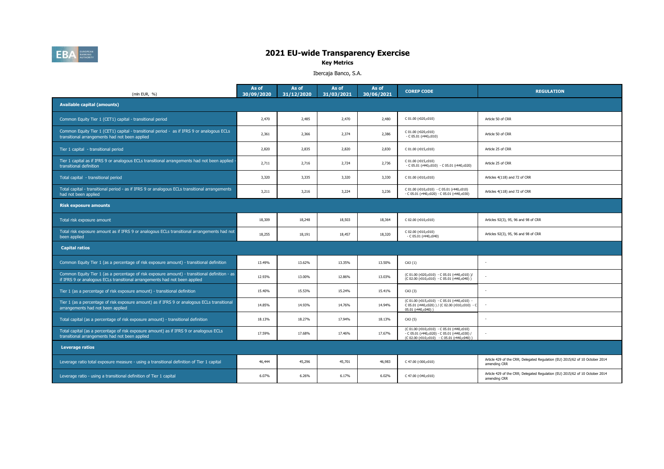

# 202009 202012 202103 202106 **2021 EU-wide Transparency Exercise**

**Key Metrics**

Ibercaja Banco, S.A.

| (mln EUR, %)                                                                                                                                                                | As of<br>30/09/2020 | As of<br>31/12/2020 | As of<br>31/03/2021 | As of<br>30/06/2021 | <b>COREP CODE</b>                                                                                                                          | <b>REGULATION</b>                                                                            |
|-----------------------------------------------------------------------------------------------------------------------------------------------------------------------------|---------------------|---------------------|---------------------|---------------------|--------------------------------------------------------------------------------------------------------------------------------------------|----------------------------------------------------------------------------------------------|
| <b>Available capital (amounts)</b>                                                                                                                                          |                     |                     |                     |                     |                                                                                                                                            |                                                                                              |
| Common Equity Tier 1 (CET1) capital - transitional period                                                                                                                   | 2,470               | 2,485               | 2,470               | 2,480               | C 01.00 (r020,c010)                                                                                                                        | Article 50 of CRR                                                                            |
| Common Equity Tier 1 (CET1) capital - transitional period - as if IFRS 9 or analogous ECLs<br>transitional arrangements had not been applied                                | 2,361               | 2,366               | 2,374               | 2,386               | C 01.00 (r020,c010)<br>$-C 05.01 (r440, c010)$                                                                                             | Article 50 of CRR                                                                            |
| Tier 1 capital - transitional period                                                                                                                                        | 2,820               | 2,835               | 2,820               | 2,830               | C 01.00 (r015,c010)                                                                                                                        | Article 25 of CRR                                                                            |
| Tier 1 capital as if IFRS 9 or analogous ECLs transitional arrangements had not been applied<br>transitional definition                                                     | 2,711               | 2,716               | 2,724               | 2,736               | C 01.00 (r015,c010)<br>$-C 05.01 (r440, c010) - C 05.01 (r440, c020)$                                                                      | Article 25 of CRR                                                                            |
| Total capital - transitional period                                                                                                                                         | 3,320               | 3,335               | 3,320               | 3,330               | C 01.00 (r010,c010)                                                                                                                        | Articles 4(118) and 72 of CRR                                                                |
| Total capital - transitional period - as if IFRS 9 or analogous ECLs transitional arrangements<br>had not been applied                                                      | 3,211               | 3,216               | 3,224               | 3,236               | C 01.00 (r010,c010) - C 05.01 (r440,c010)<br>- C 05.01 (r440,c020) - C 05.01 (r440,c030)                                                   | Articles 4(118) and 72 of CRR                                                                |
| <b>Risk exposure amounts</b>                                                                                                                                                |                     |                     |                     |                     |                                                                                                                                            |                                                                                              |
| Total risk exposure amount                                                                                                                                                  | 18,309              | 18,248              | 18,503              | 18,364              | C 02.00 (r010,c010)                                                                                                                        | Articles 92(3), 95, 96 and 98 of CRR                                                         |
| Total risk exposure amount as if IFRS 9 or analogous ECLs transitional arrangements had not<br>been applied                                                                 | 18,255              | 18,191              | 18,457              | 18,320              | C 02.00 (r010,c010)<br>$-$ C 05.01 (r440,c040)                                                                                             | Articles 92(3), 95, 96 and 98 of CRR                                                         |
| <b>Capital ratios</b>                                                                                                                                                       |                     |                     |                     |                     |                                                                                                                                            |                                                                                              |
| Common Equity Tier 1 (as a percentage of risk exposure amount) - transitional definition                                                                                    | 13.49%              | 13.62%              | 13.35%              | 13.50%              | $CA3$ $\{1\}$                                                                                                                              |                                                                                              |
| Common Equity Tier 1 (as a percentage of risk exposure amount) - transitional definition - as<br>if IFRS 9 or analogous ECLs transitional arrangements had not been applied | 12.93%              | 13.00%              | 12.86%              | 13.03%              | (C 01.00 (r020,c010) - C 05.01 (r440,c010) )/<br>(C 02.00 (r010,c010) - C 05.01 (r440,c040))                                               |                                                                                              |
| Tier 1 (as a percentage of risk exposure amount) - transitional definition                                                                                                  | 15.40%              | 15.53%              | 15.24%              | 15.41%              | $CA3 \{3\}$                                                                                                                                |                                                                                              |
| Tier 1 (as a percentage of risk exposure amount) as if IFRS 9 or analogous ECLs transitional<br>arrangements had not been applied                                           | 14.85%              | 14.93%              | 14.76%              | 14.94%              | (C 01.00 (r015,c010) - C 05.01 (r440,c010) -<br>C 05.01 (r440,c020) ) / (C 02.00 (r010,c010) - C<br>05.01 (r440.c040))                     |                                                                                              |
| Total capital (as a percentage of risk exposure amount) - transitional definition                                                                                           | 18.13%              | 18.27%              | 17.94%              | 18.13%              | $CA3 \{5\}$                                                                                                                                |                                                                                              |
| Total capital (as a percentage of risk exposure amount) as if IFRS 9 or analogous ECLs<br>transitional arrangements had not been applied                                    | 17.59%              | 17.68%              | 17.46%              | 17.67%              | (C 01.00 (r010,c010) - C 05.01 (r440,c010)<br>- C 05.01 (r440,c020) - C 05.01 (r440,c030) /<br>(C 02.00 (r010,c010) - C 05.01 (r440,c040)) |                                                                                              |
| <b>Leverage ratios</b>                                                                                                                                                      |                     |                     |                     |                     |                                                                                                                                            |                                                                                              |
| Leverage ratio total exposure measure - using a transitional definition of Tier 1 capital                                                                                   | 46,444              | 45,296              | 45,701              | 46,983              | C 47.00 (r300,c010)                                                                                                                        | Article 429 of the CRR; Delegated Regulation (EU) 2015/62 of 10 October 2014<br>amending CRR |
| Leverage ratio - using a transitional definition of Tier 1 capital                                                                                                          | 6.07%               | 6.26%               | 6.17%               | 6.02%               | C 47.00 (r340,c010)                                                                                                                        | Article 429 of the CRR; Delegated Regulation (EU) 2015/62 of 10 October 2014<br>amending CRR |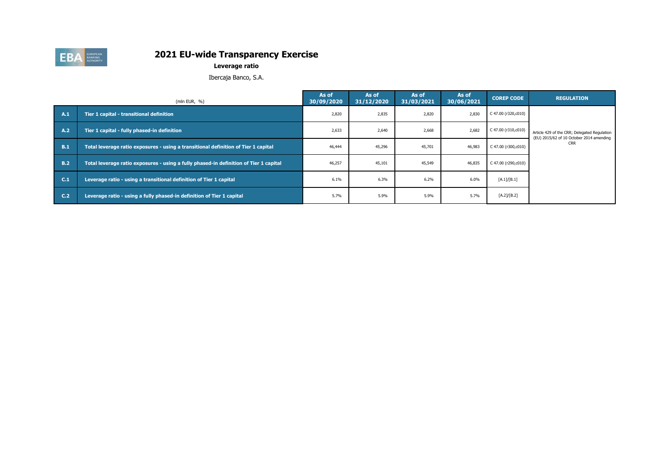

**Leverage ratio**

Ibercaja Banco, S.A.

|     | (mln EUR, $%$ )                                                                       | As of<br>30/09/2020 | As of<br>31/12/2020 | As of<br>31/03/2021 | As of<br>30/06/2021 | <b>COREP CODE</b>   | <b>REGULATION</b>                                                                        |
|-----|---------------------------------------------------------------------------------------|---------------------|---------------------|---------------------|---------------------|---------------------|------------------------------------------------------------------------------------------|
| A.1 | Tier 1 capital - transitional definition                                              | 2,820               | 2,835               | 2,820               | 2,830               | C 47.00 (r320,c010) |                                                                                          |
| A.2 | Tier 1 capital - fully phased-in definition                                           | 2,633               | 2,640               | 2,668               | 2,682               | C 47.00 (r310,c010) | Article 429 of the CRR; Delegated Regulation<br>(EU) 2015/62 of 10 October 2014 amending |
| B.1 | Total leverage ratio exposures - using a transitional definition of Tier 1 capital    | 46,444              | 45,296              | 45,701              | 46,983              | C 47.00 (r300,c010) | <b>CRR</b>                                                                               |
| B.2 | Total leverage ratio exposures - using a fully phased-in definition of Tier 1 capital | 46,257              | 45,101              | 45,549              | 46,835              | C 47.00 (r290,c010) |                                                                                          |
| C.1 | Leverage ratio - using a transitional definition of Tier 1 capital                    | 6.1%                | 6.3%                | 6.2%                | 6.0%                | [A.1]/[B.1]         |                                                                                          |
| C.2 | Leverage ratio - using a fully phased-in definition of Tier 1 capital                 | 5.7%                | 5.9%                | 5.9%                | 5.7%                | [A.2]/[B.2]         |                                                                                          |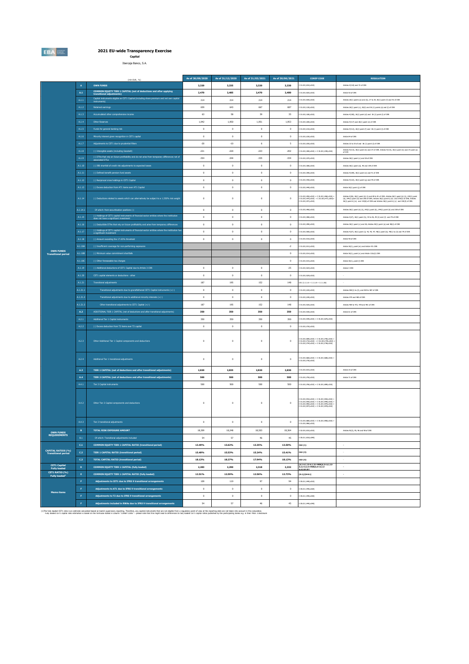**EBA** 

**2021 EU-wide Transparency Exercise Capital**

Ibercaja Banco, S.A.

|                                                         |                  | (mln EUR, %)                                                                                                                          | As of 30/09/2020 | As of 31/12/2020 | As of 31/03/2021 | As of 30/06/2021 | <b>COREP CODE</b>                                                                                                                                                        | <b>REGULATION</b>                                                                                                                                                                                                                    |
|---------------------------------------------------------|------------------|---------------------------------------------------------------------------------------------------------------------------------------|------------------|------------------|------------------|------------------|--------------------------------------------------------------------------------------------------------------------------------------------------------------------------|--------------------------------------------------------------------------------------------------------------------------------------------------------------------------------------------------------------------------------------|
|                                                         | $\mathbf{A}$     | <b>OWN FUNDS</b>                                                                                                                      | 3,320            | 3,335            | 3,320            | 3,330            | 01.00 (r010,c010)                                                                                                                                                        | Articles 4(118) and 72 of CRR                                                                                                                                                                                                        |
|                                                         | $\mathbf{A.1}$   | COMMON EQUITY TIER 1 CAPITAL (net of deductions and after applying<br>transitional adjustments)                                       | 2,470            | 2,485            | 2,470            | 2,480            | 01.00 (r020,c010)                                                                                                                                                        | Article 50 of CRR                                                                                                                                                                                                                    |
|                                                         | $\mathsf{A.1.1}$ | Capital instruments eligible as CET1 Capital (including share premium and net own capital                                             | 214              | 214              | 214              | 214              | C 01.00 (r030,c010)                                                                                                                                                      | Articles 26(1) points (a) and (b), 27 to 29, 36(1) point (f) and 42 of CRR                                                                                                                                                           |
|                                                         | A.1.2            | Retained earnings                                                                                                                     | 659              | 643              | 667              | 687              | 01.00 (r130.c010)                                                                                                                                                        | Articles 26(1) point (c), 26(2) and 36 (1) points (a) and (i) of CRR.                                                                                                                                                                |
|                                                         | A.1.3            | Accumulated other comprehensive income                                                                                                | 63               | 58               | 39               | 35               | C 01.00 (r180.c010)                                                                                                                                                      | Articles 4(100), 26(1) point (d) and 36 (1) point (f) of CRR                                                                                                                                                                         |
|                                                         | A.1.4            | Other Reserves                                                                                                                        | 1,942            | 1,950            | 1,951            | 1,953            | C 01.00 (r200,c010)                                                                                                                                                      | Articles 4(117) and 26(1) point (e) of CRR                                                                                                                                                                                           |
|                                                         | A.1.5            | Funds for general banking risk                                                                                                        | $\mathbf 0$      | $\circ$          | $\circ$          | $\circ$          | 01.00 (r210,c010)                                                                                                                                                        | Articles 4(112), 26(1) point (f) and 36 (1) point (l) of CRR                                                                                                                                                                         |
|                                                         | A.1.6            | Minority interest given recognition in CET1 capital                                                                                   | $\mathbf 0$      | $\mathbf 0$      | $\circ$          | $\mathbf 0$      | 01.00 (r230,c010)                                                                                                                                                        | Article 84 of CRR                                                                                                                                                                                                                    |
|                                                         | A.1.7            | Adjustments to CET1 due to prudential filters                                                                                         | $-20$            | $-10$            | 6                | $\sf S$          | 01.00 (r250,c010)                                                                                                                                                        | Articles 32 to 35 of and 36 (1) point (1) of CRR                                                                                                                                                                                     |
|                                                         | A.1.8            | (-) Intangible assets (including Goodwil)                                                                                             | $-221$           | $-220$           | $-223$           | $-202$           | C 01.00 (r300,c010) + C 01.00 (r340,c010)                                                                                                                                | Articles 4(113), 36(1) point (b) and 37 of CRR. Articles 4(115), 36(1) point (b) and 37 point (a)                                                                                                                                    |
|                                                         | A.1.9            | (-) DTAs that rely on future profitability and do not arise from temporary differences net of<br>associated DTLs                      | $-354$           | $-344$           | $-335$           | $-334$           | C.01.00 (x320 y010)                                                                                                                                                      | of COR<br>Articles 36(1) point (c) and 38 of ORR                                                                                                                                                                                     |
|                                                         |                  | (-) IRB shortfall of credit risk adjustments to expected losses                                                                       |                  |                  |                  |                  | C 01.00 (r380,c010)                                                                                                                                                      |                                                                                                                                                                                                                                      |
|                                                         | A.1.10           |                                                                                                                                       | $\mathbf 0$      | $\,$ 0           | $\,$ 0           | $\,$ 0 $\,$      |                                                                                                                                                                          | Articles 36(1) point (d), 40 and 159 of CRR                                                                                                                                                                                          |
|                                                         | A.1.11           | (-) Defined benefit pension fund assets                                                                                               | $\mathfrak o$    | $\mathbf 0$      | $\mathbf 0$      | $\mathfrak o$    | 01.00 (r390,c010)                                                                                                                                                        | Articles 4(109), 36(1) point (e) and 41 of CRR                                                                                                                                                                                       |
|                                                         | A.1.12           | (-) Reciprocal cross holdings in CET1 Capital                                                                                         | $\mathbf 0$      | $\mathbf 0$      | $\circ$          | $\,$ 0 $\,$      | 01.00 (r430,c010)                                                                                                                                                        | Articles 4(122), 36(1) point (g) and 44 of CRR                                                                                                                                                                                       |
|                                                         | A.1.13           | (-) Excess deduction from AT1 items over AT1 Capital                                                                                  | $\circ$          | $\circ$          | $\mathbf 0$      | $\mathbf 0$      | C 01.00 (r440,c010)                                                                                                                                                      | Article 36(1) point (j) of CRR                                                                                                                                                                                                       |
|                                                         | A.1.14           | (-) Deductions related to assets which can alternatively be subject to a 1.250% risk weight                                           | $\circ$          | $\circ$          | $\circ$          | $\mathbf 0$      | C 01.00 (+450,c010) + C 01.00 (+460,c010) +<br>C 01.00 (+470,c010) + C 01.00 (+471,c010)+<br>C 01.00 (+472,c010)                                                         | Articles 4(36), 36(1) point (k) (i) and 89 to 91 of CRR; Articles 36(1) point (k) (ii), 243(1) point<br>(b), 244(1) point (b) and 258 of CRR; Articles 36(1) point k) (iii) and 379(3) of CRR; Articles<br>36(1) point k) (k) and 15 |
|                                                         | A.1.14.1         | Of which: from securitisation positions (-)                                                                                           | $\,$ 0 $\,$      | $\circ$          | $\circ$          | $\circ$          | 01.00 (r460,c010)                                                                                                                                                        | Articles 36(1) point (k) (ii), 243(1) point (b), 244(1) point (b) and 258 of CRR                                                                                                                                                     |
|                                                         | A.1.15           | (-) Holdings of CET1 capital instruments of financial sector entities where the institution<br>does not have a significant investment | $\circ$          | $\circ$          | $\mathbf 0$      | $\mathbf 0$      | C 01.00 (r480,c010)                                                                                                                                                      | Articles 4(27), 36(1) point (h); 43 to 46, 49 (2) and (3) and 79 of ORR                                                                                                                                                              |
|                                                         | A.1.16           | (-) Deductible DTAs that rely on future profitability and arise from temporary differences                                            | $\circ$          | $\circ$          | $\circ$          | $^{\circ}$       | 01.00 (+490.c010)                                                                                                                                                        | Articles 36(1) point (c) and 38; Articles 48(1) point (a) and 48(2) of CRR                                                                                                                                                           |
|                                                         | $\text{A.1.17}$  | (-) Holdings of CET1 capital instruments of financial sector entities where the institution has<br>a significant investment           | $\circ$          | $\circ$          | $\circ$          | $\circ$          | 01.00 (rS00.c010)                                                                                                                                                        | Articles 4(27): 36(1) point (i): 43, 45: 47; 48(1) point (b): 49(1) to (3) and 79 of CRR                                                                                                                                             |
|                                                         | A.1.18           | (-) Amount exceding the 17.65% threshold                                                                                              | $\mathbf 0$      | $\circ$          | $\circ$          | $\,$ 0 $\,$      | 01.00 (r510,c010)                                                                                                                                                        | Article 48 of CRR                                                                                                                                                                                                                    |
|                                                         | A.1.18A          | (-) Insufficient coverage for non-performing exposures                                                                                |                  |                  |                  | $-2$             | 01.00 (r513,c010)                                                                                                                                                        | Article 36(1), point (m) and Article 47c CRR                                                                                                                                                                                         |
| <b>OWN FUNDS</b><br><b>Transitional period</b>          | A.1.18E          | (-) Minimum value commitment shortfalls                                                                                               |                  |                  |                  | $\mathbf 0$      | 01.00 (r514,c010)                                                                                                                                                        | Article 36(1), point (n) and Article 132c(2) CRR                                                                                                                                                                                     |
|                                                         | A.1.18C          | (-) Other foreseeable tax charges                                                                                                     |                  |                  |                  | $^{\circ}$       | C 01.00 (r515,c010)                                                                                                                                                      | Article 36(1), point (I) CRR                                                                                                                                                                                                         |
|                                                         | A.1.19           | (-) Additional deductions of CET1 Capital due to Article 3 CRR                                                                        | $\circ$          | $\circ$          | $\circ$          | $-25$            | C 01.00 (rS24,c010)                                                                                                                                                      | Article 3 CRR                                                                                                                                                                                                                        |
|                                                         | A.1.20           | CET1 capital elements or deductions - other                                                                                           | $\circ$          | $\circ$          | $\circ$          | $^{\circ}$       | C 01.00 (rS29.c010)                                                                                                                                                      |                                                                                                                                                                                                                                      |
|                                                         | A.1.21           | Transitional adjustments                                                                                                              | 187              | 195              | 152              | 148              | $CA1(1.1.1.6 + 1.1.1.8 + 1.1.1.26)$                                                                                                                                      |                                                                                                                                                                                                                                      |
|                                                         | A.1.21.1         | Transitional adjustments due to grandfathered CET1 Capital instruments (+/-)                                                          | $\mathfrak o$    | $\mathbf 0$      | $\circ$          | $\mathbf 0$      | C 01.00 (r220,c010)                                                                                                                                                      | Articles 483(1) to (3), and 484 to 487 of CRR                                                                                                                                                                                        |
|                                                         | A.1.21.          | Transitional adjustments due to additional minority interests $(+/-)$                                                                 | $\mathbf 0$      | $\circ$          | $\circ$          | $\,$ 0 $\,$      | 01.00 (r240,c010)                                                                                                                                                        | Articles 479 and 480 of CRR                                                                                                                                                                                                          |
|                                                         | A.1.21.          | Other transitional adjustments to CET1 Capital (+/-)                                                                                  | 187              | 195              | 152              | 148              | C 01.00 (rS20,c010)                                                                                                                                                      | Articles 469 to 472, 478 and 481 of CRR                                                                                                                                                                                              |
|                                                         | A.2              | ADDITIONAL TIER 1 CAPITAL (net of deductions and after transitional adjustments)                                                      | 350              | 350              | 350              | 350              | C 01.00 (r530,c010)                                                                                                                                                      | Article 61 of ORR                                                                                                                                                                                                                    |
|                                                         | A.2.1            | Additional Tier 1 Capital instruments                                                                                                 | 350              | 350              | 350              | 350              | 01.00 (r540.c010) + C 01.00 (r670.c010)                                                                                                                                  |                                                                                                                                                                                                                                      |
|                                                         | A.2.2            | (-) Excess deduction from T2 items over T2 capital                                                                                    | $\circ$          | $\circ$          | $\circ$          | $\circ$          | C 01.00 (r720,c010)                                                                                                                                                      |                                                                                                                                                                                                                                      |
|                                                         | A.2.3            | Other Additional Tier 1 Capital components and deductions                                                                             | $\mathbf 0$      | $\circ$          | $\circ$          | $\mathbf 0$      | : 01.00 (r690,c010) + C 01.00 (r700,c010)<br>: 01.00 (r710,c010) + C 01.00 (r740,c010)<br>: 01.00 (r744,c010) + C 01.00 (r748,c010)                                      |                                                                                                                                                                                                                                      |
|                                                         | A.2.4            | Additional Tier 1 transitional adjustments                                                                                            | $\circ$          | $\circ$          | $\circ$          | $^{\circ}$       | C 01.00 (r660,c010) + C 01.00 (r680,c010)<br>$01.00$ (r730.c010)                                                                                                         |                                                                                                                                                                                                                                      |
|                                                         | A.3              | TIER 1 CAPITAL (net of deductions and after transitional adjustments)                                                                 | 2,820            | 2.835            | 2,820            | 2,830            | 01.00 (r015.c010)                                                                                                                                                        | Article 25 of CRR                                                                                                                                                                                                                    |
|                                                         | A.4              | TIER 2 CAPITAL (net of deductions and after transitional adjustments)                                                                 | 500              | 500              | 500              | 500              | C 01.00 (r750,c010)                                                                                                                                                      | Article 71 of CRR                                                                                                                                                                                                                    |
|                                                         | A.4.1            | Tier 2 Capital instruments                                                                                                            | 500              | 500              | 500              | 500              | C 01.00 (r760,c010) + C 01.00 (r890,c010)                                                                                                                                |                                                                                                                                                                                                                                      |
|                                                         | A.4.2            | Other Tier 2 Capital components and deductions                                                                                        | $\mathbf 0$      | $\circ$          | $\circ$          | $\circ$          | 01.00 (r910.c010) + C 01.00 (r920.c010)<br>01.00 (r930,c010) + C 01.00 (r940,c010)<br>01.00 (r950.c010) + C 01.00 (r970.c010)<br>01.00 (r974,c010) + C 01.00 (r978,c010) |                                                                                                                                                                                                                                      |
|                                                         | A.4.3            | Tier 2 transitional adjustments                                                                                                       | $\circ$          | $\circ$          | $\circ$          | $\circ$          | C 01.00 (r880,c010) + C 01.00 (r900,c010)<br>01.00 (1960.c010)                                                                                                           |                                                                                                                                                                                                                                      |
| <b>OWN FUNDS</b>                                        | $\, {\bf B}$     | <b>TOTAL RISK EXPOSURE AMOUNT</b>                                                                                                     | 18,309           | 18,248           | 18,503           | 18,364           | C 02.00 (r010,c010)                                                                                                                                                      | Articles 92(3), 95, 96 and 98 of CRR                                                                                                                                                                                                 |
| <b>REQUIREMENTS</b>                                     | B.1              | Of which: Transitional adjustments included                                                                                           | 54               | 57               | 46               | $45\,$           | C 05.01 (r010;c040)                                                                                                                                                      |                                                                                                                                                                                                                                      |
|                                                         | C.1              | COMMON EQUITY TIER 1 CAPITAL RATIO (transitional period)                                                                              | 13.49%           | 13.62%           | 13.35%           | 13.50%           | CA3 {1}                                                                                                                                                                  | ×,                                                                                                                                                                                                                                   |
| <b>CAPITAL RATIOS (%)</b><br><b>Transitional period</b> | $\mathsf{C.2}$   | <b>TIER 1 CAPITAL RATIO (transitional period)</b>                                                                                     | 15.40%           | 15.53%           | 15.24%           | 15.41%           | CA3 {3}                                                                                                                                                                  | $\cdot$                                                                                                                                                                                                                              |
|                                                         | C.3              | <b>TOTAL CAPITAL RATIO (transitional period)</b>                                                                                      | 18.13%           | 18.27%           | 17.94%           | 18.13%           | CA3 (5)                                                                                                                                                                  |                                                                                                                                                                                                                                      |
| <b>CET1 Capital</b><br><b>Fully loaded</b>              | D                | COMMON EQUITY TIER 1 CAPITAL (fully loaded)                                                                                           | 2,283            | 2,290            | 2,318            | 2,332            | [A.1-A.1.13-A.1.21+MIN(A.2+A.1.13-<br>A.2.2-A.2.4+MIN(A.4+A.2.2-<br>A.4.3.0).0)1                                                                                         | $\sim$                                                                                                                                                                                                                               |
| CET1 RATIO (%)<br><b>Fully loaded</b>                   | $\mathbf{E}$     | COMMON EQUITY TIER 1 CAPITAL RATIO (fully loaded)                                                                                     | 12.51%           | 12.59%           | 12.56%           | 12.73%           | $[D.1]/[B-B.1]$                                                                                                                                                          | $\sim$                                                                                                                                                                                                                               |
|                                                         | F                | Adjustments to CET1 due to IFRS 9 transitional arrangements                                                                           | 109              | 119              | 97               | 94               | C 05.01 (r440,c010)                                                                                                                                                      |                                                                                                                                                                                                                                      |
|                                                         | F                | Adjustments to AT1 due to IFRS 9 transitional arrangements                                                                            | $\circ$          | $\circ$          | $\circ$          | $\,$ 0 $\,$      | 05.01 (r440,c020)                                                                                                                                                        |                                                                                                                                                                                                                                      |
| Memo items                                              | $\mathbf{F}$     | Adjustments to T2 due to IFRS 9 transitional arrangements                                                                             | $\,$ 0           | $\circ$          | $\circ$          | $\circ$          | 05.01 (r440,c030)                                                                                                                                                        |                                                                                                                                                                                                                                      |
|                                                         | ×                | Adjustments included in RWAs due to IFRS 9 transitional arrangements                                                                  | 54               | 57               | 46               | 45               | C 05.01 (r440,c040)                                                                                                                                                      |                                                                                                                                                                                                                                      |
|                                                         |                  |                                                                                                                                       |                  |                  |                  |                  |                                                                                                                                                                          |                                                                                                                                                                                                                                      |

(The fully badd CETI ration and the about state band on bank superior members in the mail instruments that we not eightle from a republish particle in the report of view at the report of supering discount in the color of t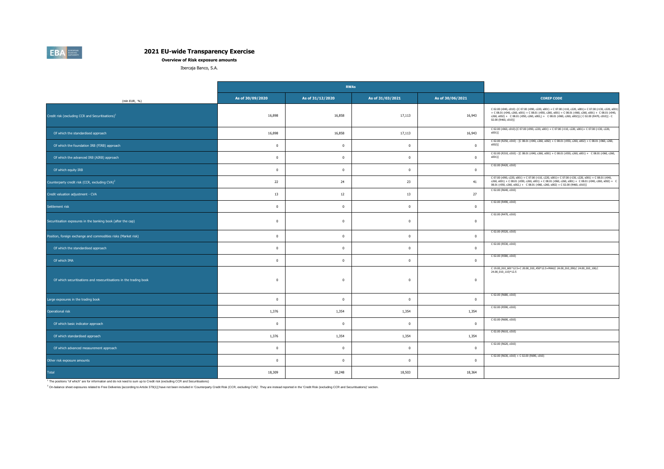**Overview of Risk exposure amounts**

Ibercaja Banco, S.A.

|                                                                    |                  | <b>RWAs</b>      |                  |                  |                                                                                                                                                                                                                                                                                                                                                              |
|--------------------------------------------------------------------|------------------|------------------|------------------|------------------|--------------------------------------------------------------------------------------------------------------------------------------------------------------------------------------------------------------------------------------------------------------------------------------------------------------------------------------------------------------|
| (mln EUR, %)                                                       | As of 30/09/2020 | As of 31/12/2020 | As of 31/03/2021 | As of 30/06/2021 | <b>COREP CODE</b>                                                                                                                                                                                                                                                                                                                                            |
| Credit risk (excluding CCR and Securitisations) <sup>1</sup>       | 16,898           | 16,858           | 17,113           | 16,943           | C 02.00 (r040, c010) -[C 07.00 (r090, c220, s001) + C 07.00 (r110, c220, s001)+ C 07.00 (r130, c220, s001)<br>+ C 08.01 (r040, c260, s001) + C 08.01 (r050, c260, s001) + C 08.01 (r060, c260, s001) + C 08.01 (r040,<br>c260, s002) + C 08.01 (r050, c260, s002,) + C 08.01 (r060, c260, s002)]-[C 02.00 (R470, c010)] - C<br>02.00 (R460, c010)]           |
| Of which the standardised approach                                 | 16,898           | 16,858           | 17,113           | 16,943           | C 02.00 (r060, c010)-[C 07.00 (r090, c220, s001) + C 07.00 (r110, c220, s001)+ C 07.00 (r130, c220,<br>$s001$ ]                                                                                                                                                                                                                                              |
| Of which the foundation IRB (FIRB) approach                        | $\mathbf 0$      | $\mathbf{0}$     | $\mathbf{0}$     | $\mathbf 0$      | C 02.00 (R250, c010) - [C 08.01 (r040, c260, s002) + C 08.01 (r050, c260, s002) + C 08.01 (r060, c260,<br>$s002$ ]                                                                                                                                                                                                                                           |
| Of which the advanced IRB (AIRB) approach                          | $\mathbf{0}$     | $\mathbf 0$      | $\overline{0}$   | $\mathbf 0$      | C 02.00 (R310, c010) - [C 08.01 (r040, c260, s001) + C 08.01 (r050, c260, s001) + C 08.01 (r060, c260,<br>s001)]                                                                                                                                                                                                                                             |
| Of which equity IRB                                                | $\mathbf{0}$     | $\Omega$         | $\overline{0}$   | $\Omega$         | C 02.00 (R420, c010)                                                                                                                                                                                                                                                                                                                                         |
| Counterparty credit risk (CCR, excluding CVA) <sup>2</sup>         | 22               | 24               | 23               | 41               | $\begin{array}{l} \text{C 07.00 (r090, c220, s001) + C 07.00 (r110, c220, s001) + C 07.00 (r130, c220, s001) + C 08.01 (r040, c260, s001) + C 08.01 (r050, c260, s001) + C 08.01 (r060, c260, s001) + C 08.01 (r040, c260, s002) + C 08.01 (r040, c260, s002) \end{array}$<br>08.01 (r050, c260, s002,) + C 08.01 (r060, c260, s002) + C 02.00 (R460, c010)] |
| Credit valuation adjustment - CVA                                  | 13               | 12               | 13               | 27               | C 02.00 (R640, c010)                                                                                                                                                                                                                                                                                                                                         |
| Settlement risk                                                    | $\mathbf{0}$     | $\mathbf{0}$     | $\overline{0}$   | $\mathbf{0}$     | C 02.00 (R490, c010)                                                                                                                                                                                                                                                                                                                                         |
| Securitisation exposures in the banking book (after the cap)       | $\mathbf{0}$     | $\mathbf 0$      | $\overline{0}$   | $\Omega$         | C 02.00 (R470, c010)                                                                                                                                                                                                                                                                                                                                         |
| Position, foreign exchange and commodities risks (Market risk)     | $\mathbf{0}$     | $\mathbf 0$      | $\mathbf{0}$     | $\Omega$         | C 02.00 (R520, c010)                                                                                                                                                                                                                                                                                                                                         |
| Of which the standardised approach                                 | $\mathbf{0}$     | $\overline{0}$   | $\bf{0}$         | $\mathbf 0$      | C 02.00 (R530, c010)                                                                                                                                                                                                                                                                                                                                         |
| Of which IMA                                                       | $\mathbf{0}$     | $\mathbf 0$      | $\mathbf{0}$     | $\mathbf 0$      | C 02.00 (R580, c010)                                                                                                                                                                                                                                                                                                                                         |
| Of which securitisations and resecuritisations in the trading book | $\overline{0}$   | $\overline{0}$   | $\mathbf 0$      | $\mathbf 0$      | C 19.00_010_601*12.5+C 20.00_010_450*12.5+MAX(C 24.00_010_090,C 24.00_010_100,C<br>24.00_010_110)*12.5                                                                                                                                                                                                                                                       |
| Large exposures in the trading book                                | $\overline{0}$   | $\mathbf{0}$     | $\overline{0}$   | $\mathbf{0}$     | C 02.00 (R680, c010)                                                                                                                                                                                                                                                                                                                                         |
| Operational risk                                                   | 1,376            | 1,354            | 1,354            | 1,354            | C 02.00 (R590, c010)                                                                                                                                                                                                                                                                                                                                         |
| Of which basic indicator approach                                  | $\overline{0}$   | $\Omega$         | $\overline{0}$   | $\Omega$         | C 02.00 (R600, c010)                                                                                                                                                                                                                                                                                                                                         |
| Of which standardised approach                                     | 1,376            | 1,354            | 1,354            | 1,354            | C 02.00 (R610, c010)                                                                                                                                                                                                                                                                                                                                         |
| Of which advanced measurement approach                             | $\mathbf{0}$     | $\Omega$         | $\overline{0}$   | $\Omega$         | C 02.00 (R620, c010)                                                                                                                                                                                                                                                                                                                                         |
| Other risk exposure amounts                                        | $\overline{0}$   | $\mathbf 0$      | $\overline{0}$   | $\Omega$         | C 02.00 (R630, c010) + C 02.00 (R690, c010)                                                                                                                                                                                                                                                                                                                  |
| Total                                                              | 18,309           | 18,248           | 18,503           | 18,364           |                                                                                                                                                                                                                                                                                                                                                              |

1 The positions "of which" are for information and do not need to sum up to Credit risk (excluding CCR and Securitisations)

2 On-balance sheet exposures related to Free Deliveries [according to Article 379(1)] have not been included in 'Counterparty Credit Risk (CCR, excluding CVA)'. They are instead reported in the 'Credit Risk (excluding CCR

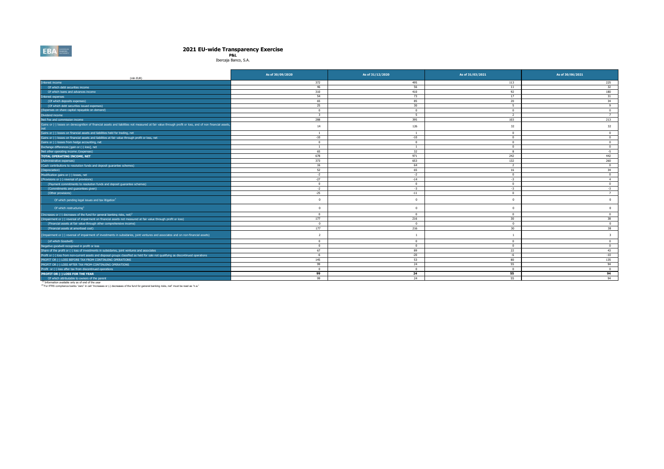# **2021 EU-wide Transparency Exercise P&L** Ibercaja Banco, S.A.

| (mln EUR)                                                                                                                                                                                                      | As of 30/09/2020        | As of 31/12/2020 | As of 31/03/2021 | As of 30/06/2021        |
|----------------------------------------------------------------------------------------------------------------------------------------------------------------------------------------------------------------|-------------------------|------------------|------------------|-------------------------|
| Interest income                                                                                                                                                                                                | 372                     | 495              | 113              | 225                     |
| Of which debt securities income                                                                                                                                                                                | 46                      | 56               | 11               | 32                      |
| Of which loans and advances income                                                                                                                                                                             | 310                     | 410              | 92               | 180                     |
| Interest expenses                                                                                                                                                                                              | 54                      | 73               | 17               | 31                      |
| (Of which deposits expenses)                                                                                                                                                                                   | 65                      | 85               | 20               | 34                      |
| (Of which debt securities issued expenses)                                                                                                                                                                     | 25                      | 30               | 5                | Q                       |
| (Expenses on share capital repayable on demand)                                                                                                                                                                | $^{\circ}$              | $\mathbf{0}$     | $\overline{0}$   | $^{\circ}$              |
| Dividend income                                                                                                                                                                                                | $\overline{\mathbf{3}}$ | 5                | 2                | $\overline{7}$          |
| Net Fee and commission income                                                                                                                                                                                  | 288                     | 395              | 103              | 213                     |
| Gains or (-) losses on derecognition of financial assets and liabilities not measured at fair value through profit or loss, and of non financial assets                                                        | 14                      | 126              | 32               | 32                      |
| Gains or (-) losses on financial assets and liabilities held for trading, net                                                                                                                                  | <sup>1</sup>            | <sup>1</sup>     | $\overline{0}$   | $^{\circ}$              |
| Gains or (-) losses on financial assets and liabilities at fair value through profit or loss, net                                                                                                              | $-10$                   | $-10$            | $\mathbf{0}$     | $\overline{0}$          |
| Gains or (-) losses from hedge accounting, net                                                                                                                                                                 | $\mathbf{0}$            | $\mathbf{0}$     | $\mathbf{0}$     | $\mathbf{0}$            |
| Exchange differences [gain or (-) loss], net                                                                                                                                                                   | <sup>1</sup>            | -1               | $\overline{0}$   | $\overline{0}$          |
| Net other operating income /(expenses)                                                                                                                                                                         | 65                      | 32               | $\mathbf{R}$     | $-5$                    |
| <b>TOTAL OPERATING INCOME, NET</b>                                                                                                                                                                             | 678                     | 971              | 242              | 442                     |
| (Administrative expenses)                                                                                                                                                                                      | 373                     | 653              | 132              | 260                     |
| (Cash contributions to resolution funds and deposit guarantee schemes)                                                                                                                                         | 16                      | 64               | $\overline{2}$   | $\Omega$                |
| (Depreciation)                                                                                                                                                                                                 | 52                      | 65               | 16               | 34                      |
| Modification gains or (-) losses, net                                                                                                                                                                          | $-2$                    | $-2$             | $\overline{0}$   | $\overline{0}$          |
| (Provisions or (-) reversal of provisions)                                                                                                                                                                     | $-27$                   | $-14$            | $-3$             | $\overline{4}$          |
| (Payment commitments to resolution funds and deposit guarantee schemes)                                                                                                                                        | $\mathbf{0}$            | $\overline{0}$   | $\overline{0}$   | $\overline{0}$          |
| (Commitments and quarantees given)                                                                                                                                                                             | $-2$                    | $-3$             | $-3$             | $-3$                    |
| (Other provisions)                                                                                                                                                                                             | $-25$                   | $-11$            | $\overline{0}$   | $\overline{7}$          |
| Of which pending legal issues and tax litigation <sup>1</sup>                                                                                                                                                  | $\Omega$                | $\Omega$         | $\Omega$         | $\overline{0}$          |
| Of which restructuring <sup>1</sup>                                                                                                                                                                            | $\Omega$                | $\Omega$         | $\Omega$         | $\overline{0}$          |
| (Increases or (-) decreases of the fund for general banking risks, net) <sup>2</sup>                                                                                                                           | $^{\circ}$              | $\overline{0}$   | $\overline{0}$   | $\overline{0}$          |
| (Impairment or (-) reversal of impairment on financial assets not measured at fair value through profit or loss)                                                                                               | 177                     | 216              | 30 <sup>°</sup>  | 38                      |
| (Financial assets at fair value through other comprehensive income)                                                                                                                                            | $^{\circ}$              | $\overline{0}$   | $\overline{0}$   | $\overline{0}$          |
| (Financial assets at amortised cost)                                                                                                                                                                           | 177                     | 216              | 30 <sup>°</sup>  | 38                      |
| [Impairment or (-) reversal of impairment of investments in subsidaries, joint ventures and associates and on non-financial assets)                                                                            | $\overline{2}$          | $\overline{1}$   |                  | $\overline{\mathbf{3}}$ |
| (of which Goodwill)                                                                                                                                                                                            | $^{\circ}$              | $\mathbf{0}$     | $^{\circ}$       | $^{\circ}$              |
| Negative goodwill recognised in profit or loss                                                                                                                                                                 | $^{\circ}$              | $\overline{0}$   | $\overline{0}$   | $\mathbf{0}$            |
| Share of the profit or (-) loss of investments in subsidaries, joint ventures and associates                                                                                                                   | 67                      | 89               | 22               | 43                      |
| Profit or (-) loss from non-current assets and disposal groups classified as held for sale not qualifying as discontinued operations                                                                           | $-6$                    | $-20$            | $-6$             | $-10$                   |
| PROFIT OR (-) LOSS BEFORE TAX FROM CONTINUING OPERATIONS                                                                                                                                                       | 145                     | 53               | 80               | 135                     |
| PROFIT OR (-) LOSS AFTER TAX FROM CONTINUING OPERATIONS                                                                                                                                                        | 99                      | 24               | 55               | 94                      |
| Profit or (-) loss after tax from discontinued operations                                                                                                                                                      | $^{\circ}$              | $\overline{0}$   | $\sqrt{2}$       | $\overline{0}$          |
| PROFIT OR (-) LOSS FOR THE YEAR                                                                                                                                                                                | 99                      | 24               | 55               | 94                      |
| Of which attributable to owners of the parent                                                                                                                                                                  | 99                      | 24               | 55               | 94                      |
| (1) Information available only as of end of the year<br><sup>(2)</sup> For IFRS compliance banks "zero" in cell "Increases or (-) decreases of the fund for general banking risks, net" must be read as "n.a." |                         |                  |                  |                         |

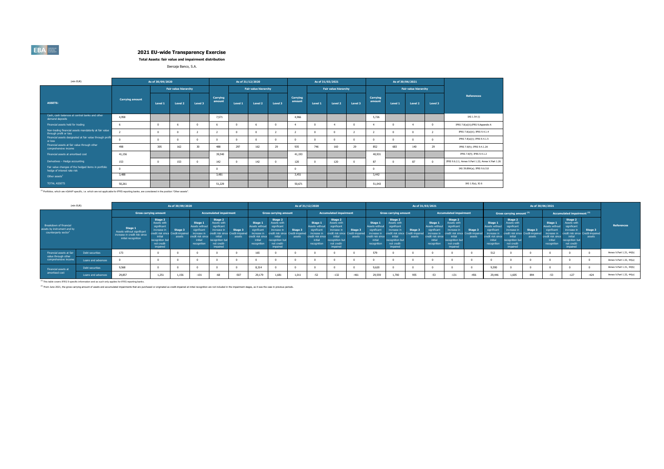**Total Assets: fair value and impairment distribution**

Ibercaja Banco, S.A.

| (mln EUR)                                                                          |                        | As of 30/09/2020 |                      |         |                    |          | As of 31/12/2020            |         |                    | As of 31/03/2021 |                      |         |                    |          | As of 30/06/2021            |          |                                                    |
|------------------------------------------------------------------------------------|------------------------|------------------|----------------------|---------|--------------------|----------|-----------------------------|---------|--------------------|------------------|----------------------|---------|--------------------|----------|-----------------------------|----------|----------------------------------------------------|
|                                                                                    |                        |                  | Fair value hierarchy |         |                    |          | <b>Fair value hierarchy</b> |         |                    |                  | Fair value hierarchy |         |                    |          | <b>Fair value hierarchy</b> |          |                                                    |
| <b>ASSETS:</b>                                                                     | <b>Carrying amount</b> | Level 1          | Level 2              | Level 3 | Carrying<br>amount | Level 1  | Level 2                     | Level 3 | Carrying<br>amount | Level 1          | Level 2              | Level 3 | Carrying<br>amount | Level 1  | Level 2                     | Level 3  | <b>References</b>                                  |
| Cash, cash balances at central banks and other<br>demand deposits                  | 4.958                  |                  |                      |         | 7.571              |          |                             |         | 4.966              |                  |                      |         | 5.726              |          |                             |          | IAS 1.54 (i)                                       |
| Financial assets held for trading                                                  | -6                     |                  | 6                    |         |                    | $\Omega$ |                             |         |                    | $\Omega$         |                      |         |                    | $\Omega$ |                             | $\Omega$ | IFRS 7.8(a)(ii); IFRS 9.Appendix A                 |
| Non-trading financial assets mandatorily at fair value<br>through profit or loss   |                        |                  | $\Omega$             |         |                    | $\Omega$ |                             |         |                    | $\Omega$         |                      |         |                    | $\Omega$ |                             |          | IFRS 7.8(a)(ii); IFRS 9.4.1.4                      |
| Financial assets designated at fair value through profit<br>or loss                | $\sim$                 |                  | $\Omega$             |         |                    | $\Omega$ |                             |         |                    | $\Omega$         |                      |         |                    | $\Omega$ |                             | $\Omega$ | IFRS 7.8(a)(i); IFRS 9.4.1.5                       |
| Financial assets at fair value through other<br>comprehensive income               | 498                    | 305              | 162                  | 30      | 488                | 297      | 162                         | 29      | 935                | 746              | 160                  | 29      | 852                | 683      | 140                         | 29       | IFRS 7.8(h); IFRS 9.4.1.2A                         |
| Financial assets at amortised cost                                                 | 41.156                 |                  |                      |         | 39,540             |          |                             |         | 41,193             |                  |                      |         | 40,931             |          |                             |          | IFRS 7.8(f); IFRS 9.4.1.2                          |
| Derivatives - Hedge accounting                                                     | 153                    |                  | 153                  |         | 142                | $\Omega$ | 142                         |         | 120                | $\Omega$         | 120                  |         | 87                 |          | 87                          | $\Omega$ | IFRS 9.6.2.1; Annex V.Part 1.22; Annex V.Part 1.26 |
| Fair value changes of the hedged items in portfolio<br>hedge of interest rate risk | $\Omega$               |                  |                      |         |                    |          |                             |         |                    |                  |                      |         | $\Omega$           |          |                             |          | IAS 39.89A(a); IFRS 9.6.5.8                        |
| Other assets <sup>1</sup>                                                          | 3,488                  |                  |                      |         | 3,481              |          |                             |         | 3,451              |                  |                      |         | 3,442              |          |                             |          |                                                    |
| <b>TOTAL ASSETS</b>                                                                | 50.261                 |                  |                      |         | 51,229             |          |                             |         | 50.671             |                  |                      |         | 51.043             |          |                             |          | IAS 1.9(a), IG 6                                   |

(1) Portfolios, which are nGAAP specific, i.e. which are not applicable for IFRS reporting banks, are considered in the position "Other assets".

| (mln EUR)                                                                                 |                    |                                                                                               |                                                                                                                                    | As of 30/09/2020                     |                                                                                                        |                                                                                                              |                                                      |                                                                                                             | As of 31/12/2020                                                                                             |                                                     |                                                                                                        |                                                                                                               |                                                       | As of 31/03/2021                                                                                      |                                                                                                                     |                                                          |                                                                                                             |                                                                                                                                                   |                   |                                                                                                               |                                                                                                              |                                                       |                                                                                                                     |                                                                                                                     |                                                      |                          |
|-------------------------------------------------------------------------------------------|--------------------|-----------------------------------------------------------------------------------------------|------------------------------------------------------------------------------------------------------------------------------------|--------------------------------------|--------------------------------------------------------------------------------------------------------|--------------------------------------------------------------------------------------------------------------|------------------------------------------------------|-------------------------------------------------------------------------------------------------------------|--------------------------------------------------------------------------------------------------------------|-----------------------------------------------------|--------------------------------------------------------------------------------------------------------|---------------------------------------------------------------------------------------------------------------|-------------------------------------------------------|-------------------------------------------------------------------------------------------------------|---------------------------------------------------------------------------------------------------------------------|----------------------------------------------------------|-------------------------------------------------------------------------------------------------------------|---------------------------------------------------------------------------------------------------------------------------------------------------|-------------------|---------------------------------------------------------------------------------------------------------------|--------------------------------------------------------------------------------------------------------------|-------------------------------------------------------|---------------------------------------------------------------------------------------------------------------------|---------------------------------------------------------------------------------------------------------------------|------------------------------------------------------|--------------------------|
|                                                                                           |                    |                                                                                               | <b>Gross carrying amount</b>                                                                                                       |                                      |                                                                                                        | <b>Accumulated impairment</b>                                                                                |                                                      |                                                                                                             | <b>Gross carrying amount</b>                                                                                 |                                                     |                                                                                                        | <b>Accumulated impairment</b>                                                                                 |                                                       |                                                                                                       | <b>Gross carrying amount</b>                                                                                        |                                                          |                                                                                                             | <b>Accumulated impairment</b>                                                                                                                     |                   |                                                                                                               | Gross carrying amount (2)                                                                                    |                                                       |                                                                                                                     | Accumulated impairment <sup>(2)</sup>                                                                               |                                                      |                          |
| Breakdown of financial<br>assets by instrument and by<br>counterparty sector <sup>1</sup> |                    | Stage 1<br>Assets without significant<br>increase in credit risk since<br>initial recognition | Stage 2<br>Assets with<br>significant<br>increase in<br>credit risk since<br>initial<br>recognition but<br>not credit-<br>impaired | Stage 3<br>Credit-impaired<br>assets | Stage 1<br>Assets without<br>significant<br>increase in<br>credit risk since<br>initial<br>recognition | Stage 2<br>Assets with<br>significant<br>increase in<br>initial<br>ecognition but<br>not credit-<br>impaired | Stage 3<br>edit risk since Credit-impaired<br>assets | Stage 1<br><b>Assets without</b><br>significant<br>increase in<br>edit risk since<br>initial<br>recognition | Stage 2<br>Assets with<br>significant<br>increase in<br>initial<br>ecognition but<br>not credit-<br>impaired | Stage 3<br>edit risk since Credit-impaire<br>assets | Stage 1<br>Assets without<br>significant<br>increase in<br>credit risk since<br>initial<br>recognition | Stage 2<br>Assets with<br>significant<br>increase in<br>initial<br>recognition but<br>not credit-<br>impaired | Stage 3<br>redit risk since Credit-impaired<br>assets | Stage 1<br>Assets without<br>significant<br>increase i<br>credit risk since<br>initial<br>recognition | Stage 2<br><b>Assets with</b><br>significant<br>increase in<br>initial<br>ecognition but<br>not credit-<br>impaired | Stage 3<br>edit risk since   Credit-impaired  <br>assets | Stage 1<br>ssets without<br>significant<br>ıcrease in<br><b>aredit risk since</b><br>initial<br>recognition | Stage 2<br>Assets with<br>significant<br>increase in<br>credit risk since Credit-imnaire<br>initial<br>recognition but<br>not credit-<br>impaired | Stage 3<br>assets | Stage 1<br><b>Assets without</b><br>significant<br>increase in<br>tredit risk since<br>initial<br>recognition | Stage 2<br>ssets with<br>significant<br>increase in<br>initial<br>recognition but<br>not credit-<br>impaired | Stage 3<br>redit risk since Credit-imnaired<br>assets | <b>Stage</b><br><b>Assets without</b><br>significant<br>increase in<br>tredit risk since:<br>initial<br>recognition | Stage 2<br><b>Assets with</b><br>significant<br>increase in<br>initial<br>ecognition but<br>not credit-<br>impaired | Stage 3<br>edit risk since Credit-impaired<br>assets | References               |
| Financial assets at fair<br>value through other                                           | Debt securities    | 173                                                                                           |                                                                                                                                    |                                      |                                                                                                        |                                                                                                              |                                                      | 165                                                                                                         |                                                                                                              |                                                     |                                                                                                        |                                                                                                               |                                                       |                                                                                                       |                                                                                                                     |                                                          |                                                                                                             |                                                                                                                                                   |                   | 512                                                                                                           |                                                                                                              |                                                       |                                                                                                                     |                                                                                                                     |                                                      | Annex V.Part 1.31, 44(b) |
| comprehensive income                                                                      | Loans and advances |                                                                                               |                                                                                                                                    |                                      |                                                                                                        |                                                                                                              |                                                      |                                                                                                             |                                                                                                              |                                                     |                                                                                                        |                                                                                                               |                                                       |                                                                                                       |                                                                                                                     |                                                          |                                                                                                             |                                                                                                                                                   |                   |                                                                                                               |                                                                                                              |                                                       |                                                                                                                     |                                                                                                                     |                                                      | Annex V.Part 1.32, 44(a) |
| Financial assets at                                                                       | Debt securities    | 9,568                                                                                         |                                                                                                                                    |                                      |                                                                                                        |                                                                                                              |                                                      | 8.314                                                                                                       |                                                                                                              |                                                     |                                                                                                        |                                                                                                               |                                                       | 9.620                                                                                                 |                                                                                                                     |                                                          |                                                                                                             |                                                                                                                                                   |                   | 9,590                                                                                                         |                                                                                                              |                                                       |                                                                                                                     |                                                                                                                     |                                                      | Annex V.Part 1.31, 44(b) |
| amortised cost                                                                            | Loans and advances | 29,857                                                                                        | 1,251                                                                                                                              | 1,156                                | $-101$                                                                                                 |                                                                                                              | $-507$                                               | 29,179                                                                                                      | 1.681                                                                                                        | 1,011                                               | $-52$                                                                                                  | $-132$                                                                                                        | $-461$                                                | 29,559                                                                                                | 1,700                                                                                                               | 955                                                      | $-53$                                                                                                       | $-131$                                                                                                                                            | $-456$            | 29,446                                                                                                        | 1.605                                                                                                        | 894                                                   | $-53$                                                                                                               | $-127$                                                                                                              | $-424$                                               | Annex V.Part 1.32, 44(a) |

(1) This table covers IFRS 9 specific information and as such only applies for IFRS reporting banks.

<sup>(2)</sup> From June 2021, the gross carrying amount of assets and accumulated impairments that are purchased or originated as credit-impaired at initial recognition are not included in the impairment stages, as it was the case

**EBA**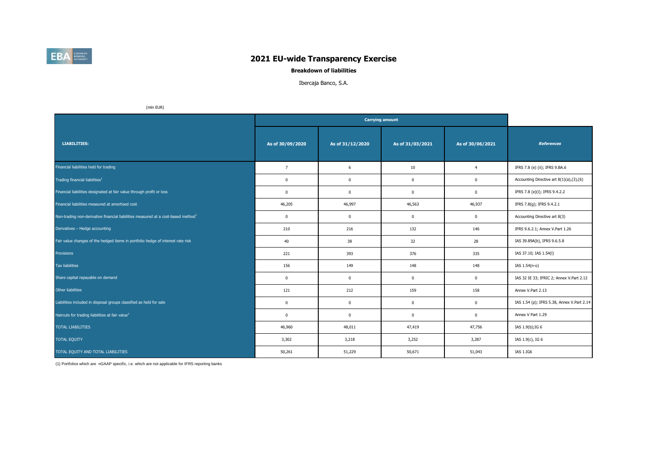

### **Breakdown of liabilities**

### Ibercaja Banco, S.A.

(mln EUR)

| <b>LIABILITIES:</b>                                                                           | As of 30/09/2020 | As of 31/12/2020 | As of 31/03/2021 | As of 30/06/2021 | <b>References</b>                          |
|-----------------------------------------------------------------------------------------------|------------------|------------------|------------------|------------------|--------------------------------------------|
| Financial liabilities held for trading                                                        | $\overline{7}$   | 6                | 10               | $\overline{4}$   | IFRS 7.8 (e) (ii); IFRS 9.BA.6             |
| Trading financial liabilities <sup>1</sup>                                                    | $\mathbf 0$      | $\mathbf 0$      | 0                | $\mathbf 0$      | Accounting Directive art 8(1)(a),(3),(6)   |
| Financial liabilities designated at fair value through profit or loss                         | $\mathbf 0$      | $\mathbf 0$      | $\mathbf 0$      | $\mathbf 0$      | IFRS 7.8 (e)(i); IFRS 9.4.2.2              |
| Financial liabilities measured at amortised cost                                              | 46,205           | 46,997           | 46,563           | 46,937           | IFRS 7.8(g); IFRS 9.4.2.1                  |
| Non-trading non-derivative financial liabilities measured at a cost-based method <sup>1</sup> | $\mathbf 0$      | $\mathbf 0$      | $\mathbf 0$      | $\mathbf 0$      | Accounting Directive art 8(3)              |
| Derivatives - Hedge accounting                                                                | 210              | 216              | 132              | 146              | IFRS 9.6.2.1; Annex V.Part 1.26            |
| Fair value changes of the hedged items in portfolio hedge of interest rate risk               | 40               | 38               | 32               | 28               | IAS 39.89A(b), IFRS 9.6.5.8                |
| Provisions                                                                                    | 221              | 393              | 376              | 335              | IAS 37.10; IAS 1.54(I)                     |
| Tax liabilities                                                                               | 156              | 149              | 148              | 148              | IAS 1.54(n-o)                              |
| Share capital repayable on demand                                                             | $\mathbf{0}$     | $\mathbf 0$      | $^{\circ}$       | $\mathbf 0$      | IAS 32 IE 33; IFRIC 2; Annex V.Part 2.12   |
| Other liabilities                                                                             | 121              | 212              | 159              | 158              | Annex V.Part 2.13                          |
| Liabilities included in disposal groups classified as held for sale                           | $\mathbf 0$      | $\mathbf 0$      | $\mathbf 0$      | $\mathbf 0$      | IAS 1.54 (p); IFRS 5.38, Annex V.Part 2.14 |
| Haircuts for trading liabilities at fair value <sup>1</sup>                                   | $\mathbf 0$      | $\mathbf 0$      | $\mathbf 0$      | $\mathbf 0$      | Annex V Part 1.29                          |
| <b>TOTAL LIABILITIES</b>                                                                      | 46,960           | 48,011           | 47,419           | 47,756           | IAS 1.9(b); IG 6                           |
| <b>TOTAL EQUITY</b>                                                                           | 3,302            | 3,218            | 3,252            | 3,287            | IAS 1.9(c), IG 6                           |
| TOTAL EQUITY AND TOTAL LIABILITIES                                                            | 50,261           | 51,229           | 50,671           | 51,043           | IAS 1.IG6                                  |

(1) Portfolios which are nGAAP specific, i.e. which are not applicable for IFRS reporting banks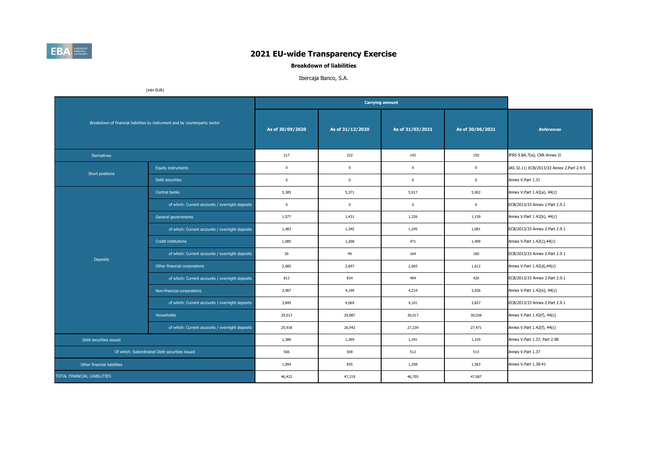

**Breakdown of liabilities**

### Ibercaja Banco, S.A.

(mln EUR)

|                             |                                                                             |                  |                  | <b>Carrying amount</b> |                  |                                           |
|-----------------------------|-----------------------------------------------------------------------------|------------------|------------------|------------------------|------------------|-------------------------------------------|
|                             | Breakdown of financial liabilities by instrument and by counterparty sector | As of 30/09/2020 | As of 31/12/2020 | As of 31/03/2021       | As of 30/06/2021 | <b>References</b>                         |
| <b>Derivatives</b>          |                                                                             | 217              | 222              | 142                    | 150              | IFRS 9.BA.7(a); CRR Annex II              |
| Short positions             | <b>Equity instruments</b>                                                   | $\mathbf{0}$     | $\mathbf 0$      | $\mathbf{0}$           | $\mathbf 0$      | IAS 32.11; ECB/2013/33 Annex 2.Part 2.4-5 |
|                             | Debt securities                                                             | $\mathbf{0}$     | $\mathbf 0$      | $\mathbf{0}$           | $\mathbf{0}$     | Annex V.Part 1.31                         |
|                             | Central banks                                                               | 5,385            | 5,371            | 5,917                  | 5,902            | Annex V.Part 1.42(a), 44(c)               |
|                             | of which: Current accounts / overnight deposits                             | $\mathbf 0$      | $\mathbf 0$      | $\mathbf{0}$           | $\mathbf 0$      | ECB/2013/33 Annex 2.Part 2.9.1            |
|                             | General governments                                                         | 1,577            | 1,431            | 1,326                  | 1,159            | Annex V.Part 1.42(b), 44(c)               |
|                             | of which: Current accounts / overnight deposits                             | 1,483            | 1,345            | 1,245                  | 1,081            | ECB/2013/33 Annex 2.Part 2.9.1            |
|                             | <b>Credit institutions</b>                                                  | 1,085            | 1,208            | 471                    | 1,409            | Annex V.Part 1.42(c),44(c)                |
| <b>Deposits</b>             | of which: Current accounts / overnight deposits                             | 30               | 49               | 164                    | 180              | ECB/2013/33 Annex 2.Part 2.9.1            |
|                             | Other financial corporations                                                | 2,685            | 2,697            | 2,065                  | 1,612            | Annex V.Part 1.42(d),44(c)                |
|                             | of which: Current accounts / overnight deposits                             | 812              | 834              | 494                    | 420              | ECB/2013/33 Annex 2.Part 2.9.1            |
|                             | Non-financial corporations                                                  | 3,987            | 4,199            | 4,219                  | 3,926            | Annex V.Part 1.42(e), 44(c)               |
|                             | of which: Current accounts / overnight deposits                             | 3,845            | 4,069            | 4,101                  | 3,827            | ECB/2013/33 Annex 2.Part 2.9.1            |
|                             | Households                                                                  | 29,013           | 29,887           | 30,017                 | 30,038           | Annex V.Part 1.42(f), 44(c)               |
|                             | of which: Current accounts / overnight deposits                             | 25,918           | 26,942           | 27,239                 | 27,471           | Annex V.Part 1.42(f), 44(c)               |
| Debt securities issued      |                                                                             | 1,380            | 1,369            | 1,341                  | 1,329            | Annex V.Part 1.37, Part 2.98              |
|                             | Of which: Subordinated Debt securities issued                               | 506              | 509              | 512                    | 513              | Annex V.Part 1.37                         |
| Other financial liabilities |                                                                             | 1,094            | 835              | 1,208                  | 1,563            | Annex V.Part 1.38-41                      |
| TOTAL FINANCIAL LIABILITIES |                                                                             | 46,422           | 47,219           | 46,705                 | 47,087           |                                           |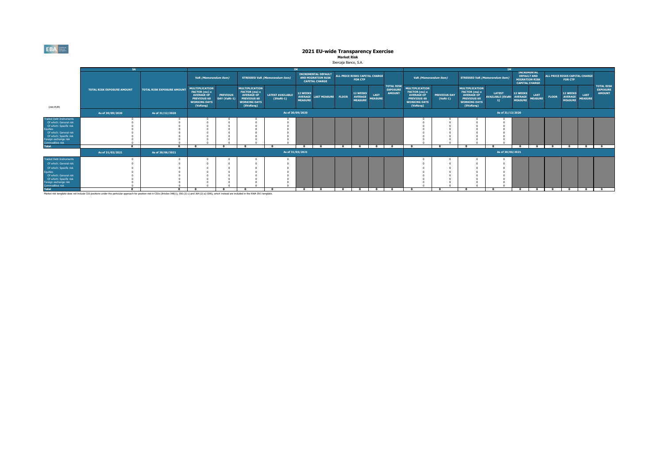#### **Market Risk** Ibercaja Banco, S.A.

|                                                                                                                                                                                                                 | <b>SA</b>                         |                                   |                                                                                                                      |                                                                |                                                                                                                       |                                        |                                   |                                                                           |              |                                                     |                               |                                                       |                                                                                                                      |                                   | <b>TM</b>                                                                                                             |                                           |                                                     |                                                                                            |              |                                                     |                               |                                                       |
|-----------------------------------------------------------------------------------------------------------------------------------------------------------------------------------------------------------------|-----------------------------------|-----------------------------------|----------------------------------------------------------------------------------------------------------------------|----------------------------------------------------------------|-----------------------------------------------------------------------------------------------------------------------|----------------------------------------|-----------------------------------|---------------------------------------------------------------------------|--------------|-----------------------------------------------------|-------------------------------|-------------------------------------------------------|----------------------------------------------------------------------------------------------------------------------|-----------------------------------|-----------------------------------------------------------------------------------------------------------------------|-------------------------------------------|-----------------------------------------------------|--------------------------------------------------------------------------------------------|--------------|-----------------------------------------------------|-------------------------------|-------------------------------------------------------|
|                                                                                                                                                                                                                 |                                   |                                   |                                                                                                                      | VaR (Memorandum item)<br><b>STRESSED VaR (Memorandum item)</b> |                                                                                                                       |                                        |                                   | <b>INCREMENTAL DEFAULT</b><br>AND MIGRATION RISK<br><b>CAPITAL CHARGE</b> |              | ALL PRICE RISKS CAPITAL CHARGE<br><b>FOR CTP</b>    |                               |                                                       | VaR (Memorandum item)                                                                                                |                                   |                                                                                                                       | <b>STRESSED VaR (Memorandum item)</b>     |                                                     | <b>INCREMENTAL</b><br><b>DEFAULT AND</b><br><b>MIGRATION RISK</b><br><b>CAPITAL CHARGE</b> |              | ALL PRICE RISKS CAPITAL CHARGE<br><b>FOR CTP</b>    |                               |                                                       |
| (mln EUR)                                                                                                                                                                                                       | <b>TOTAL RISK EXPOSURE AMOUNT</b> | <b>TOTAL RISK EXPOSURE AMOUNT</b> | <b>MULTIPLICATION</b><br>FACTOR (mc) x<br><b>AVERAGE OF</b><br><b>PREVIOUS 60</b><br><b>WORKING DAYS</b><br>(VaRavg) | <b>PREVIOUS</b><br>DAY (VaRt-1)                                | <b>MULTIPLICATION</b><br>FACTOR (ms) x<br><b>AVERAGE OF</b><br><b>PREVIOUS 60</b><br><b>WORKING DAYS</b><br>(SVaRavg) | <b>LATEST AVAILABLE</b><br>$(SVaRt-1)$ | <b>12 WEEKS</b><br><b>MEASURE</b> | AVERAGE LAST MEASURE                                                      | <b>FLOOR</b> | <b>12 WEEKS</b><br><b>AVERAGE</b><br><b>MEASURE</b> | <b>LAST</b><br><b>MEASURE</b> | <b>TOTAL RISK</b><br><b>EXPOSURE</b><br><b>AMOUNT</b> | <b>MULTIPLICATION</b><br>FACTOR (mc) x<br><b>AVERAGE OF</b><br><b>PREVIOUS 60</b><br><b>WORKING DAYS</b><br>(VaRavg) | <b>PREVIOUS DAY</b><br>$(VaRt-1)$ | <b>MULTIPLICATION</b><br>FACTOR (ms) x<br><b>AVERAGE OF</b><br><b>PREVIOUS 60</b><br><b>WORKING DAYS</b><br>(SVaRavg) | <b>LATEST</b><br><b>AVAILABLE (SVaRt-</b> | <b>12 WEEKS</b><br><b>AVERAGE</b><br><b>MEASURE</b> | <b>LAST</b><br><b>MEASURE</b>                                                              | <b>FLOOR</b> | <b>12 WEEKS</b><br><b>AVERAGE</b><br><b>MEASURE</b> | <b>LAST</b><br><b>MEASURE</b> | <b>TOTAL RISK</b><br><b>EXPOSURE</b><br><b>AMOUNT</b> |
|                                                                                                                                                                                                                 | As of 30/09/2020                  | As of 31/12/2020                  |                                                                                                                      |                                                                |                                                                                                                       |                                        | As of 30/09/2020                  |                                                                           |              |                                                     |                               |                                                       |                                                                                                                      |                                   |                                                                                                                       | As of 31/12/2020                          |                                                     |                                                                                            |              |                                                     |                               |                                                       |
| <b>Traded Debt Instruments</b><br>Of which: General risk<br>Of which: Specific risk<br><b>Equities</b><br>Of which: General risk<br>Of which: Specific risk<br>Foreign exchange risk<br><b>Commodities risk</b> |                                   |                                   |                                                                                                                      | $\mathbf{a}$                                                   | $\mathbf{a}$                                                                                                          |                                        | $\sim$                            | $\sim$                                                                    | $\sim$       |                                                     | $\sim$                        | $\overline{a}$                                        |                                                                                                                      |                                   |                                                                                                                       |                                           | $\overline{a}$                                      | $\sim$                                                                                     | $\sim$       |                                                     | $\mathbf{a}$                  | $\overline{a}$                                        |
| <b>Total</b>                                                                                                                                                                                                    | As of 31/03/2021                  | As of 30/06/2021                  | - 0                                                                                                                  |                                                                |                                                                                                                       |                                        | As of 31/03/2021                  |                                                                           |              | $\mathbf{a}$                                        |                               |                                                       | - 0                                                                                                                  | - 0                               |                                                                                                                       | As of 30/06/2021                          |                                                     |                                                                                            |              | $\mathbf{a}$                                        |                               |                                                       |
| <b>Traded Debt Instruments</b><br>Of which: General risk<br>Of which: Specific risk<br>quities<br>Of which: General risk<br>Of which: Specific risk<br>Foreign exchange risk<br><b>Commodities risk</b>         |                                   |                                   |                                                                                                                      |                                                                |                                                                                                                       |                                        | $\mathbf{a}$                      |                                                                           |              |                                                     |                               |                                                       |                                                                                                                      |                                   |                                                                                                                       |                                           |                                                     |                                                                                            | $\sim$       |                                                     | $\mathbf{a}$                  | $\overline{a}$                                        |
| <b>Total</b>                                                                                                                                                                                                    |                                   | $\Omega$                          | $\mathbf{a}$                                                                                                         | $\overline{\phantom{a}}$                                       | $\mathbf{a}$                                                                                                          |                                        |                                   | $\overline{a}$                                                            | $\sqrt{2}$   | $\overline{a}$                                      |                               | $\sqrt{2}$                                            | $\sim$                                                                                                               | $\Omega$                          |                                                                                                                       |                                           | $\sqrt{ }$                                          |                                                                                            |              | $\bullet$                                           |                               |                                                       |

Market risk template does not include CIU positions under the particular approach for position risk in CIUs (Articles 348(1), 350 (3) c) and 364 (2) a) CRR), which instead are included in the RWA OV1 template.

 $EBA$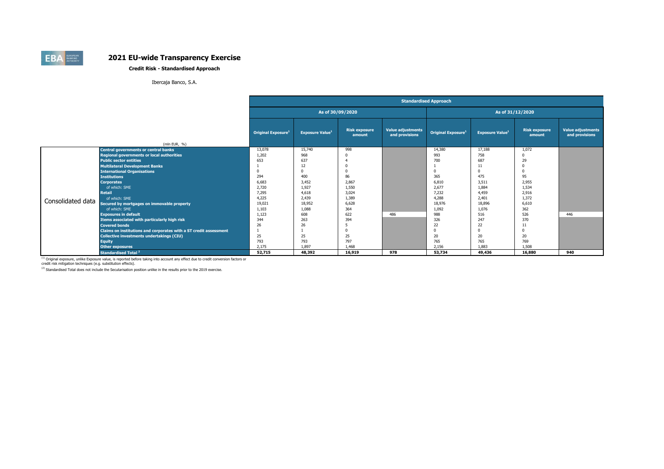### **Credit Risk - Standardised Approach**

Ibercaja Banco, S.A.

|                   |                                                                   |                                       |                                      |                                | <b>Standardised Approach</b>               |                                |                        |                                |                                            |  |  |  |  |  |
|-------------------|-------------------------------------------------------------------|---------------------------------------|--------------------------------------|--------------------------------|--------------------------------------------|--------------------------------|------------------------|--------------------------------|--------------------------------------------|--|--|--|--|--|
|                   |                                                                   |                                       | As of 30/09/2020<br>As of 31/12/2020 |                                |                                            |                                |                        |                                |                                            |  |  |  |  |  |
|                   | (mln EUR, $%$ )                                                   | <b>Original Exposure</b> <sup>1</sup> | <b>Exposure Value1</b>               | <b>Risk exposure</b><br>amount | <b>Value adjustments</b><br>and provisions | Original Exposure <sup>1</sup> | <b>Exposure Value1</b> | <b>Risk exposure</b><br>amount | <b>Value adjustments</b><br>and provisions |  |  |  |  |  |
|                   | <b>Central governments or central banks</b>                       | 13,078                                | 15,740                               | 998                            |                                            | 14,380                         | 17,188                 | 1,072                          |                                            |  |  |  |  |  |
|                   | <b>Regional governments or local authorities</b>                  | 1,202                                 | 968                                  | $\mathbf{C}$                   |                                            | 993                            | 758                    | n                              |                                            |  |  |  |  |  |
|                   | <b>Public sector entities</b>                                     | 653                                   | 637                                  |                                |                                            | 700                            | 687                    | 29                             |                                            |  |  |  |  |  |
|                   | <b>Multilateral Development Banks</b>                             |                                       | 12                                   | O                              |                                            |                                | 11                     | $\Omega$                       |                                            |  |  |  |  |  |
|                   | <b>International Organisations</b>                                |                                       | $\Omega$                             | O                              |                                            |                                | $\Omega$               | $\Omega$                       |                                            |  |  |  |  |  |
|                   | <b>Institutions</b>                                               | 294                                   | 400                                  | 86                             |                                            | 365                            | 475                    | 95                             |                                            |  |  |  |  |  |
|                   | <b>Corporates</b>                                                 | 6,683                                 | 3,452                                | 2,867                          |                                            | 6,810                          | 3,511                  | 2,955                          |                                            |  |  |  |  |  |
|                   | of which: SME                                                     | 2.720                                 | 1,927                                | 1,550                          |                                            | 2,677                          | 1,884                  | 1,534                          |                                            |  |  |  |  |  |
|                   | <b>Retail</b>                                                     | 7,295                                 | 4,618                                | 3,024                          |                                            | 7,232                          | 4,459                  | 2,916                          |                                            |  |  |  |  |  |
| Consolidated data | of which: SME                                                     | 4,225                                 | 2,439                                | 1,389                          |                                            | 4,288                          | 2,401                  | 1,372                          |                                            |  |  |  |  |  |
|                   | Secured by mortgages on immovable property                        | 19,021                                | 18,952                               | 6,628                          |                                            | 18,976                         | 18,896                 | 6,610                          |                                            |  |  |  |  |  |
|                   | of which: SME                                                     | 1,103                                 | 1,088                                | 364                            |                                            | 1,092                          | 1,076                  | 362                            |                                            |  |  |  |  |  |
|                   | <b>Exposures in default</b>                                       | 1,123                                 | 608                                  | 622                            | 486                                        | 988                            | 516                    | 526                            | 446                                        |  |  |  |  |  |
|                   | Items associated with particularly high risk                      | 344                                   | 263                                  | 394                            |                                            | 326                            | 247                    | 370                            |                                            |  |  |  |  |  |
|                   | <b>Covered bonds</b>                                              | 26                                    | 26                                   |                                |                                            | 22                             | 22                     | 11                             |                                            |  |  |  |  |  |
|                   | Claims on institutions and corporates with a ST credit assessment |                                       |                                      |                                |                                            |                                | $\Omega$               | $\Omega$                       |                                            |  |  |  |  |  |
|                   | <b>Collective investments undertakings (CIU)</b>                  | 25                                    | 25                                   | 25                             |                                            | 20                             | 20                     | 20                             |                                            |  |  |  |  |  |
|                   | <b>Equity</b>                                                     | 793                                   | 793                                  | 797                            |                                            | 765                            | 765                    | 769                            |                                            |  |  |  |  |  |
|                   | Other exposures                                                   | 2.175                                 | 1.897                                | 1.468                          |                                            | 2.156                          | 1.883                  | 1.508                          |                                            |  |  |  |  |  |
|                   | <b>Standardised Total <sup>2</sup></b>                            | 52,715                                | 48,392                               | 16,919                         | 978                                        | 53,734                         | 49,436                 | 16,880                         | 940                                        |  |  |  |  |  |

<sup>(1)</sup> Original exposure, unlike Exposure value, is reported before taking into account any effect due to credit conversion factors or<br>credit risk mitigation techniques (e.g. substitution effects).

 $(2)$  Standardised Total does not include the Secutarisation position unlike in the results prior to the 2019 exercise.

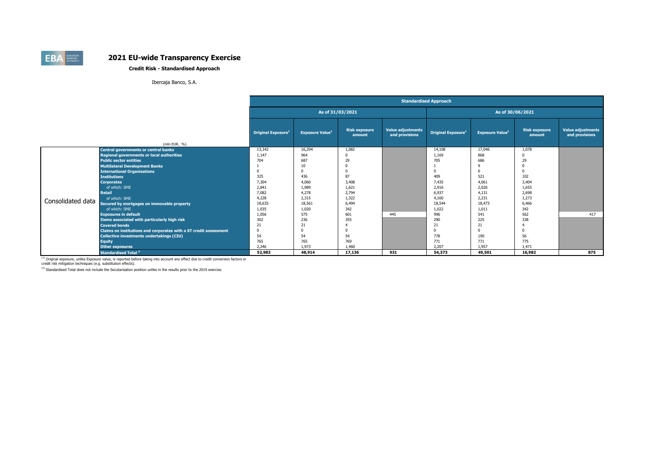### **Credit Risk - Standardised Approach**

Ibercaja Banco, S.A.

|                   |                                                                   |                                |                        |                                | <b>Standardised Approach</b>               |                                |                        |                                |                                            |
|-------------------|-------------------------------------------------------------------|--------------------------------|------------------------|--------------------------------|--------------------------------------------|--------------------------------|------------------------|--------------------------------|--------------------------------------------|
|                   |                                                                   |                                | As of 31/03/2021       |                                |                                            |                                | As of 30/06/2021       |                                |                                            |
|                   | (mln EUR, %)                                                      | Original Exposure <sup>1</sup> | <b>Exposure Value1</b> | <b>Risk exposure</b><br>amount | <b>Value adjustments</b><br>and provisions | Original Exposure <sup>1</sup> | <b>Exposure Value1</b> | <b>Risk exposure</b><br>amount | <b>Value adjustments</b><br>and provisions |
|                   | <b>Central governments or central banks</b>                       | 13,342                         | 16,294                 | 1,082                          |                                            | 14,108                         | 17,046                 | 1,078                          |                                            |
|                   | <b>Regional governments or local authorities</b>                  | 1,147                          | 964                    | $\Omega$                       |                                            | 1,169                          | 868                    | $\Omega$                       |                                            |
|                   | <b>Public sector entities</b>                                     | 704                            | 687                    | 29                             |                                            | 705                            | 686                    | 29                             |                                            |
|                   | <b>Multilateral Development Banks</b>                             |                                | 10                     |                                |                                            |                                | 9                      | $\Omega$                       |                                            |
|                   | <b>International Organisations</b>                                |                                | $\Omega$               | $\Omega$                       |                                            |                                | $\Omega$               | $\Omega$                       |                                            |
|                   | <b>Institutions</b>                                               | 325                            | 436                    | 87                             |                                            | 409                            | 521                    | 102                            |                                            |
|                   | <b>Corporates</b>                                                 | 7,304                          | 4,060                  | 3,408                          |                                            | 7,435                          | 4,061                  | 3,404                          |                                            |
|                   | of which: SME                                                     | 2,841                          | 1,989                  | 1,621                          |                                            | 2,916                          | 2,026                  | 1,655                          |                                            |
|                   | <b>Retail</b>                                                     | 7,082                          | 4,278                  | 2,794                          |                                            | 6,937                          | 4,131                  | 2,698                          |                                            |
| Consolidated data | of which: SME                                                     | 4,228                          | 2.315                  | 1,322                          |                                            | 4,160                          | 2,231                  | 1.273                          |                                            |
|                   | Secured by mortgages on immovable property                        | 18,635                         | 18,561                 | 6,494                          |                                            | 18,544                         | 18,473                 | 6,466                          |                                            |
|                   | of which: SME                                                     | 1,035                          | 1,020                  | 342                            |                                            | 1,022                          | 1,011                  | 342                            |                                            |
|                   | <b>Exposures in default</b>                                       | 1,056                          | 575                    | 601                            | 445                                        | 996                            | 541                    | 562                            | 417                                        |
|                   | Items associated with particularly high risk                      | 302                            | 236                    | 355                            |                                            | 290                            | 225                    | 338                            |                                            |
|                   | <b>Covered bonds</b>                                              | 21                             | 21                     |                                |                                            | 21                             | 21                     |                                |                                            |
|                   | Claims on institutions and corporates with a ST credit assessment |                                |                        |                                |                                            |                                | $\Omega$               |                                |                                            |
|                   | Collective investments undertakings (CIU)                         | 54                             | 54                     | 54                             |                                            | 778                            | 190                    | 56                             |                                            |
|                   | <b>Equity</b>                                                     | 765                            | 765                    | 769                            |                                            | 771                            | 771                    | 775                            |                                            |
|                   | Other exposures                                                   | 2.246                          | 1.973                  | 1.460                          |                                            | 2.207                          | 1.957                  | 1.471                          |                                            |
|                   | <b>Standardised Total <sup>2</sup></b>                            | 52,983                         | 48,914                 | 17,136                         | 931                                        | 54,373                         | 49,501                 | 16,982                         | 875                                        |

<sup>(1)</sup> Original exposure, unlike Exposure value, is reported before taking into account any effect due to credit conversion factors or<br>credit risk mitigation techniques (e.g. substitution effects).

 $(2)$  Standardised Total does not include the Secutarisation position unlike in the results prior to the 2019 exercise.

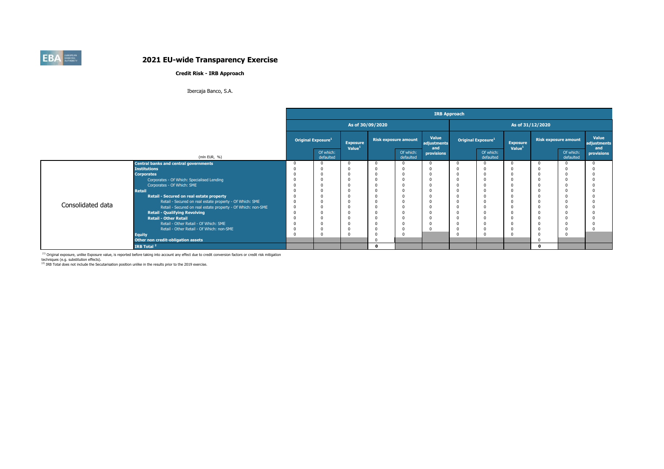### **Credit Risk - IRB Approach**

### Ibercaja Banco, S.A.

|                   |                                                              |                                |                                       |                  |                             |                             | <b>IRB Approach</b> |                                |                                       |                  |                             |                      |
|-------------------|--------------------------------------------------------------|--------------------------------|---------------------------------------|------------------|-----------------------------|-----------------------------|---------------------|--------------------------------|---------------------------------------|------------------|-----------------------------|----------------------|
|                   |                                                              |                                |                                       | As of 30/09/2020 |                             |                             |                     |                                |                                       | As of 31/12/2020 |                             |                      |
|                   |                                                              | Original Exposure <sup>1</sup> | <b>Exposure</b><br>Value <sup>1</sup> |                  | <b>Risk exposure amount</b> | Value<br>adjustments<br>and |                     | Original Exposure <sup>1</sup> | <b>Exposure</b><br>Value <sup>1</sup> |                  | <b>Risk exposure amount</b> | Value<br>adjustments |
|                   | (mln EUR, %)                                                 | Of which:<br>defaulted         |                                       |                  | Of which:<br>defaulted      | provisions                  |                     | Of which:<br>defaulted         |                                       |                  | Of which:<br>defaulted      | and<br>provisions    |
|                   | <b>Central banks and central governments</b>                 |                                | $\Omega$                              | $\Omega$         | $\Omega$                    |                             |                     | $\Omega$                       |                                       |                  | $\Omega$                    | $^{\circ}$           |
|                   | <b>Institutions</b>                                          |                                | $\Omega$                              |                  |                             |                             |                     | $\Omega$                       |                                       |                  | -0                          | $\Omega$             |
|                   | <b>Corporates</b>                                            |                                | $\Omega$                              |                  |                             |                             |                     | $\Omega$                       |                                       |                  |                             | $\Omega$             |
|                   | Corporates - Of Which: Specialised Lending                   |                                | $\Omega$                              |                  |                             |                             | $\Omega$            | $\Omega$                       |                                       |                  |                             | $\Omega$             |
|                   | Corporates - Of Which: SME                                   |                                | $\Omega$                              |                  |                             |                             |                     | $\Omega$                       |                                       |                  |                             |                      |
|                   | <b>Retail</b>                                                |                                | $\Omega$                              |                  |                             |                             |                     | $\Omega$                       |                                       |                  |                             | $\Omega$             |
|                   | Retail - Secured on real estate property                     |                                | $\Omega$                              |                  |                             |                             |                     |                                |                                       |                  |                             | $\Omega$             |
| Consolidated data | Retail - Secured on real estate property - Of Which: SME     |                                | $\Omega$                              |                  |                             |                             |                     | $\Omega$                       |                                       |                  |                             | $\Omega$             |
|                   | Retail - Secured on real estate property - Of Which: non-SME |                                | $\Omega$                              |                  |                             |                             |                     | $\Omega$                       |                                       |                  |                             |                      |
|                   | <b>Retail - Qualifying Revolving</b>                         |                                | $\Omega$                              |                  |                             |                             |                     | $\Omega$                       |                                       |                  |                             |                      |
|                   | <b>Retail - Other Retail</b>                                 |                                | $\Omega$                              |                  |                             |                             |                     | $\Omega$                       |                                       |                  |                             |                      |
|                   | Retail - Other Retail - Of Which: SME                        |                                | $\Omega$                              |                  |                             |                             |                     | $\Omega$                       |                                       |                  |                             | $\Omega$             |
|                   | Retail - Other Retail - Of Which: non-SME                    |                                | 0                                     |                  |                             |                             |                     | $\Omega$                       |                                       |                  |                             | $\mathbf 0$          |
|                   | <b>Equity</b>                                                |                                | $\Omega$                              |                  |                             |                             |                     | $\Omega$                       |                                       |                  |                             |                      |
|                   | Other non credit-obligation assets                           |                                |                                       |                  |                             |                             |                     |                                |                                       |                  |                             |                      |
|                   | IRB Total <sup>2</sup>                                       |                                |                                       | n                |                             |                             |                     |                                |                                       | $\Omega$         |                             |                      |

<sup>(1)</sup> Original exposure, unlike Exposure value, is reported before taking into account any effect due to credit conversion factors or credit risk mitigation<br>techniques (e.g. substitution effects).

 $<sup>(2)</sup>$  IRB Total does not include the Secutarisation position unlike in the results prior to the 2019 exercise.</sup>

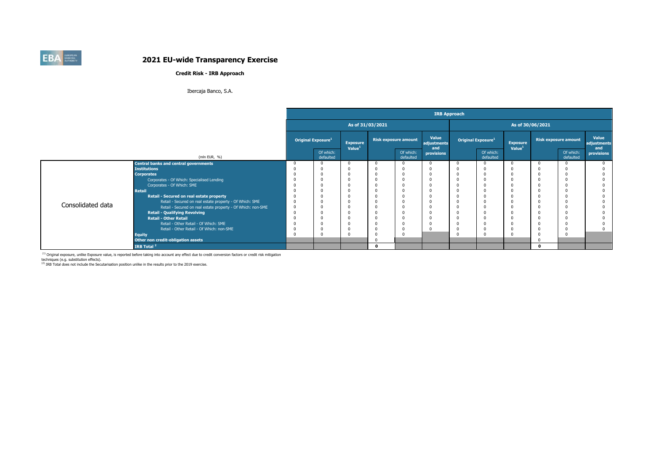### **Credit Risk - IRB Approach**

### Ibercaja Banco, S.A.

|                   |                                                              |                                |                                       |              |                             |                             | <b>IRB Approach</b> |                                |                                       |                  |                             |                             |
|-------------------|--------------------------------------------------------------|--------------------------------|---------------------------------------|--------------|-----------------------------|-----------------------------|---------------------|--------------------------------|---------------------------------------|------------------|-----------------------------|-----------------------------|
|                   |                                                              |                                | As of 31/03/2021                      |              |                             |                             |                     |                                |                                       | As of 30/06/2021 |                             |                             |
|                   |                                                              | Original Exposure <sup>1</sup> | <b>Exposure</b><br>Value <sup>1</sup> |              | <b>Risk exposure amount</b> | Value<br>adjustments<br>and |                     | Original Exposure <sup>1</sup> | <b>Exposure</b><br>Value <sup>1</sup> |                  | <b>Risk exposure amount</b> | Value<br>adjustments<br>and |
|                   | (mln EUR, %)                                                 | Of which:<br>defaulted         |                                       |              | Of which:<br>defaulted      | provisions                  |                     | Of which:<br>defaulted         |                                       |                  | Of which:<br>defaulted      | provisions                  |
|                   | <b>Central banks and central governments</b>                 |                                | $\Omega$                              | $\Omega$     |                             |                             |                     |                                | $\Omega$                              | 0                | $\Omega$                    |                             |
|                   | <b>Institutions</b>                                          |                                |                                       |              |                             |                             |                     |                                |                                       |                  | $\Omega$                    |                             |
|                   | <b>Corporates</b>                                            |                                |                                       | $\Omega$     |                             |                             |                     |                                |                                       |                  |                             |                             |
|                   | Corporates - Of Which: Specialised Lending                   |                                | 0                                     | $\Omega$     |                             |                             | $\Omega$            |                                |                                       |                  | -C                          |                             |
|                   | Corporates - Of Which: SME                                   |                                |                                       | $\Omega$     |                             |                             |                     |                                |                                       |                  |                             |                             |
|                   | <b>Retail</b>                                                |                                | $\Omega$                              | $\Omega$     |                             |                             |                     |                                |                                       |                  | -C                          |                             |
|                   | Retail - Secured on real estate property                     |                                |                                       |              |                             |                             |                     |                                |                                       |                  |                             |                             |
| Consolidated data | Retail - Secured on real estate property - Of Which: SME     |                                |                                       | $\Omega$     |                             |                             |                     |                                |                                       |                  |                             |                             |
|                   | Retail - Secured on real estate property - Of Which: non-SME |                                |                                       |              |                             |                             |                     |                                |                                       |                  | -C                          |                             |
|                   | <b>Retail - Qualifying Revolving</b>                         |                                | $\Omega$                              | $\Omega$     |                             |                             |                     |                                |                                       |                  |                             |                             |
|                   | <b>Retail - Other Retail</b>                                 |                                | $\Omega$                              | $\Omega$     |                             |                             |                     |                                |                                       |                  | -C                          |                             |
|                   | Retail - Other Retail - Of Which: SME                        |                                | $\Omega$                              | $\Omega$     |                             |                             | $\Omega$            |                                |                                       |                  |                             |                             |
|                   | Retail - Other Retail - Of Which: non-SME                    |                                | 0                                     | 0            |                             |                             | $\Omega$            |                                |                                       |                  | -C                          |                             |
|                   | <b>Equity</b><br>Other non credit-obligation assets          |                                |                                       |              |                             |                             |                     |                                |                                       |                  |                             |                             |
|                   | IRB Total <sup>2</sup>                                       |                                |                                       | $\mathbf{a}$ |                             |                             |                     |                                |                                       | $\mathbf 0$      |                             |                             |

<sup>(1)</sup> Original exposure, unlike Exposure value, is reported before taking into account any effect due to credit conversion factors or credit risk mitigation<br>techniques (e.g. substitution effects).

 $<sup>(2)</sup>$  IRB Total does not include the Secutarisation position unlike in the results prior to the 2019 exercise.</sup>

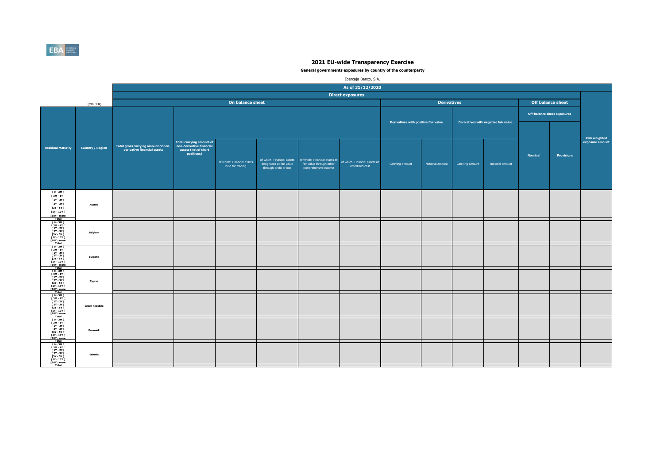

|                                                                                                                                          |                         |                                                                    |                                                                |                                                |                                                                                  |                                                                                   | Ibercaja Banco, S.A.                            |                                      |                    |                 |                                      |                |                                    |                                         |
|------------------------------------------------------------------------------------------------------------------------------------------|-------------------------|--------------------------------------------------------------------|----------------------------------------------------------------|------------------------------------------------|----------------------------------------------------------------------------------|-----------------------------------------------------------------------------------|-------------------------------------------------|--------------------------------------|--------------------|-----------------|--------------------------------------|----------------|------------------------------------|-----------------------------------------|
|                                                                                                                                          |                         |                                                                    |                                                                |                                                |                                                                                  |                                                                                   | As of 31/12/2020                                |                                      |                    |                 |                                      |                |                                    |                                         |
|                                                                                                                                          |                         |                                                                    |                                                                |                                                |                                                                                  |                                                                                   | <b>Direct exposures</b>                         |                                      |                    |                 |                                      |                |                                    |                                         |
|                                                                                                                                          | (mln EUR)               |                                                                    |                                                                | On balance sheet                               |                                                                                  |                                                                                   |                                                 |                                      | <b>Derivatives</b> |                 |                                      |                | <b>Off balance sheet</b>           |                                         |
|                                                                                                                                          |                         |                                                                    |                                                                |                                                |                                                                                  |                                                                                   |                                                 |                                      |                    |                 |                                      |                | <b>Off-balance sheet exposures</b> |                                         |
|                                                                                                                                          |                         |                                                                    | <b>Total carrying amount of</b>                                |                                                |                                                                                  |                                                                                   |                                                 | Derivatives with positive fair value |                    |                 | Derivatives with negative fair value |                |                                    | <b>Risk weighted</b><br>exposure amount |
| <b>Residual Maturity</b>                                                                                                                 | <b>Country / Region</b> | Total gross carrying amount of non-<br>derivative financial assets | non-derivative financial<br>assets (net of short<br>positions) | of which: Financial assets<br>held for trading | of which: Financial assets<br>designated at fair value<br>through profit or loss | of which: Financial assets at<br>fair value through other<br>comprehensive income | of which: Financial assets at<br>amortised cost | Carrying amount                      | Notional amount    | Carrying amount | Notional amount                      | <b>Nominal</b> | <b>Provisions</b>                  |                                         |
| $[0-3M]$<br>[3M-1Y]<br>[ 1Y - 2Y [<br>[ 2Y - 3Y [<br>$[3Y - 5Y]$<br>[5Y - 10Y [<br>$[10Y - more]$<br><b>Total</b>                        | Austria                 |                                                                    |                                                                |                                                |                                                                                  |                                                                                   |                                                 |                                      |                    |                 |                                      |                |                                    |                                         |
| [0-3M]<br> 3M-1Y <br> 1Y-2Y <br><b>F2Y - 3Y F</b><br>[3Y - 5Y [<br><b>FSY - 10Y F</b><br>[10Y - more                                     | Belgium                 |                                                                    |                                                                |                                                |                                                                                  |                                                                                   |                                                 |                                      |                    |                 |                                      |                |                                    |                                         |
| Total<br>TO-3MT<br>[ 3M - 1Y ]<br>[ 1Y - 2Y ]<br><b>F2Y - 3Y F</b><br><b>13Y - 5Y F</b><br><b>FSY - 10Y F</b><br>[10Y - more             | <b>Bulgaria</b>         |                                                                    |                                                                |                                                |                                                                                  |                                                                                   |                                                 |                                      |                    |                 |                                      |                |                                    |                                         |
| $10 - 3M$<br>T 3M - 1Y T<br><b>F 1Y - 2Y F</b><br>[ 2Y - 3Y [<br>13Y - 5Y I<br>15Y - 10Y I<br>[10Y - more<br>Total                       | Cyprus                  |                                                                    |                                                                |                                                |                                                                                  |                                                                                   |                                                 |                                      |                    |                 |                                      |                |                                    |                                         |
| 「0 - 3M「<br>[3M - 1Y[<br>  3M - 11  <br>  1Y - 2Y  <br>  2Y - 3Y  <br>  3Y - 5Y  <br>  5Y - 10Y  <br>[10Y - more                         | <b>Czech Republic</b>   |                                                                    |                                                                |                                                |                                                                                  |                                                                                   |                                                 |                                      |                    |                 |                                      |                |                                    |                                         |
| Total<br>Fo - 3M F<br>F 3M - 1Y F<br>F 1Y - 2Y F<br><b>F2Y - 3Y F</b><br><b>13Y - 5Y F</b><br><b>F5Y - 10Y F</b><br>[10Y - more<br>Total | Denmark                 |                                                                    |                                                                |                                                |                                                                                  |                                                                                   |                                                 |                                      |                    |                 |                                      |                |                                    |                                         |
| $[0 - 3M]$<br>$[3M - 1Y]$<br><b>F 1Y - 2Y F</b><br><b>F2Y - 3Y F</b><br>$[3Y - 5Y]$<br><b>FSY - 10Y F</b><br>[10Y - more<br>Total        | Estonia                 |                                                                    |                                                                |                                                |                                                                                  |                                                                                   |                                                 |                                      |                    |                 |                                      |                |                                    |                                         |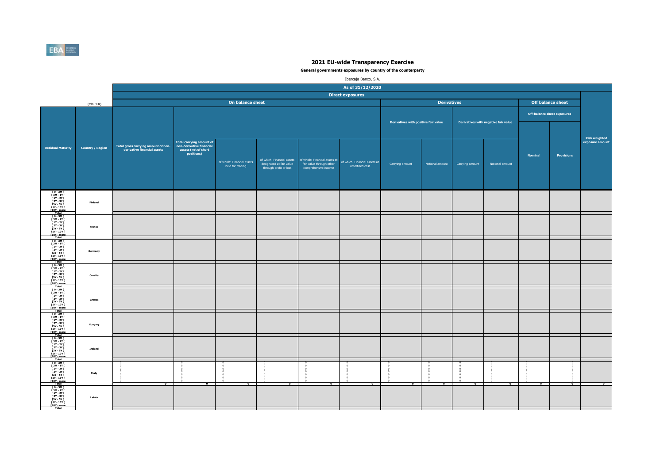

|                                                                                                                                                                                 |                         |                                                                    |                                                                                                   |                                                |                                                    |                                                                                                              | Ibercaja Banco, S.A.                            |                                      |                       |                 |                                      |                |                                    |                                  |
|---------------------------------------------------------------------------------------------------------------------------------------------------------------------------------|-------------------------|--------------------------------------------------------------------|---------------------------------------------------------------------------------------------------|------------------------------------------------|----------------------------------------------------|--------------------------------------------------------------------------------------------------------------|-------------------------------------------------|--------------------------------------|-----------------------|-----------------|--------------------------------------|----------------|------------------------------------|----------------------------------|
|                                                                                                                                                                                 |                         |                                                                    |                                                                                                   |                                                |                                                    |                                                                                                              | As of 31/12/2020                                |                                      |                       |                 |                                      |                |                                    |                                  |
|                                                                                                                                                                                 |                         |                                                                    |                                                                                                   |                                                |                                                    |                                                                                                              | <b>Direct exposures</b>                         |                                      |                       |                 |                                      |                |                                    |                                  |
|                                                                                                                                                                                 | (mln EUR)               |                                                                    |                                                                                                   | On balance sheet                               |                                                    |                                                                                                              |                                                 |                                      | <b>Derivatives</b>    |                 |                                      |                | <b>Off balance sheet</b>           |                                  |
|                                                                                                                                                                                 |                         |                                                                    |                                                                                                   |                                                |                                                    |                                                                                                              |                                                 |                                      |                       |                 |                                      |                | <b>Off-balance sheet exposures</b> |                                  |
|                                                                                                                                                                                 |                         |                                                                    |                                                                                                   |                                                |                                                    |                                                                                                              |                                                 | Derivatives with positive fair value |                       |                 | Derivatives with negative fair value |                |                                    |                                  |
| <b>Residual Maturity</b>                                                                                                                                                        | <b>Country / Region</b> | Total gross carrying amount of non-<br>derivative financial assets | <b>Total carrying amount of</b><br>non-derivative financial<br>assets (net of short<br>positions) | of which: Financial assets<br>held for trading | designated at fair value<br>through profit or loss | of which: Financial assets of which: Financial assets at<br>fair value through other<br>comprehensive income | of which: Financial assets at<br>amortised cost | Carrying amount                      | Notional amount       | Carrying amount | Notional amount                      | <b>Nominal</b> | <b>Provisions</b>                  | Risk weighted<br>exposure amount |
| [0-3M]<br>[3M-1Y]<br>[1Y-2Y]<br>$12Y - 3YI$<br>13Y - 5Y I<br>15Y - 10Y I<br>[10Y - more<br>Total                                                                                | Finland                 |                                                                    |                                                                                                   |                                                |                                                    |                                                                                                              |                                                 |                                      |                       |                 |                                      |                |                                    |                                  |
| T 0 - 3M F<br>  3M - 1Y  <br>  1Y - 2Y  <br>  2Y - 3Y  <br>$[3Y - 5Y]$<br><b>FSY - 10Y F</b><br><b>F10Y</b> - more                                                              | France                  |                                                                    |                                                                                                   |                                                |                                                    |                                                                                                              |                                                 |                                      |                       |                 |                                      |                |                                    |                                  |
| T 0 - 3M I<br>[ 3M - 1Y [<br>[ 1Y - 2Y  <br>[ 2Y - 3Y  <br>[3Y - 5Y  <br>[5Y - 10Y  <br>[10Y - more<br>Total                                                                    | Germany                 |                                                                    |                                                                                                   |                                                |                                                    |                                                                                                              |                                                 |                                      |                       |                 |                                      |                |                                    |                                  |
| $10 - 3M1$<br>$\begin{array}{c} 13M - 1YI \\ 11Y - 2YI \end{array}$<br>[ 2Y - 3Y [<br>121 - 31<br>13Y - 5Y I<br>15Y - 10Y I<br>110Y - more<br>Total                             | Croatia                 |                                                                    |                                                                                                   |                                                |                                                    |                                                                                                              |                                                 |                                      |                       |                 |                                      |                |                                    |                                  |
| [ 0 - 3M [<br>[ 3M - 1Y  <br>[ 1Y - 2Y  <br><b>F2Y - 3Y F</b><br>[3Y - 5Y [<br><b>FSY - 10Y F</b><br>[10Y - more]<br>Total                                                      | Greece                  |                                                                    |                                                                                                   |                                                |                                                    |                                                                                                              |                                                 |                                      |                       |                 |                                      |                |                                    |                                  |
| $\begin{array}{c} 10 - 3M \\ 13M - 1Y \\ 1Y - 2Y \end{array}$<br>$12Y - 3YI$<br>[3Y - 5Y  <br>[5Y - 10Y  <br><b>10Y</b> - more<br>Total                                         | Hungary                 |                                                                    |                                                                                                   |                                                |                                                    |                                                                                                              |                                                 |                                      |                       |                 |                                      |                |                                    |                                  |
| $10 - 3M1$<br>$\begin{array}{c} 13M - 1YI \\ 11Y - 2YI \end{array}$<br>[ 2Y - 3Y [<br>$\begin{array}{r} 121.31 \\ 13Y - 5YI \\ 15Y - 10YI \\ 110Y - more \\ \hline \end{array}$ | Ireland                 |                                                                    |                                                                                                   |                                                |                                                    |                                                                                                              |                                                 |                                      |                       |                 |                                      |                |                                    |                                  |
| [0-3M]<br>[3M-1Y]<br>$11Y - 2YI$<br><b>F2Y - 3Y F</b><br>[3Y - 5Y  <br>[5Y - 10Y  <br>[10Y - more]<br>Total                                                                     | Italy                   | $\bullet$                                                          | $\overline{\phantom{a}}$                                                                          | $\bullet$                                      | $\bullet$                                          | $\overline{\phantom{a}}$                                                                                     | $\Omega$<br>$\bullet$                           | $\bullet$                            | $\Omega$<br>$\bullet$ | $\bullet$       | $\bullet$                            | $\bullet$      | $\bullet$                          | $\bullet$                        |
| ГО-ЗМГ<br>ГЗМ-1ҮГ<br>$[1Y - 2Y]$<br><b>F2Y - 3Y F</b><br>[3Y - 5Y  <br>[5Y - 10Y  <br>[10Y - more<br>Total                                                                      | Latvia                  |                                                                    |                                                                                                   |                                                |                                                    |                                                                                                              |                                                 |                                      |                       |                 |                                      |                |                                    |                                  |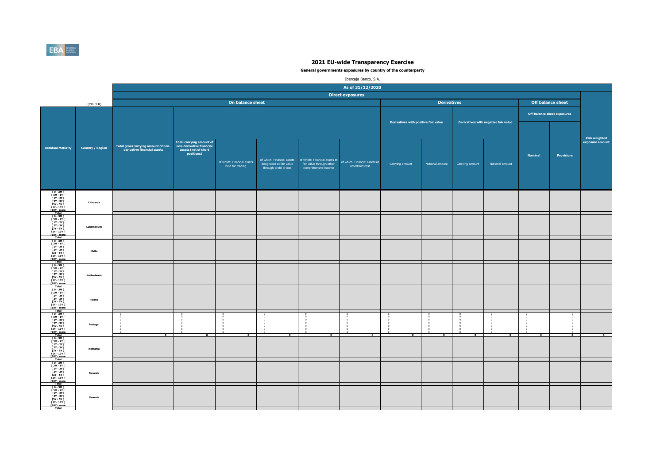

|                                                                                                                                                            |                         |                                                                    |                                                                                                   |                                                |                                                    |                                                                                                              | Ibercaja Banco, S.A.                            |                                      |                    |                 |                                      |                |                                    |                                  |
|------------------------------------------------------------------------------------------------------------------------------------------------------------|-------------------------|--------------------------------------------------------------------|---------------------------------------------------------------------------------------------------|------------------------------------------------|----------------------------------------------------|--------------------------------------------------------------------------------------------------------------|-------------------------------------------------|--------------------------------------|--------------------|-----------------|--------------------------------------|----------------|------------------------------------|----------------------------------|
|                                                                                                                                                            |                         |                                                                    |                                                                                                   |                                                |                                                    |                                                                                                              | As of 31/12/2020                                |                                      |                    |                 |                                      |                |                                    |                                  |
|                                                                                                                                                            |                         |                                                                    |                                                                                                   |                                                |                                                    |                                                                                                              | <b>Direct exposures</b>                         |                                      |                    |                 |                                      |                |                                    |                                  |
|                                                                                                                                                            | (mln EUR)               |                                                                    |                                                                                                   | On balance sheet                               |                                                    |                                                                                                              |                                                 |                                      | <b>Derivatives</b> |                 |                                      |                | <b>Off balance sheet</b>           |                                  |
|                                                                                                                                                            |                         |                                                                    |                                                                                                   |                                                |                                                    |                                                                                                              |                                                 |                                      |                    |                 |                                      |                | <b>Off-balance sheet exposures</b> |                                  |
|                                                                                                                                                            |                         |                                                                    |                                                                                                   |                                                |                                                    |                                                                                                              |                                                 | Derivatives with positive fair value |                    |                 | Derivatives with negative fair value |                |                                    |                                  |
| <b>Residual Maturity</b>                                                                                                                                   | <b>Country / Region</b> | Total gross carrying amount of non-<br>derivative financial assets | <b>Total carrying amount of</b><br>non-derivative financial<br>assets (net of short<br>positions) | of which: Financial assets<br>held for trading | designated at fair value<br>through profit or loss | of which: Financial assets of which: Financial assets at<br>fair value through other<br>comprehensive income | of which: Financial assets at<br>amortised cost | Carrying amount                      | Notional amount    | Carrying amount | Notional amount                      | <b>Nominal</b> | <b>Provisions</b>                  | Risk weighted<br>exposure amount |
| [0-3M]<br>[3M-1Y]<br>[1Y-2Y]<br>$12Y - 3YI$<br>13Y - 5Y I<br>15Y - 10Y I<br>[10Y - more<br>Total                                                           | Lithuania               |                                                                    |                                                                                                   |                                                |                                                    |                                                                                                              |                                                 |                                      |                    |                 |                                      |                |                                    |                                  |
| $10 - 3M1$<br>  3M - 1Y  <br>  1Y - 2Y  <br>  2Y - 3Y  <br>$[3Y - SY]$<br><b>FSY - 10Y F</b><br><b>F10Y</b> - more                                         | Luxembourg              |                                                                    |                                                                                                   |                                                |                                                    |                                                                                                              |                                                 |                                      |                    |                 |                                      |                |                                    |                                  |
| T 0 - 3M I<br>[ 3M - 1Y [<br>[ 1Y - 2Y  <br>[ 2Y - 3Y  <br>[3Y - 5Y  <br>[5Y - 10Y  <br>[10Y - more<br>Total                                               | Malta                   |                                                                    |                                                                                                   |                                                |                                                    |                                                                                                              |                                                 |                                      |                    |                 |                                      |                |                                    |                                  |
| $\begin{array}{c} 10 - 3M & 1 \\ 13M - 1Y & 1 \\ 11Y - 2Y & 1 \end{array}$<br>[ 2Y - 3Y [<br>121 - 31<br>13Y - 5Y I<br>15Y - 10Y I<br>110Y - more<br>Total | <b>Netherlands</b>      |                                                                    |                                                                                                   |                                                |                                                    |                                                                                                              |                                                 |                                      |                    |                 |                                      |                |                                    |                                  |
| [ 0 - 3M [<br>$\begin{array}{c} 1.3M - 1YI \\ 1.1Y - 2YI \end{array}$<br><b>F2Y - 3Y F</b><br>[3Y - 5Y [<br><b>FSY - 10Y F</b><br>[10Y - more]<br>Total    | Poland                  |                                                                    |                                                                                                   |                                                |                                                    |                                                                                                              |                                                 |                                      |                    |                 |                                      |                |                                    |                                  |
| $\begin{array}{c} 10 - 3M \\ 13M - 1Y \\ 1Y - 2Y \end{array}$<br>$12Y - 3YI$<br>[3Y - 5Y  <br>[5Y - 10Y  <br>[10Y - more]                                  | Portugal                | $\overline{ }$                                                     |                                                                                                   | $\overline{ }$                                 | - 0                                                | $\overline{ }$                                                                                               | P                                               | P                                    | $\overline{ }$     |                 | - 0                                  | P              | $\sim$                             |                                  |
| [0-3M]<br>[3M-1Y]<br>[1Y-2Y]<br>[ 2Y - 3Y [<br>$\begin{array}{r} 121.31 \\ 13Y - 5YI \\ 15Y - 10YI \\ 110Y - more \\ \hline \end{array}$                   | Romania                 |                                                                    |                                                                                                   |                                                |                                                    |                                                                                                              |                                                 |                                      |                    |                 |                                      |                |                                    |                                  |
| [0-3M]<br>[3M-1Y]<br>$11Y - 2YI$<br><b>F2Y - 3Y F</b><br>[3Y - 5Y  <br>[5Y - 10Y  <br>[10Y - more]<br>Total                                                | Slovakia                |                                                                    |                                                                                                   |                                                |                                                    |                                                                                                              |                                                 |                                      |                    |                 |                                      |                |                                    |                                  |
| ГО-ЗМГ<br>ГЗМ-1ҮГ<br>$[1Y - 2Y]$<br><b>F2Y - 3Y F</b><br>[3Y - 5Y  <br>[5Y - 10Y  <br>[10Y - more<br>Total                                                 | Slovenia                |                                                                    |                                                                                                   |                                                |                                                    |                                                                                                              |                                                 |                                      |                    |                 |                                      |                |                                    |                                  |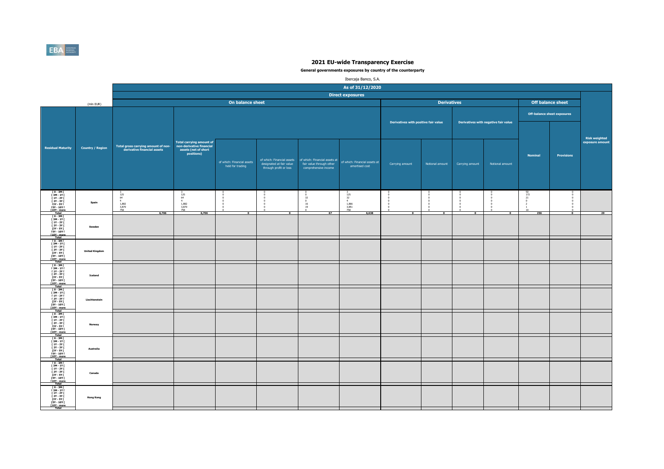

|                                                                                                                                                                                             |                         |                                                                    |                                                                                                   |                                                |                                                    |                                                                                                              | Ibercaja Banco, S.A.                                      |                                      |                             |                 |                                      |                                                        |                                    |                                  |
|---------------------------------------------------------------------------------------------------------------------------------------------------------------------------------------------|-------------------------|--------------------------------------------------------------------|---------------------------------------------------------------------------------------------------|------------------------------------------------|----------------------------------------------------|--------------------------------------------------------------------------------------------------------------|-----------------------------------------------------------|--------------------------------------|-----------------------------|-----------------|--------------------------------------|--------------------------------------------------------|------------------------------------|----------------------------------|
|                                                                                                                                                                                             |                         |                                                                    |                                                                                                   |                                                |                                                    |                                                                                                              | As of 31/12/2020                                          |                                      |                             |                 |                                      |                                                        |                                    |                                  |
|                                                                                                                                                                                             |                         |                                                                    |                                                                                                   |                                                |                                                    |                                                                                                              | <b>Direct exposures</b>                                   |                                      |                             |                 |                                      |                                                        |                                    |                                  |
|                                                                                                                                                                                             | (mln EUR)               |                                                                    |                                                                                                   | On balance sheet                               |                                                    |                                                                                                              |                                                           |                                      | <b>Derivatives</b>          |                 |                                      |                                                        | <b>Off balance sheet</b>           |                                  |
|                                                                                                                                                                                             |                         |                                                                    |                                                                                                   |                                                |                                                    |                                                                                                              |                                                           |                                      |                             |                 |                                      |                                                        | <b>Off-balance sheet exposures</b> |                                  |
|                                                                                                                                                                                             |                         |                                                                    |                                                                                                   |                                                |                                                    |                                                                                                              |                                                           | Derivatives with positive fair value |                             |                 | Derivatives with negative fair value |                                                        |                                    |                                  |
| <b>Residual Maturity</b>                                                                                                                                                                    | <b>Country / Region</b> | Total gross carrying amount of non-<br>derivative financial assets | <b>Total carrying amount of</b><br>non-derivative financial<br>assets (net of short<br>positions) | of which: Financial assets<br>held for trading | designated at fair value<br>through profit or loss | of which: Financial assets of which: Financial assets at<br>fair value through other<br>comprehensive income | of which: Financial assets at<br>amortised cost           | Carrying amount                      | Notional amount             | Carrying amount | Notional amount                      | <b>Nominal</b>                                         | <b>Provisions</b>                  | Risk weighted<br>exposure amount |
| [0-3M]<br>[3M-1Y]<br>[1Y-2Y]<br>$12Y - 3YI$<br>13Y - 5Y I<br>15Y - 10Y I<br>[10Y - more<br>Total                                                                                            | Spain                   | $\frac{125}{64}$<br>4<br>1,882<br>3,870<br>758<br>6,706            | $\frac{125}{64}$<br>4<br>1,882<br>3,870<br>758                                                    | $\overline{\mathbf{0}}$                        | $\overline{\phantom{a}}$                           | 32<br>$\,$ 0<br>16<br>19<br>$^{\circ}$<br>67                                                                 | $\frac{125}{32}$<br>$4$<br>1,866<br>3,851<br>758<br>6,638 | $\overline{0}$                       | - C<br>$\overline{\bullet}$ |                 | $\overline{0}$                       | $\begin{array}{r} 50 \\ 172 \\ 21 \end{array}$<br>$10$ | $\overline{\bullet}$               |                                  |
| $10 - 3M$<br>T<br>T<br>T<br>T<br>T<br>2Y - 3Y T<br>T<br>2Y - 3Y T<br>[3Y - 5Y [<br><b>FSY - 10Y F</b><br><b>F10Y</b> - more                                                                 | Sweden                  |                                                                    | 6,706                                                                                             |                                                |                                                    |                                                                                                              |                                                           |                                      |                             |                 |                                      | 256                                                    |                                    | 29                               |
| T 0 - 3M I<br>[ 3M - 1Y [<br>[ 1Y - 2Y  <br>[ 2Y - 3Y  <br>[3Y - 5Y  <br>[5Y - 10Y  <br>[10Y - more<br>Total                                                                                | <b>United Kingdom</b>   |                                                                    |                                                                                                   |                                                |                                                    |                                                                                                              |                                                           |                                      |                             |                 |                                      |                                                        |                                    |                                  |
| $10 - 3M1$<br>$\begin{array}{c} 13M - 1YI \\ 11Y - 2YI \end{array}$<br>[ 2Y - 3Y [<br>121 - 31<br>13Y - 5Y I<br>15Y - 10Y I<br>110Y - more<br>Total                                         | Iceland                 |                                                                    |                                                                                                   |                                                |                                                    |                                                                                                              |                                                           |                                      |                             |                 |                                      |                                                        |                                    |                                  |
| [ 0 - 3M [<br>[ 3M - 1Y  <br>[ 1Y - 2Y  <br><b>F2Y - 3Y F</b><br>[3Y - 5Y [<br><b>FSY - 10Y F</b><br>[10Y - more<br>Total                                                                   | Liechtenstein           |                                                                    |                                                                                                   |                                                |                                                    |                                                                                                              |                                                           |                                      |                             |                 |                                      |                                                        |                                    |                                  |
| $\begin{array}{c} 10 - 3M \\ 13M - 1Y \\ 1Y - 2Y \end{array}$<br>$12Y - 3YI$<br>[3Y - 5Y  <br>[5Y - 10Y  <br>[10Y - more<br>Total                                                           | Norway                  |                                                                    |                                                                                                   |                                                |                                                    |                                                                                                              |                                                           |                                      |                             |                 |                                      |                                                        |                                    |                                  |
| $10 - 3M1$<br>$\begin{array}{c} 13M - 1YI \\ 1Y - 2YI \end{array}$<br>[ 2Y - 3Y [<br>$\begin{array}{c}\n11. & 311 \\ 13Y - 5Y1 \\ 15Y - 10Y1 \\ \hline\n110Y - more \\ \hline\n\end{array}$ | Australia               |                                                                    |                                                                                                   |                                                |                                                    |                                                                                                              |                                                           |                                      |                             |                 |                                      |                                                        |                                    |                                  |
| [0-3M]<br>[3M-1Y]<br>$11Y - 2YI$<br><b>F2Y - 3Y F</b><br>[3Y - 5Y  <br>[5Y - 10Y  <br>[10Y - more]<br>Total                                                                                 | Canada                  |                                                                    |                                                                                                   |                                                |                                                    |                                                                                                              |                                                           |                                      |                             |                 |                                      |                                                        |                                    |                                  |
| ГО-ЗМГ<br>ГЗМ-1ҮГ<br>$[1Y - 2Y]$<br><b>F2Y - 3Y F</b><br>[3Y - 5Y  <br>[5Y - 10Y  <br>[10Y - more<br>Total                                                                                  | <b>Hong Kong</b>        |                                                                    |                                                                                                   |                                                |                                                    |                                                                                                              |                                                           |                                      |                             |                 |                                      |                                                        |                                    |                                  |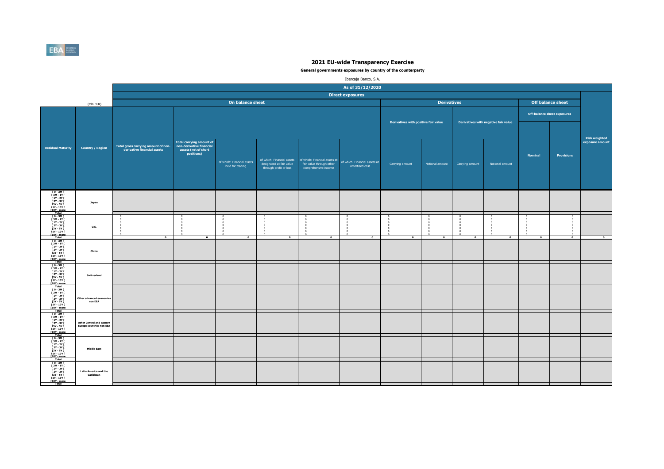

|                                                                                                                                                                                                                                                         |                                                                     |                                                                    |                                                                                                   |                                                |                                                                                  |                                                                                   | Ibercaja Banco, S.A.                                   |                                      |                    |                 |                                      |                |                                    |                      |
|---------------------------------------------------------------------------------------------------------------------------------------------------------------------------------------------------------------------------------------------------------|---------------------------------------------------------------------|--------------------------------------------------------------------|---------------------------------------------------------------------------------------------------|------------------------------------------------|----------------------------------------------------------------------------------|-----------------------------------------------------------------------------------|--------------------------------------------------------|--------------------------------------|--------------------|-----------------|--------------------------------------|----------------|------------------------------------|----------------------|
|                                                                                                                                                                                                                                                         |                                                                     |                                                                    |                                                                                                   |                                                |                                                                                  |                                                                                   | As of 31/12/2020                                       |                                      |                    |                 |                                      |                |                                    |                      |
|                                                                                                                                                                                                                                                         |                                                                     |                                                                    |                                                                                                   |                                                |                                                                                  |                                                                                   | <b>Direct exposures</b>                                |                                      |                    |                 |                                      |                |                                    |                      |
|                                                                                                                                                                                                                                                         | (mln EUR)                                                           |                                                                    |                                                                                                   | On balance sheet                               |                                                                                  |                                                                                   |                                                        |                                      | <b>Derivatives</b> |                 |                                      |                | <b>Off balance sheet</b>           |                      |
|                                                                                                                                                                                                                                                         |                                                                     |                                                                    |                                                                                                   |                                                |                                                                                  |                                                                                   |                                                        |                                      |                    |                 |                                      |                | <b>Off-balance sheet exposures</b> |                      |
|                                                                                                                                                                                                                                                         |                                                                     |                                                                    |                                                                                                   |                                                |                                                                                  |                                                                                   |                                                        | Derivatives with positive fair value |                    |                 | Derivatives with negative fair value |                |                                    | <b>Risk weighted</b> |
| <b>Residual Maturity</b>                                                                                                                                                                                                                                | <b>Country / Region</b>                                             | Total gross carrying amount of non-<br>derivative financial assets | <b>Total carrying amount of</b><br>non-derivative financial<br>assets (net of short<br>positions) | of which: Financial assets<br>held for trading | of which: Financial assets<br>designated at fair value<br>through profit or loss | of which: Financial assets at<br>fair value through other<br>comprehensive income | of which: Financial assets at<br>amortised cost        | Carrying amount                      | Notional amount    | Carrying amount | Notional amount                      | <b>Nominal</b> | <b>Provisions</b>                  | exposure amount      |
| $\begin{array}{c} 10 - 3M1 \\ 13M - 1Y1 \end{array}$<br>[ 1Y - 2Y [<br><b>F2Y - 3Y F</b><br>[3Y - 5Y  <br><b>FSY - 10Y F</b><br>[10Y - more<br>Total                                                                                                    | Japan                                                               |                                                                    |                                                                                                   |                                                |                                                                                  |                                                                                   |                                                        |                                      |                    |                 |                                      |                |                                    |                      |
| T 0 - 3M F<br>[ 3M - 1Y [<br><b>F 1Y - 2Y F</b><br>[ 2Y - 3Y I<br>$[3Y - SY]$<br>$15Y - 10Y$<br>[10Y - more<br>Total                                                                                                                                    | <b>U.S.</b>                                                         | $\overline{0}$                                                     |                                                                                                   | $\overline{0}$                                 | $\overline{0}$                                                                   | $\overline{\phantom{a}}$                                                          | $^{\circ}$<br>$\Omega$<br>$^{\circ}$<br>$\overline{0}$ | $\overline{0}$                       | $\overline{0}$     | $\overline{0}$  | $\overline{0}$                       | $\overline{0}$ | $\bullet$                          | $\overline{ }$       |
| $10 - 3M$<br>$[3M-1Y]$<br>$\begin{array}{c} 1 \text{ } 11 \text{ } 11 \text{ } \\ 1 \text{ } 11 \text{ } 12 \text{ } 11 \text{ } \\ 1 \text{ } 21 \text{ } 1 \text{ } 31 \text{ } 1 \end{array}$<br>$13Y - SYI$<br>[5Y - 10Y [<br>[10Y - more]<br>Total | China                                                               |                                                                    |                                                                                                   |                                                |                                                                                  |                                                                                   |                                                        |                                      |                    |                 |                                      |                |                                    |                      |
| $10 - 3M$<br><b>F3M-1YF</b><br><b>F 1Y - 2Y F</b><br>[ 2Y - 3Y [<br><b>13Y - 5Y F</b><br><b>FSY - 10Y F</b><br><b>T10Y</b> - more<br>Total                                                                                                              | Switzerland                                                         |                                                                    |                                                                                                   |                                                |                                                                                  |                                                                                   |                                                        |                                      |                    |                 |                                      |                |                                    |                      |
| $[0 - 3M]$<br><b>F3M-1YF</b><br><b>F 1Y - 2Y F</b><br><b>F2Y-3YF</b><br>[3Y - 5Y [<br><b>FSY - 10Y F</b><br>[10Y - more]<br>Total                                                                                                                       | Other advanced econor<br>non EEA                                    |                                                                    |                                                                                                   |                                                |                                                                                  |                                                                                   |                                                        |                                      |                    |                 |                                      |                |                                    |                      |
| $\begin{array}{c} 10 - 3M \\ 13M - 1Y \\ 1Y - 2Y \end{array}$<br>1<br>13Y - 3Y I<br>13Y - 5Y I<br>15Y - 10Y I<br>[10Y - more<br>Total                                                                                                                   | <b>Other Central and eastern</b><br><b>Europe countries non EEA</b> |                                                                    |                                                                                                   |                                                |                                                                                  |                                                                                   |                                                        |                                      |                    |                 |                                      |                |                                    |                      |
| [0-3M]<br>[3M-1Y]<br>[1Y-2Y]<br>$[2Y - 3Y]$<br>$13Y - 5YI$<br><b>FSY - 10Y F</b><br>T10Y - more                                                                                                                                                         | <b>Middle East</b>                                                  |                                                                    |                                                                                                   |                                                |                                                                                  |                                                                                   |                                                        |                                      |                    |                 |                                      |                |                                    |                      |
| T0-3MT<br>[ 3M - 1Y [<br><b>F 1Y - 2Y F</b><br><b>F2Y - 3Y F</b><br>[3Y - 5Y  <br>[5Y - 10Y [<br>[10Y - more<br>Total                                                                                                                                   | <b>Latin America and the</b><br>Caribbean                           |                                                                    |                                                                                                   |                                                |                                                                                  |                                                                                   |                                                        |                                      |                    |                 |                                      |                |                                    |                      |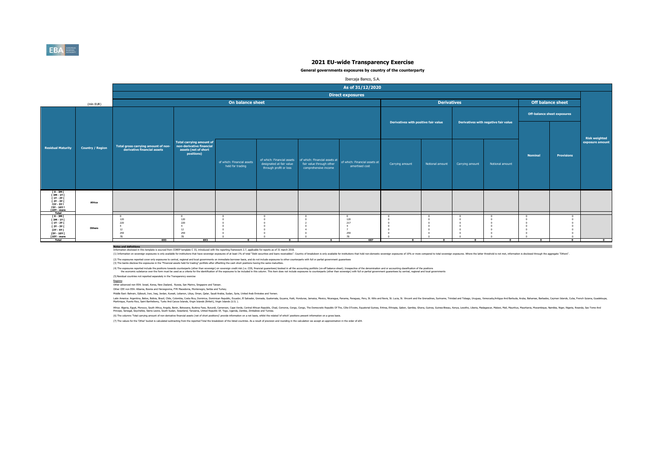

#### **General governments exposures by country of the counterparty**

|                                                                                                                    |                         |                                                                    |                                                                                                   |                                                |                                                                                  |                                                                                                                 | Ibercaja Banco, S.A.                                             |                                      |                    |                 |                                      |                |                                    |                                         |
|--------------------------------------------------------------------------------------------------------------------|-------------------------|--------------------------------------------------------------------|---------------------------------------------------------------------------------------------------|------------------------------------------------|----------------------------------------------------------------------------------|-----------------------------------------------------------------------------------------------------------------|------------------------------------------------------------------|--------------------------------------|--------------------|-----------------|--------------------------------------|----------------|------------------------------------|-----------------------------------------|
|                                                                                                                    |                         |                                                                    |                                                                                                   |                                                |                                                                                  |                                                                                                                 | As of 31/12/2020                                                 |                                      |                    |                 |                                      |                |                                    |                                         |
|                                                                                                                    |                         |                                                                    |                                                                                                   |                                                |                                                                                  |                                                                                                                 | <b>Direct exposures</b>                                          |                                      |                    |                 |                                      |                |                                    |                                         |
|                                                                                                                    | (mln EUR)               |                                                                    |                                                                                                   | On balance sheet                               |                                                                                  |                                                                                                                 |                                                                  |                                      | <b>Derivatives</b> |                 |                                      |                | Off balance sheet                  |                                         |
|                                                                                                                    |                         |                                                                    |                                                                                                   |                                                |                                                                                  |                                                                                                                 |                                                                  | Derivatives with positive fair value |                    |                 | Derivatives with negative fair value |                | <b>Off-balance sheet exposures</b> |                                         |
|                                                                                                                    |                         |                                                                    |                                                                                                   |                                                |                                                                                  |                                                                                                                 |                                                                  |                                      |                    |                 |                                      |                |                                    |                                         |
| <b>Residual Maturity</b>                                                                                           | <b>Country / Region</b> | Total gross carrying amount of non-<br>derivative financial assets | <b>Total carrying amount of</b><br>non-derivative financial<br>assets (net of short<br>positions) | of which: Financial assets<br>held for trading | of which: Financial assets<br>designated at fair value<br>through profit or loss | of which: Financial assets at of which: Financial assets at<br>fair value through other<br>comprehensive income | amortised cost                                                   | Carrying amount                      | Notional amount    | Carrying amount | Notional amount                      | <b>Nominal</b> | <b>Provisions</b>                  | <b>Risk weighted</b><br>exposure amount |
| 0 - 3M  <br>  3M - 1Y  <br>  1Y - 2Y  <br>$12Y - 3YI$<br>[3Y - 5Y  <br>[5Y - 10Y  <br>[10Y - more<br>Total         | Africa                  |                                                                    |                                                                                                   |                                                |                                                                                  |                                                                                                                 |                                                                  |                                      |                    |                 |                                      |                |                                    |                                         |
| $10 - 3M$<br>$[3M-1Y]$<br>$[1Y - 2Y]$<br>[ 2Y - 3Y [<br>[3Y - 5Y]<br>[5Y - 10Y [<br>$[10Y - more]$<br><b>Total</b> | Others                  | 120<br>220<br>$\overline{4}$<br>12<br>259<br>78<br>693             | 120<br>220<br>$\overline{4}$<br>12<br>259<br>78<br>693                                            | $\Omega$                                       | $\Omega$                                                                         | $6^{\circ}$                                                                                                     | $^{0}_{120}$<br>217<br>$-4$<br>$\rightarrow$<br>259<br>78<br>687 | $\Omega$                             | $\Omega$           | $\Omega$        | 0                                    | $\Omega$       | $\Omega$                           | $\mathbf{a}$                            |

**Notes and definitions** Information disclosed in this template is sourced from COREP template C 33, introduced with the reporting framework 2.7, applicable for reports as of 31 march 2018.

(1) Information on sovereign exposures is only available for institutions that the sovereign exposures of at least 1% of total "Debt securities and loans excelvables". Country of treakdown is only available for institution

(2) The exposures reported cover only exposures to central, regional and local governments on immediate bornwer basis, and do not indude exposures to other counterparts with full or partial government guarantees<br>(3) The ba

(4) The exposures reported notoe throw both of the second mark of the than sovereign) on sovereign or sovereign credit ratio. CDS, financial parantes booked in ill he accounting portfolior or the language of the deconomers

(5) Residual countries not reported separately in the Transparency exercise

Regions: Other advanced non EEA: Israel, Korea, New Zealand, Russia, San Marino, Singapore and Taiwan.

Other CEE non EEA: Albania, Bosnia and Herzegovina, FYR Macedonia, Montenegro, Serbia and Turkey.

Middle East: Bahrain, Djibouti, Iran, Iraq, Jordan, Kuwait, Lebanon, Libya, Oman, Qatar, Saudi Arabia, Sudan, Syria, United Arab Emirates and Yemen.

latih Ashan, Belan, Bang, China, China, China, Bang, Danika, Danika, Danik, Canady, Genas, Gazlemas, Gazan, Haki Honduras, Jamaia, Mexico, Rengay, Penga, Penga, Penga, Mexica, Suka, S. Witch Mexica, Suka, Suka, Suka, Suka,

Afra. Egyt, Moroco, Suth Afra. Argol, Behn, Boxwan, Burind, Enno, Camp, Camp, Camp, Camp, Camp, Camp, Camp, Camp, Camp, Camp, Camp, The District Proposit Republic Of The Camp, Englisher, annough and a strate and aniss.<br>Pin

(6) The columns 'Total carrying amount of non-derivative financial assets (net of short positions)' provide information on a net basis, whilst the related 'of which' positions present information on a gross basis.

(7) The values for the 'Other' bucket is calculated subtracting from the reported Total the breakdown of the listed countries. As a result of precision and rounding in the calculation we accept an approximation in the orde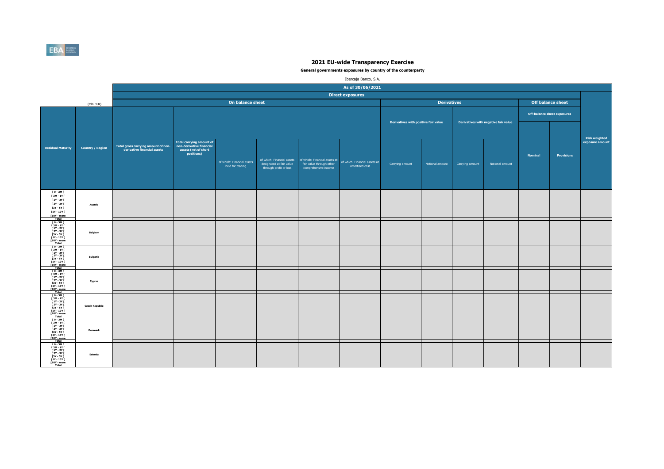

|                                                                                                                                         |                         |                                     |                                                             |                                                |                                                                                  |                                                                                   | Ibercaja Banco, S.A.                            |                                      |                    |                 |                                      |                |                                    |                                  |
|-----------------------------------------------------------------------------------------------------------------------------------------|-------------------------|-------------------------------------|-------------------------------------------------------------|------------------------------------------------|----------------------------------------------------------------------------------|-----------------------------------------------------------------------------------|-------------------------------------------------|--------------------------------------|--------------------|-----------------|--------------------------------------|----------------|------------------------------------|----------------------------------|
|                                                                                                                                         |                         |                                     |                                                             |                                                |                                                                                  |                                                                                   | As of 30/06/2021                                |                                      |                    |                 |                                      |                |                                    |                                  |
|                                                                                                                                         |                         |                                     |                                                             |                                                |                                                                                  |                                                                                   | <b>Direct exposures</b>                         |                                      |                    |                 |                                      |                |                                    |                                  |
|                                                                                                                                         | (mln EUR)               |                                     |                                                             | On balance sheet                               |                                                                                  |                                                                                   |                                                 |                                      | <b>Derivatives</b> |                 |                                      |                | <b>Off balance sheet</b>           |                                  |
|                                                                                                                                         |                         |                                     |                                                             |                                                |                                                                                  |                                                                                   |                                                 |                                      |                    |                 |                                      |                | <b>Off-balance sheet exposures</b> |                                  |
|                                                                                                                                         |                         | Total gross carrying amount of non- | <b>Total carrying amount of</b><br>non-derivative financial |                                                |                                                                                  |                                                                                   |                                                 | Derivatives with positive fair value |                    |                 | Derivatives with negative fair value |                |                                    | Risk weighted<br>exposure amount |
| <b>Residual Maturity</b>                                                                                                                | <b>Country / Region</b> | derivative financial assets         | assets (net of short<br>positions)                          | of which: Financial assets<br>held for trading | of which: Financial assets<br>designated at fair value<br>through profit or loss | of which: Financial assets at<br>fair value through other<br>comprehensive income | of which: Financial assets at<br>amortised cost | Carrying amount                      | Notional amount    | Carrying amount | Notional amount                      | <b>Nominal</b> | <b>Provisions</b>                  |                                  |
| [ 0 - 3M [<br>[ 3M - 1Y [<br>[ 1Y - 2Y [<br>[ 2Y - 3Y [<br>[3Y - 5Y [<br>[5Y - 10Y [<br>$[10Y - more]$<br>Total                         | Austria                 |                                     |                                                             |                                                |                                                                                  |                                                                                   |                                                 |                                      |                    |                 |                                      |                |                                    |                                  |
| $[0 - 3M]$<br>$\begin{array}{c} 13M - 1Y \\ 11Y - 2Y \\ 12Y - 3Y \end{array}$<br>[3Y - 5Y [<br><b>FSY - 10Y F</b><br>[10Y - more        | Belgium                 |                                     |                                                             |                                                |                                                                                  |                                                                                   |                                                 |                                      |                    |                 |                                      |                |                                    |                                  |
| Total<br>Fotal<br>F 0 - 3M F<br>F 3M - 1Y F<br>F 1Y - 2Y F<br><b>F2Y - 3Y F</b><br>[3Y - 5Y  <br><b>FSY - 10Y F</b><br>[10Y - more      | <b>Bulgaria</b>         |                                     |                                                             |                                                |                                                                                  |                                                                                   |                                                 |                                      |                    |                 |                                      |                |                                    |                                  |
| ГО-ЗМГ<br>ГЗМ-1ҮГ<br><b>F 1Y - 2Y F</b><br>[ 2Y - 3Y [<br>[21 - 31]<br>[3Y - 5Y ]<br>[5Y - 10Y ]                                        | Cyprus                  |                                     |                                                             |                                                |                                                                                  |                                                                                   |                                                 |                                      |                    |                 |                                      |                |                                    |                                  |
| Total<br>$10 - 3M$<br>[ 3M - 1Y [<br>  3M - 11  <br>  1Y - 2Y  <br>  2Y - 3Y  <br>  13Y - 5Y  <br>  5Y - 10Y  <br>[10Y - more           | <b>Czech Republic</b>   |                                     |                                                             |                                                |                                                                                  |                                                                                   |                                                 |                                      |                    |                 |                                      |                |                                    |                                  |
| Total<br>Fo - 3M F<br>F 3M - 1Y F<br>F 1Y - 2Y F<br><b>F2Y - 3Y F</b><br>[3Y - 5Y I]<br><b>FSY - 10Y F</b><br>[10Y - more<br>Total      | Denmark                 |                                     |                                                             |                                                |                                                                                  |                                                                                   |                                                 |                                      |                    |                 |                                      |                |                                    |                                  |
| $[0 - 3M]$<br>$[3M - 1Y]$<br><b>F 1Y - 2Y F</b><br><b>F2Y - 3Y F</b><br>[3Y - 5Y [<br><b>FSY - 10Y F</b><br>[10Y - more<br><b>Total</b> | Estonia                 |                                     |                                                             |                                                |                                                                                  |                                                                                   |                                                 |                                      |                    |                 |                                      |                |                                    |                                  |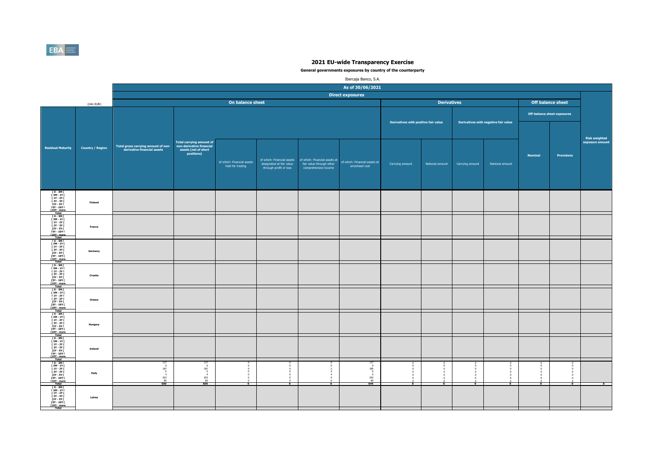

|                                                                                                                                          |                         |                                                                                      |                                                                                                   |                                                      |                                                    |                                                                                                                | Ibercaja Banco, S.A.                                                          |                                      |                          |                 |                                      |                          |                             |                                  |
|------------------------------------------------------------------------------------------------------------------------------------------|-------------------------|--------------------------------------------------------------------------------------|---------------------------------------------------------------------------------------------------|------------------------------------------------------|----------------------------------------------------|----------------------------------------------------------------------------------------------------------------|-------------------------------------------------------------------------------|--------------------------------------|--------------------------|-----------------|--------------------------------------|--------------------------|-----------------------------|----------------------------------|
|                                                                                                                                          |                         |                                                                                      |                                                                                                   |                                                      |                                                    |                                                                                                                | As of 30/06/2021                                                              |                                      |                          |                 |                                      |                          |                             |                                  |
|                                                                                                                                          |                         |                                                                                      |                                                                                                   |                                                      |                                                    |                                                                                                                | <b>Direct exposures</b>                                                       |                                      |                          |                 |                                      |                          |                             |                                  |
|                                                                                                                                          | (mln EUR)               |                                                                                      |                                                                                                   | On balance sheet                                     |                                                    |                                                                                                                |                                                                               |                                      | <b>Derivatives</b>       |                 |                                      |                          | Off balance sheet           |                                  |
|                                                                                                                                          |                         |                                                                                      |                                                                                                   |                                                      |                                                    |                                                                                                                |                                                                               |                                      |                          |                 |                                      |                          | Off-balance sheet exposures |                                  |
|                                                                                                                                          |                         |                                                                                      |                                                                                                   |                                                      |                                                    |                                                                                                                |                                                                               | Derivatives with positive fair value |                          |                 | Derivatives with negative fair value |                          |                             |                                  |
| <b>Residual Maturity</b>                                                                                                                 | <b>Country / Region</b> | Total gross carrying amount of non-<br>derivative financial assets                   | <b>Total carrying amount of</b><br>non-derivative financial<br>assets (net of short<br>positions) | of which: Financial assets<br>held for trading       | designated at fair value<br>through profit or loss | of which: Financial assets   of which: Financial assets at<br>fair value through other<br>comprehensive income | of which: Financial assets at<br>amortised cost                               | Carrying amount                      | Notional amount          | Carrying amount | Notional amount                      | <b>Nominal</b>           | <b>Provisions</b>           | Risk weighted<br>exposure amount |
| [0-3M]<br>[3M-1Y]<br>[1Y-2Y]<br>$12Y - 3YI$<br>121 - 311<br>13Y - 5Y I<br>15Y - 10Y I<br>10Y - more<br>Total                             | Finland                 |                                                                                      |                                                                                                   |                                                      |                                                    |                                                                                                                |                                                                               |                                      |                          |                 |                                      |                          |                             |                                  |
| [0-3M]<br>[3M-1Y]<br>[1Y-2Y]<br><b>F2Y - 3Y F</b><br>$[3Y - 5Y]$<br>$[5Y - 10Y]$<br><b>f10Y</b> - more<br>Total                          | France                  |                                                                                      |                                                                                                   |                                                      |                                                    |                                                                                                                |                                                                               |                                      |                          |                 |                                      |                          |                             |                                  |
| $\begin{array}{c} 10 - 3M \\ 3M - 1Y \\ 1Y - 2Y \end{array}$<br>$12Y - 3YI$<br>[3Y - 5Y  <br>[5Y - 10Y  <br>[10Y - more]<br>Total        | Germany                 |                                                                                      |                                                                                                   |                                                      |                                                    |                                                                                                                |                                                                               |                                      |                          |                 |                                      |                          |                             |                                  |
| 10-3MT<br>13M-1YT<br>11Y-2YT<br>[ 2Y - 3Y [<br>$\begin{array}{r} 121.31 \\ 13Y - 5YI \\ 15Y - 10YI \\ 110Y - more \\ \hline \end{array}$ | Croatia                 |                                                                                      |                                                                                                   |                                                      |                                                    |                                                                                                                |                                                                               |                                      |                          |                 |                                      |                          |                             |                                  |
| $[0 - 3M]$<br>$13M - 1Y$<br><b>F2Y - 3Y F</b><br>[3Y - 5Y]<br>[5Y - 10Y  <br>[10Y - more<br>Total                                        | Greece                  |                                                                                      |                                                                                                   |                                                      |                                                    |                                                                                                                |                                                                               |                                      |                          |                 |                                      |                          |                             |                                  |
| ГО-ЗМГ<br>ГЗМ-1ҮГ<br>$[1Y - 2Y]$<br><b>F2Y - 3Y F</b><br>[3Y - 5Y  <br>[5Y - 10Y  <br>[10Y - more<br>Total                               | Hungary                 |                                                                                      |                                                                                                   |                                                      |                                                    |                                                                                                                |                                                                               |                                      |                          |                 |                                      |                          |                             |                                  |
| [0-3M]<br>[3M-1Y]<br>$11Y - 2YI$<br>[ 2Y - 3Y [<br>[3Y - 5Y  <br>[5Y - 10Y  <br>[10Y - more<br>Total                                     | Ireland                 |                                                                                      |                                                                                                   |                                                      |                                                    |                                                                                                                |                                                                               |                                      |                          |                 |                                      |                          |                             |                                  |
| [0-3M]<br>[3M-1Y]<br>$11Y - 2YI$<br><b>F2Y - 3Y F</b><br>[3Y - 5Y  <br>[5Y - 10Y  <br>[10Y - more]<br>Total                              | Italy                   | 117<br>$\overline{0}$<br>187<br>$\overline{0}$<br>$\overline{4}$<br>263<br>80<br>650 | 117<br>$\overline{0}$<br>187<br>$\Omega$<br>263<br>80<br>650                                      | $^{\circ}$<br>$^{\circ}$<br>$\overline{\phantom{a}}$ | $\bullet$                                          | $\overline{6}$                                                                                                 | 117<br>$\overline{0}$<br>185<br>$\circ$<br>$\overline{0}$<br>263<br>80<br>644 | $\overline{\bullet}$                 | $\overline{\phantom{a}}$ | $\overline{a}$  | $\overline{\phantom{a}}$             | $\overline{\phantom{a}}$ | $\Omega$<br>$\bullet$       | $\overline{\phantom{a}}$         |
| ГО-ЗМГ<br>ГЗМ-1ҮГ<br>$[1Y - 2Y]$<br><b>F2Y - 3Y F</b><br>[3Y - 5Y  <br>[5Y - 10Y  <br>[10Y - more<br>Total                               | Latvia                  |                                                                                      |                                                                                                   |                                                      |                                                    |                                                                                                                |                                                                               |                                      |                          |                 |                                      |                          |                             |                                  |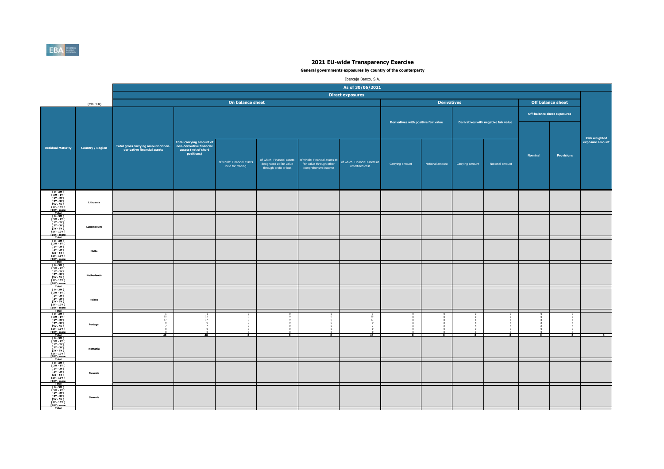

|                                                                                                                                                                                        |                         |                                                                    |                                                                                                   |                                                |                                                    |                                                                                                                | Ibercaja Banco, S.A.                            |                                      |                    |                 |                                      |                |                             |                                  |
|----------------------------------------------------------------------------------------------------------------------------------------------------------------------------------------|-------------------------|--------------------------------------------------------------------|---------------------------------------------------------------------------------------------------|------------------------------------------------|----------------------------------------------------|----------------------------------------------------------------------------------------------------------------|-------------------------------------------------|--------------------------------------|--------------------|-----------------|--------------------------------------|----------------|-----------------------------|----------------------------------|
|                                                                                                                                                                                        |                         |                                                                    |                                                                                                   |                                                |                                                    |                                                                                                                | As of 30/06/2021                                |                                      |                    |                 |                                      |                |                             |                                  |
|                                                                                                                                                                                        |                         |                                                                    |                                                                                                   |                                                |                                                    |                                                                                                                | <b>Direct exposures</b>                         |                                      |                    |                 |                                      |                |                             |                                  |
|                                                                                                                                                                                        | (mln EUR)               |                                                                    |                                                                                                   | On balance sheet                               |                                                    |                                                                                                                |                                                 |                                      | <b>Derivatives</b> |                 |                                      |                | Off balance sheet           |                                  |
|                                                                                                                                                                                        |                         |                                                                    |                                                                                                   |                                                |                                                    |                                                                                                                |                                                 |                                      |                    |                 |                                      |                | Off-balance sheet exposures |                                  |
|                                                                                                                                                                                        |                         |                                                                    |                                                                                                   |                                                |                                                    |                                                                                                                |                                                 | Derivatives with positive fair value |                    |                 | Derivatives with negative fair value |                |                             |                                  |
| <b>Residual Maturity</b>                                                                                                                                                               | <b>Country / Region</b> | Total gross carrying amount of non-<br>derivative financial assets | <b>Total carrying amount of</b><br>non-derivative financial<br>assets (net of short<br>positions) | of which: Financial assets<br>held for trading | designated at fair value<br>through profit or loss | of which: Financial assets   of which: Financial assets at<br>fair value through other<br>comprehensive income | of which: Financial assets at<br>amortised cost | Carrying amount                      | Notional amount    | Carrying amount | Notional amount                      | <b>Nominal</b> | <b>Provisions</b>           | Risk weighted<br>exposure amount |
| [0-3M]<br>[3M-1Y]<br>[1Y-2Y]<br>$12Y - 3YI$<br>121 - 311<br>13Y - 5Y I<br>15Y - 10Y I<br>10Y - more<br>Total                                                                           | Lithuania               |                                                                    |                                                                                                   |                                                |                                                    |                                                                                                                |                                                 |                                      |                    |                 |                                      |                |                             |                                  |
| [0-3M]<br>[3M-1Y]<br>[1Y-2Y]<br><b>F2Y - 3Y F</b><br>$[3Y - 5Y]$<br>$[5Y - 10Y]$<br><b>f10Y</b> - more<br>Total                                                                        | Luxembourg              |                                                                    |                                                                                                   |                                                |                                                    |                                                                                                                |                                                 |                                      |                    |                 |                                      |                |                             |                                  |
| $\begin{array}{c} 10 - 3M \\ 3M - 1Y \\ 1Y - 2Y \end{array}$<br>$12Y - 3YI$<br>[3Y - 5Y  <br>[5Y - 10Y  <br>[10Y - more]<br>Total                                                      | Malta                   |                                                                    |                                                                                                   |                                                |                                                    |                                                                                                                |                                                 |                                      |                    |                 |                                      |                |                             |                                  |
| $\begin{array}{c} 10 - 3M & 1 \\ 13M - 1Y & 1 \\ 11Y - 2Y & 1 \end{array}$<br>[ 2Y - 3Y [<br>$\begin{array}{r} 121.31 \\ 13Y - 5YI \\ 15Y - 10YI \\ 110Y - more \\ \hline \end{array}$ | <b>Netherlands</b>      |                                                                    |                                                                                                   |                                                |                                                    |                                                                                                                |                                                 |                                      |                    |                 |                                      |                |                             |                                  |
| $[0 - 3M]$<br>$13M - 1Y$<br><b>F2Y - 3Y F</b><br>[3Y - 5Y]<br>[5Y - 10Y  <br>[10Y - more<br>Total                                                                                      | Poland                  |                                                                    |                                                                                                   |                                                |                                                    |                                                                                                                |                                                 |                                      |                    |                 |                                      |                |                             |                                  |
| ГО-ЗМГ<br>ГЗМ-1ҮГ<br>$[1Y - 2Y]$<br><b>F2Y - 3Y F</b><br>[3Y - 5Y  <br>[5Y - 10Y  <br>[10Y - more<br>Total                                                                             | Portugal                | $\frac{15}{17}$<br>40                                              | 15<br>17<br>40                                                                                    | $\mathbf{r}$                                   | $\sqrt{2}$                                         |                                                                                                                | $\frac{15}{17}$<br>40                           | $\overline{ }$                       | $\overline{ }$     |                 | $\overline{0}$                       | $\overline{ }$ | $\sim$<br>$\overline{0}$    | ō                                |
| [0-3M]<br>[3M-1Y]<br>$11Y - 2YI$<br>[ 2Y - 3Y [<br>[3Y - 5Y  <br>[5Y - 10Y  <br>[10Y - more<br>Total                                                                                   | Romania                 |                                                                    |                                                                                                   |                                                |                                                    |                                                                                                                |                                                 |                                      |                    |                 |                                      |                |                             |                                  |
| [0-3M]<br>[3M-1Y]<br>$11Y - 2YI$<br><b>F2Y - 3Y F</b><br>[3Y - 5Y  <br>[5Y - 10Y  <br>[10Y - more]<br>Total                                                                            | Slovakia                |                                                                    |                                                                                                   |                                                |                                                    |                                                                                                                |                                                 |                                      |                    |                 |                                      |                |                             |                                  |
| ГО-ЗМГ<br>ГЗМ-1ҮГ<br>$[1Y - 2Y]$<br><b>F2Y - 3Y F</b><br>[3Y - 5Y  <br>[5Y - 10Y  <br>[10Y - more<br>Total                                                                             | Slovenia                |                                                                    |                                                                                                   |                                                |                                                    |                                                                                                                |                                                 |                                      |                    |                 |                                      |                |                             |                                  |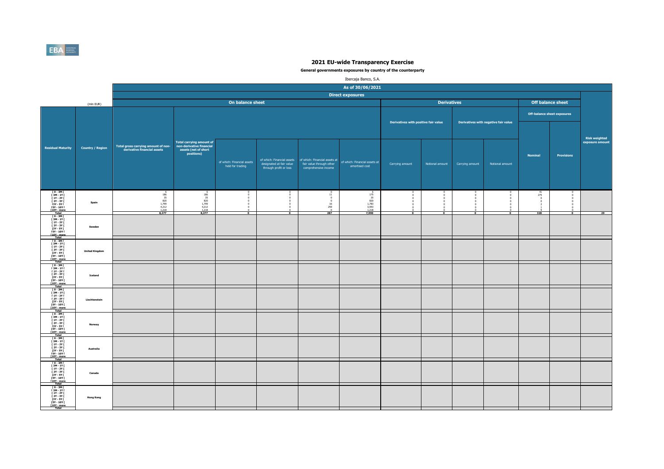

|                                                                                                                                                            |                         |                                                                                                   |                                                                                                   |                                                |                                                    |                                                                                                                | Ibercaja Banco, S.A.                                                   |                                      |                    |                 |                                      |                                    |                          |                      |
|------------------------------------------------------------------------------------------------------------------------------------------------------------|-------------------------|---------------------------------------------------------------------------------------------------|---------------------------------------------------------------------------------------------------|------------------------------------------------|----------------------------------------------------|----------------------------------------------------------------------------------------------------------------|------------------------------------------------------------------------|--------------------------------------|--------------------|-----------------|--------------------------------------|------------------------------------|--------------------------|----------------------|
|                                                                                                                                                            |                         |                                                                                                   |                                                                                                   |                                                |                                                    |                                                                                                                | As of 30/06/2021                                                       |                                      |                    |                 |                                      |                                    |                          |                      |
|                                                                                                                                                            |                         |                                                                                                   |                                                                                                   |                                                |                                                    |                                                                                                                | <b>Direct exposures</b>                                                |                                      |                    |                 |                                      |                                    |                          |                      |
|                                                                                                                                                            | (mln EUR)               |                                                                                                   |                                                                                                   | On balance sheet                               |                                                    |                                                                                                                |                                                                        |                                      | <b>Derivatives</b> |                 |                                      |                                    | <b>Off balance sheet</b> |                      |
|                                                                                                                                                            |                         |                                                                                                   |                                                                                                   |                                                |                                                    |                                                                                                                |                                                                        |                                      |                    |                 |                                      | <b>Off-balance sheet exposures</b> |                          |                      |
|                                                                                                                                                            |                         |                                                                                                   |                                                                                                   |                                                |                                                    |                                                                                                                |                                                                        | Derivatives with positive fair value |                    |                 | Derivatives with negative fair value |                                    |                          | <b>Risk weighted</b> |
| <b>Residual Maturity</b>                                                                                                                                   | <b>Country / Region</b> | Total gross carrying amount of non-<br>derivative financial assets                                | <b>Total carrying amount of</b><br>non-derivative financial<br>assets (net of short<br>positions) | of which: Financial assets<br>held for trading | designated at fair value<br>through profit or loss | of which: Financial assets   of which: Financial assets at<br>fair value through other<br>comprehensive income | of which: Financial assets at<br>amortised cost                        | Carrying amount                      | Notional amount    | Carrying amount | Notional amount                      | <b>Nominal</b>                     | Provisions               | exposure amount      |
| 10 - 3M  <br>13M - 1Y  <br>11Y - 2Y  <br>$12Y - 3YI$<br>121 - 311<br>13Y - 5Y I<br>15Y - 10Y I<br>10Y - more<br>Total                                      | Spain                   | $\begin{array}{r} 6 \\ 186 \\ 35 \\ 820 \\ 1,799 \\ 4,212 \\ 1,218 \\ \textbf{8,277} \end{array}$ | $6$<br>$186$<br>$35$<br>$820$<br>$1,799$<br>$4,212$<br>$1,218$<br>$8,277$                         |                                                |                                                    | 11<br>$\circ$<br>$\frac{16}{259}$<br>287                                                                       | 6<br>175<br>35<br>35<br>820<br>1,783<br>3,953<br>1,218<br><b>7,990</b> |                                      |                    |                 |                                      | $\frac{41}{275}$<br>328            | $\overline{ }$           | $\overline{29}$      |
| [0-3M]<br>[3M-1Y]<br>[1Y-2Y]<br>1 2Y - 3Y I<br>[3Y - 5Y I<br>[5Y - 10Y I<br><b>f10Y</b> - more<br>Total                                                    | Sweden                  |                                                                                                   |                                                                                                   |                                                |                                                    |                                                                                                                |                                                                        |                                      |                    |                 |                                      |                                    |                          |                      |
| 10-3M<br>1 3M - 1Y<br>1 3M - 1Y<br>1 1Y - 2Y<br>1 3Y - 5Y<br>13Y - 10Y<br>1<br>[10Y - more]<br>Total                                                       | <b>United Kingdom</b>   |                                                                                                   |                                                                                                   |                                                |                                                    |                                                                                                                |                                                                        |                                      |                    |                 |                                      |                                    |                          |                      |
| $\begin{array}{c} 10 - 3M & 1 \\ 13M - 1Y & 1 \\ 11Y - 2Y & 1 \end{array}$<br>[ 2Y - 3Y [<br>121 - 31<br>13Y - 5Y I<br>15Y - 10Y I<br>110Y - more<br>Total | Iceland                 |                                                                                                   |                                                                                                   |                                                |                                                    |                                                                                                                |                                                                        |                                      |                    |                 |                                      |                                    |                          |                      |
| [ 0 - 3M [<br>$\begin{array}{c} 13M - 1Y \\ 1Y - 2Y \end{array}$<br>[ 2Y - 3Y  <br>$[3Y - 5Y]$<br>$[5Y - 10Y]$<br>[10Y - more<br>Total                     | Liechtenstein           |                                                                                                   |                                                                                                   |                                                |                                                    |                                                                                                                |                                                                        |                                      |                    |                 |                                      |                                    |                          |                      |
| 10 - 3M F<br>13M - 1Y F<br>11Y - 2Y [<br><b>F2Y - 3Y F</b><br>[3Y - 5Y  <br>[5Y - 10Y  <br>[10Y - more<br>Total                                            | Norway                  |                                                                                                   |                                                                                                   |                                                |                                                    |                                                                                                                |                                                                        |                                      |                    |                 |                                      |                                    |                          |                      |
| [0-3M]<br>[3M-1Y]<br>[1Y-2Y]<br>[ 2Y - 3Y [<br>13Y - 5Y I<br>15Y - 10Y I<br>110Y - more<br>Total                                                           | Australia               |                                                                                                   |                                                                                                   |                                                |                                                    |                                                                                                                |                                                                        |                                      |                    |                 |                                      |                                    |                          |                      |
| [0-3M]<br>[3M-1Y]<br>$11Y - 2YI$<br>  2Y - 3Y  <br>  3Y - 5Y  <br>  5Y - 10Y  <br>[10Y - more<br>Total                                                     | Canada                  |                                                                                                   |                                                                                                   |                                                |                                                    |                                                                                                                |                                                                        |                                      |                    |                 |                                      |                                    |                          |                      |
| ГО-ЗМГ<br>ГЗМ-1ҮГ<br>$[1Y - 2Y]$<br>[ 2Y - 3Y  <br>[3Y - 5Y  <br>[5Y - 10Y  <br>[10Y - more<br>Total                                                       | <b>Hong Kong</b>        |                                                                                                   |                                                                                                   |                                                |                                                    |                                                                                                                |                                                                        |                                      |                    |                 |                                      |                                    |                          |                      |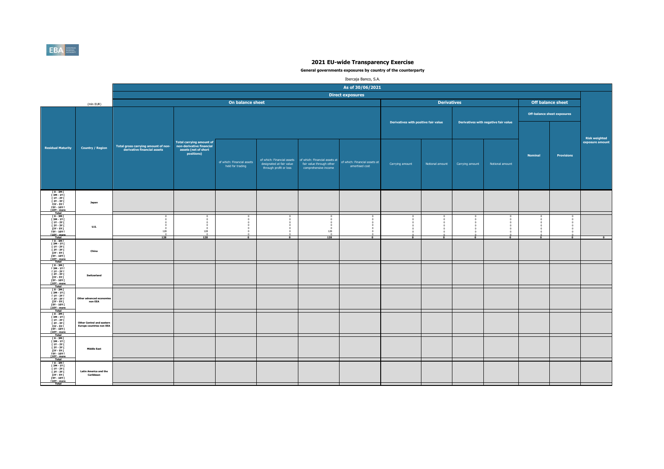

|                                                                                                                                                                                                                                                         |                                                                     |                                                                    |                                                                |                                                            |                                                                                  |                                                                                   | Ibercaja Banco, S.A.                            |                                      |                    |                 |                                      |                |                                    |                                         |
|---------------------------------------------------------------------------------------------------------------------------------------------------------------------------------------------------------------------------------------------------------|---------------------------------------------------------------------|--------------------------------------------------------------------|----------------------------------------------------------------|------------------------------------------------------------|----------------------------------------------------------------------------------|-----------------------------------------------------------------------------------|-------------------------------------------------|--------------------------------------|--------------------|-----------------|--------------------------------------|----------------|------------------------------------|-----------------------------------------|
|                                                                                                                                                                                                                                                         |                                                                     |                                                                    |                                                                |                                                            |                                                                                  |                                                                                   | As of 30/06/2021                                |                                      |                    |                 |                                      |                |                                    |                                         |
|                                                                                                                                                                                                                                                         |                                                                     |                                                                    |                                                                |                                                            |                                                                                  |                                                                                   | <b>Direct exposures</b>                         |                                      |                    |                 |                                      |                |                                    |                                         |
|                                                                                                                                                                                                                                                         | (mln EUR)                                                           |                                                                    |                                                                | On balance sheet                                           |                                                                                  |                                                                                   |                                                 |                                      | <b>Derivatives</b> |                 |                                      |                | <b>Off balance sheet</b>           |                                         |
|                                                                                                                                                                                                                                                         |                                                                     |                                                                    |                                                                |                                                            |                                                                                  |                                                                                   |                                                 |                                      |                    |                 |                                      |                | <b>Off-balance sheet exposures</b> |                                         |
|                                                                                                                                                                                                                                                         |                                                                     |                                                                    | <b>Total carrying amount of</b>                                |                                                            |                                                                                  |                                                                                   |                                                 | Derivatives with positive fair value |                    |                 | Derivatives with negative fair value |                |                                    | <b>Risk weighted</b><br>exposure amount |
| <b>Residual Maturity</b>                                                                                                                                                                                                                                | <b>Country / Region</b>                                             | Total gross carrying amount of non-<br>derivative financial assets | non-derivative financial<br>assets (net of short<br>positions) | of which: Financial assets<br>held for trading             | of which: Financial assets<br>designated at fair value<br>through profit or loss | of which: Financial assets at<br>fair value through other<br>comprehensive income | of which: Financial assets at<br>amortised cost | Carrying amount                      | Notional amount    | Carrying amount | Notional amount                      | <b>Nominal</b> | <b>Provisions</b>                  |                                         |
| $\begin{array}{c} 10 - 3M1 \\ 13M - 1Y1 \end{array}$<br>[ 1Y - 2Y [<br><b>F2Y - 3Y F</b><br>[3Y - 5Y  <br><b>FSY - 10Y F</b><br>[10Y - more<br>Total                                                                                                    | Japan                                                               |                                                                    |                                                                |                                                            |                                                                                  |                                                                                   |                                                 |                                      |                    |                 |                                      |                |                                    |                                         |
| T 0 - 3M F<br>[ 3M - 1Y [<br><b>F 1Y - 2Y F</b><br>[ 2Y - 3Y I<br>$[3Y - SY]$<br>$15Y - 10Y$<br>[10Y - more<br>Total                                                                                                                                    | <b>U.S.</b>                                                         | $\Omega$<br>$\Omega$<br>128<br>128                                 | n<br>$\sim$<br>128<br>128                                      | $\Omega$<br>$\Omega$<br>$^{\circ}$<br>$\overline{\bullet}$ | $\overline{\phantom{a}}$                                                         | $^{\circ}$<br>$\mathbf{a}$<br>128<br>128                                          | $\overline{0}$                                  |                                      |                    |                 | $\overline{0}$                       | $\overline{0}$ | $\overline{0}$                     | $\overline{ }$                          |
| $10 - 3M$<br>$[3M-1Y]$<br>$\begin{array}{c} 1 \text{ } 11 \text{ } 11 \text{ } \\ 1 \text{ } 11 \text{ } 12 \text{ } 11 \text{ } \\ 1 \text{ } 21 \text{ } 1 \text{ } 31 \text{ } 1 \end{array}$<br>$13Y - SYI$<br>[5Y - 10Y [<br>[10Y - more]<br>Total | China                                                               |                                                                    |                                                                |                                                            |                                                                                  |                                                                                   |                                                 |                                      |                    |                 |                                      |                |                                    |                                         |
| $10 - 3M$<br><b>F3M-1YF</b><br><b>F 1Y - 2Y F</b><br>[ 2Y - 3Y [<br><b>13Y - 5Y F</b><br><b>FSY - 10Y F</b><br><b>T10Y</b> - more<br>Total                                                                                                              | Switzerland                                                         |                                                                    |                                                                |                                                            |                                                                                  |                                                                                   |                                                 |                                      |                    |                 |                                      |                |                                    |                                         |
| $[0 - 3M]$<br><b>F3M-1YF</b><br><b>F 1Y - 2Y F</b><br><b>F2Y-3YF</b><br>[3Y - 5Y [<br><b>FSY - 10Y F</b><br>[10Y - more]<br>Total                                                                                                                       | Other advanced econor<br>non EEA                                    |                                                                    |                                                                |                                                            |                                                                                  |                                                                                   |                                                 |                                      |                    |                 |                                      |                |                                    |                                         |
| $\begin{array}{c} 10 - 3M \\ 13M - 1Y \\ 1Y - 2Y \end{array}$<br>1 2Y - 3Y I<br>13Y - 5Y I<br>15Y - 10Y I<br>[10Y - more<br>Total                                                                                                                       | <b>Other Central and eastern</b><br><b>Europe countries non EEA</b> |                                                                    |                                                                |                                                            |                                                                                  |                                                                                   |                                                 |                                      |                    |                 |                                      |                |                                    |                                         |
| [0-3M]<br>[3M-1Y]<br>[1Y-2Y]<br>$[2Y - 3Y]$<br>$13Y - 5YI$<br><b>FSY - 10Y F</b><br>T10Y - more                                                                                                                                                         | <b>Middle East</b>                                                  |                                                                    |                                                                |                                                            |                                                                                  |                                                                                   |                                                 |                                      |                    |                 |                                      |                |                                    |                                         |
| T0-3MT<br>[ 3M - 1Y [<br><b>F 1Y - 2Y F</b><br><b>F2Y - 3Y F</b><br>[3Y - 5Y  <br>[5Y - 10Y [<br>[10Y - more<br>Total                                                                                                                                   | <b>Latin America and the</b><br>Caribbean                           |                                                                    |                                                                |                                                            |                                                                                  |                                                                                   |                                                 |                                      |                    |                 |                                      |                |                                    |                                         |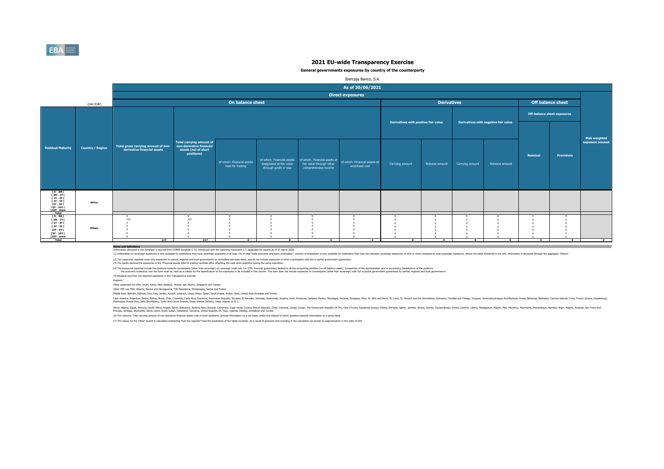

#### **General governments exposures by country of the counterparty**

|                                             |                         |                                     |                                                             |                            |                                                        |                          | Ibercaja Banco, S.A.                                        |                                      |                    |                 |                                      |                |                                    |                      |
|---------------------------------------------|-------------------------|-------------------------------------|-------------------------------------------------------------|----------------------------|--------------------------------------------------------|--------------------------|-------------------------------------------------------------|--------------------------------------|--------------------|-----------------|--------------------------------------|----------------|------------------------------------|----------------------|
|                                             |                         |                                     |                                                             |                            |                                                        |                          | As of 30/06/2021                                            |                                      |                    |                 |                                      |                |                                    |                      |
|                                             |                         |                                     |                                                             |                            |                                                        |                          | <b>Direct exposures</b>                                     |                                      |                    |                 |                                      |                |                                    |                      |
|                                             | (mln EUR)               |                                     |                                                             | On balance sheet           |                                                        |                          |                                                             |                                      | <b>Derivatives</b> |                 |                                      |                | Off balance sheet                  |                      |
|                                             |                         |                                     |                                                             |                            |                                                        |                          |                                                             |                                      |                    |                 |                                      |                | <b>Off-balance sheet exposures</b> |                      |
|                                             |                         |                                     |                                                             |                            |                                                        |                          |                                                             | Derivatives with positive fair value |                    |                 | Derivatives with negative fair value |                |                                    |                      |
|                                             |                         |                                     |                                                             |                            |                                                        |                          |                                                             |                                      |                    |                 |                                      |                |                                    |                      |
|                                             |                         |                                     |                                                             |                            |                                                        |                          |                                                             |                                      |                    |                 |                                      |                |                                    | <b>Risk weighted</b> |
| <b>Residual Maturity</b>                    | <b>Country / Region</b> | Total gross carrying amount of non- | <b>Total carrying amount of</b><br>non-derivative financial |                            |                                                        |                          |                                                             |                                      |                    |                 |                                      |                |                                    | exposure amount      |
|                                             |                         | derivative financial assets         | assets (net of short<br>positions)                          |                            |                                                        |                          |                                                             |                                      |                    |                 |                                      | <b>Nominal</b> | <b>Provisions</b>                  |                      |
|                                             |                         |                                     |                                                             | of which: Financial assets | of which: Financial assets<br>designated at fair value | fair value through other | of which: Financial assets at of which: Financial assets at | Carrying amount                      | Notional amount    | Carrying amount | Notional amount                      |                |                                    |                      |
|                                             |                         |                                     |                                                             | held for trading           | through profit or loss                                 | comprehensive income     | amortised cost                                              |                                      |                    |                 |                                      |                |                                    |                      |
|                                             |                         |                                     |                                                             |                            |                                                        |                          |                                                             |                                      |                    |                 |                                      |                |                                    |                      |
|                                             |                         |                                     |                                                             |                            |                                                        |                          |                                                             |                                      |                    |                 |                                      |                |                                    |                      |
| 0 - 3M  <br>  3M - 1Y  <br>  1Y - 2Y        |                         |                                     |                                                             |                            |                                                        |                          |                                                             |                                      |                    |                 |                                      |                |                                    |                      |
| $12Y - 3YI$<br><b>13Y - 5Y F</b>            | Africa                  |                                     |                                                             |                            |                                                        |                          |                                                             |                                      |                    |                 |                                      |                |                                    |                      |
| <b>FSY - 10Y F</b><br>[10Y - more<br>Total  |                         |                                     |                                                             |                            |                                                        |                          |                                                             |                                      |                    |                 |                                      |                |                                    |                      |
| $I$ 0 - 3M $I$<br>[3M-1Y]                   |                         | 113                                 | 113                                                         |                            |                                                        |                          |                                                             |                                      |                    |                 |                                      |                |                                    |                      |
| $[1Y - 2Y]$<br>[ 2Y - 3Y [                  | Others                  |                                     |                                                             |                            |                                                        |                          |                                                             |                                      |                    |                 |                                      |                |                                    |                      |
| [3Y - 5Y]<br>$[5Y - 10Y]$<br>$[10Y - more]$ |                         |                                     |                                                             |                            |                                                        |                          |                                                             |                                      |                    |                 |                                      |                |                                    |                      |
| <b>Total</b>                                |                         | 117                                 | 117                                                         | $\bullet$                  | $\sim$                                                 | $\Omega$                 | $-4$                                                        | $\Omega$                             | $\Omega$           | $\Omega$        | $\Omega$                             | $\Omega$       | $\mathbf{a}$                       | $\overline{2}$       |

**Notes and definitions** Information disclosed in this template is sourced from COREP template C 33, introduced with the reporting framework 2.7, applicable for reports as of 31 march 2018.

(1) Information on sovereign exposures is only available for institutions that the sovereign exposures of at least 1% of total "Debt securities and loans excelvables". Country of treakdown is only available for institution

(2) The exposures reported cover only exposures to central, regional and local governments on immediate bornwer basis, and do not indude exposures to other counterparts with full or partial government guarantees<br>(3) The ba

(4) The exposures reported notoe throw both of the second mark of the than sovereign) on sovereign or sovereign credit ratio. CDS, financial parantes booked in ill he accounting portfolior or the language of the deconomers

(5) Residual countries not reported separately in the Transparency exercise

Regions:

Other advanced non EEA: Israel, Korea, New Zealand, Russia, San Marino, Singapore and Taiwan.

Other CEE non EEA: Albania, Bosnia and Herzegovina, FYR Macedonia, Montenegro, Serbia and Turkey.

Middle East: Bahrain, Djibouti, Iran, Iraq, Jordan, Kuwait, Lebanon, Libya, Oman, Qatar, Saudi Arabia, Sudan, Syria, United Arab Emirates and Yemen.

latih Ashan, Belan, Bang, China, China, China, Bang, Danika, Danika, Danik, Canady, Genas, Gazlemas, Gazan, Haki Honduras, Jamaia, Mexico, Rengay, Penga, Penga, Penga, Mexica, Suka, S. Witch Mexica, Suka, Suka, Suka, Suka,

Afra. Egyt, Moroco, Suth Afra. Argol, Behn, Boxwan, Burind, Enno, Camp, Camp, Camp, Camp, Camp, Camp, Camp, Camp, Camp, Camp, Camp, The District Proposit Republic Of The Camp, Englisher, annough and a strate and aniss.<br>Pin

(6) The columns 'Total carrying amount of non-derivative financial assets (net of short positions)' provide information on a net basis, whilst the related 'of which' positions present information on a gross basis.

(7) The values for the 'Other' bucket is calculated subtracting from the reported Total the breakdown of the listed countries. As a result of precision and rounding in the calculation we accept an approximation in the orde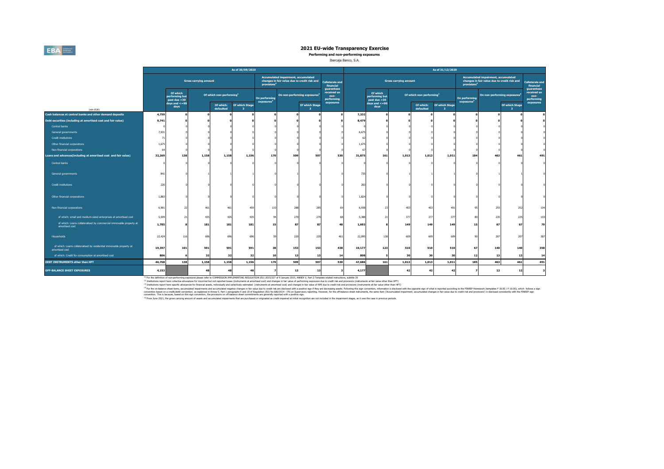## **EBA**

### **2021 EU-wide Transparency Exercise**

**Performing and non-performing exposures**

#### Ibercaja Banco, S.A.

|                                                                                       |                |                                            |                              |                                      | As of 30/09/2020                      |                                         |                                                                                     |                                           |                                                 |        |                                            |                              |                                      | As of 31/12/2020     |                                         |                                                                                     |                                           |                                                 |
|---------------------------------------------------------------------------------------|----------------|--------------------------------------------|------------------------------|--------------------------------------|---------------------------------------|-----------------------------------------|-------------------------------------------------------------------------------------|-------------------------------------------|-------------------------------------------------|--------|--------------------------------------------|------------------------------|--------------------------------------|----------------------|-----------------------------------------|-------------------------------------------------------------------------------------|-------------------------------------------|-------------------------------------------------|
|                                                                                       |                |                                            | <b>Gross carrying amount</b> |                                      |                                       | provisions <sup>4</sup>                 | Accumulated impairment, accumulated<br>changes in fair value due to credit risk and |                                           | <b>Collaterals and</b><br>financial             |        |                                            | <b>Gross carrying amount</b> |                                      |                      | provisions <sup>4</sup>                 | Accumulated impairment, accumulated<br>changes in fair value due to credit risk and |                                           | <b>Collaterals and</b><br>financial             |
|                                                                                       |                | Of which<br>performing but<br>past due >30 |                              | Of which non-performing <sup>1</sup> |                                       | On performing<br>exposures <sup>2</sup> |                                                                                     | On non-performing exposures <sup>3</sup>  | guarantees<br>received on<br>non-<br>performing |        | Of which<br>performing but<br>past due >30 |                              | Of which non-performing <sup>1</sup> |                      | On performing<br>exposures <sup>2</sup> |                                                                                     | On non-performing exposures <sup>3</sup>  | quarantees<br>received on<br>non-<br>performing |
|                                                                                       |                | days and $\lt$ =90<br>days                 |                              | Of which:<br>defaulted               | <b>Of which Stage</b><br>$\mathbf{3}$ |                                         |                                                                                     | Of which Stage<br>$\overline{\mathbf{3}}$ | exposures                                       |        | days and $\leq$ =90<br>days                |                              | Of which:<br>defaulted               | Of which Stage<br>-3 |                                         |                                                                                     | Of which Stage<br>$\overline{\mathbf{3}}$ | exposures                                       |
| (mln EUR)<br>Cash balances at central banks and other demand deposits                 | 4,759          |                                            | $\Omega$                     |                                      |                                       |                                         |                                                                                     |                                           |                                                 | 7,332  |                                            |                              |                                      |                      |                                         |                                                                                     |                                           |                                                 |
| Debt securities (including at amortised cost and fair value)                          | 9,741          |                                            |                              |                                      |                                       |                                         |                                                                                     |                                           |                                                 | 8.479  |                                            |                              |                                      |                      |                                         |                                                                                     |                                           |                                                 |
| Central banks                                                                         |                |                                            |                              |                                      |                                       |                                         |                                                                                     |                                           |                                                 |        |                                            |                              |                                      |                      |                                         |                                                                                     |                                           |                                                 |
| General governments                                                                   | 7,931          |                                            |                              |                                      |                                       |                                         |                                                                                     |                                           |                                                 | 6,675  |                                            |                              |                                      |                      |                                         |                                                                                     |                                           |                                                 |
| <b>Credit institutions</b>                                                            | $\overline{7}$ |                                            |                              |                                      |                                       |                                         |                                                                                     |                                           |                                                 | c      |                                            |                              |                                      |                      |                                         |                                                                                     |                                           |                                                 |
| Other financial corporations                                                          | 1,679          |                                            |                              |                                      |                                       |                                         |                                                                                     |                                           |                                                 | 1,67   |                                            |                              |                                      |                      |                                         |                                                                                     |                                           |                                                 |
| Non-financial corporations                                                            |                |                                            |                              |                                      |                                       |                                         |                                                                                     |                                           |                                                 |        |                                            |                              |                                      |                      |                                         |                                                                                     |                                           |                                                 |
| Loans and advances(including at amortised cost and fair value)                        | 32,269         | 138                                        | 1,158                        | 1,158                                | 1,156                                 | 170                                     | 509                                                                                 | 507                                       | 530                                             | 31,875 | 161                                        | 1,013                        | 1,013                                | 1,011                | 184                                     | 463                                                                                 | 461                                       | 491                                             |
| Central banks                                                                         |                |                                            |                              |                                      |                                       |                                         |                                                                                     |                                           |                                                 |        |                                            |                              |                                      |                      |                                         |                                                                                     |                                           |                                                 |
| General governments                                                                   | 841            |                                            |                              |                                      |                                       |                                         |                                                                                     |                                           |                                                 | 735    |                                            |                              |                                      |                      |                                         |                                                                                     |                                           |                                                 |
| <b>Credit institutions</b>                                                            | 220            |                                            |                              |                                      |                                       |                                         |                                                                                     |                                           |                                                 | 283    |                                            |                              |                                      |                      |                                         |                                                                                     |                                           |                                                 |
| Other financial corporations                                                          | 1,883          |                                            |                              |                                      |                                       |                                         |                                                                                     |                                           |                                                 | 1,824  |                                            |                              |                                      |                      |                                         |                                                                                     |                                           |                                                 |
| Non-financial corporations                                                            | 6,901          | 27                                         | 461                          | 461                                  | 459                                   | 110                                     | 288                                                                                 | 285                                       | 6                                               | 6,938  | 23                                         | 403                          | 403                                  | 401                  | 95                                      | 255                                                                                 | 252                                       | 104                                             |
| of which: small and medium-sized enterprises at amortised cost                        | 5,509          | 21                                         | 435                          | 435                                  | 435                                   |                                         | 270                                                                                 | 270                                       | 6                                               | 5,388  | 21                                         | 377                          | 377                                  | 377                  |                                         | 235                                                                                 | 23                                        | 103                                             |
| of which: Loans collateralised by commercial immovable property at<br>amortised cost  | 1,785          |                                            | 181                          | 181                                  | 181                                   | 15                                      | 87                                                                                  |                                           | 48                                              | 1,693  |                                            | 149                          | 149                                  | 149                  | 15                                      | 67                                                                                  |                                           | 79                                              |
| Households                                                                            | 22,424         | 116                                        | 696                          | 696                                  | 696                                   | 50                                      | 220                                                                                 | 220                                       | 461                                             | 22,095 | 138                                        | 609                          | 609                                  | 609                  | or                                      | 207                                                                                 | 20                                        | 387                                             |
| of which: Loans collateralised by residential immovable property at<br>amortised cost | 19,397         | 101                                        | 591                          | 591                                  | 591                                   | 38                                      | 153                                                                                 | 153                                       | 438                                             | 19,177 | 123                                        | 510                          | 510                                  | 510                  | 67                                      | 140                                                                                 | 140                                       | 358                                             |
| of which: Credit for consumption at amortised cost                                    | 806            |                                            | 32                           | 32                                   | 32                                    | 10                                      | 13                                                                                  | 13                                        | 14                                              | 808    |                                            | 30                           | 30                                   | 30                   | 12                                      | 13                                                                                  | 13                                        | 14                                              |
| DEBT INSTRUMENTS other than HFT                                                       | 46,768         | 138                                        | 1,158                        | 1,158                                | 1,156                                 | 170                                     | 509                                                                                 | 507                                       | 530                                             | 47,686 | 161                                        | 1,013                        | 1,013                                | 1,011                | 185                                     | 463                                                                                 | 461                                       | 491                                             |
| <b>OFF-BALANCE SHEET EXPOSURES</b>                                                    | 4,153          |                                            | 48                           | 48                                   | 45                                    |                                         | 13                                                                                  | 13                                        |                                                 | 4,177  |                                            | 42                           | 42                                   | 42                   |                                         | 12                                                                                  | 12                                        | $\overline{\mathbf{z}}$                         |

<sup>(1)</sup> For the definition of non-performing exposures please refer to COMMISSION IPMARKET (1970), 2015/227 of 9 January 2015, ANNEX V, Part 2-Template related indructions, subtitle 29<br><sup>67</sup> Institutions report the conduction

<sup>(4</sup>Tor the on-balance sheet itens, accumulable mainments and scumulable negative that be due to the due to the state of the accumulable to the state of the state of the state of the state of the state of the state of the

(5) From June 2021, the gross carrying amount of assets and accumulated impairments that are purchased or originated as credit-impaired at initial recognition are not included in the impairment stages, as it was the case i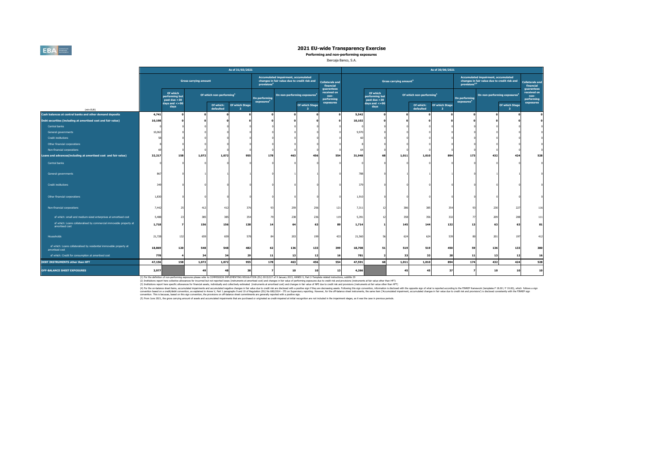

**Performing and non-performing exposures**

#### Ibercaja Banco, S.A.

|                                                                                       |        |                                            |                              |                                      | As of 31/03/2021                          |                                         |                                                                                     |                                  |                                                 |        |                                            |                              |                                      | As of 30/06/2021    |                                         |                                                                                     |                      |                                                 |
|---------------------------------------------------------------------------------------|--------|--------------------------------------------|------------------------------|--------------------------------------|-------------------------------------------|-----------------------------------------|-------------------------------------------------------------------------------------|----------------------------------|-------------------------------------------------|--------|--------------------------------------------|------------------------------|--------------------------------------|---------------------|-----------------------------------------|-------------------------------------------------------------------------------------|----------------------|-------------------------------------------------|
|                                                                                       |        |                                            | <b>Gross carrying amount</b> |                                      |                                           | provisions <sup>4</sup>                 | Accumulated impairment, accumulated<br>changes in fair value due to credit risk and |                                  | <b>Collaterals and</b><br>financial             |        |                                            | <b>Gross carrying amount</b> |                                      |                     | provisions <sup>4,5</sup>               | Accumulated impairment, accumulated<br>changes in fair value due to credit risk and |                      | <b>Collaterals and</b><br>financial             |
|                                                                                       |        | Of which<br>performing but<br>past due >30 |                              | Of which non-performing <sup>1</sup> |                                           | On performing<br>exposures <sup>2</sup> | On non-performing exposures <sup>3</sup>                                            |                                  | guarantees<br>received on<br>non-<br>performing |        | Of which<br>performing but<br>past due >30 |                              | Of which non-performing <sup>1</sup> |                     | On performing<br>exposures <sup>2</sup> | On non-performing exposures <sup>3</sup>                                            |                      | guarantees<br>received on<br>non-<br>performing |
| (mln EUR)                                                                             |        | days and $\lt$ =90<br>days                 |                              | Of which:<br>defaulted               | Of which Stage<br>$\overline{\mathbf{3}}$ |                                         |                                                                                     | Of which Stage<br>3 <sup>1</sup> | exposures                                       |        | days and $\leq$ =90<br>days                |                              | Of which:<br>defaulted               | Of which Stage<br>ಿ |                                         |                                                                                     | Of which Stage<br>-3 | exposures                                       |
| Cash balances at central banks and other demand deposits                              | 4,741  |                                            |                              |                                      |                                           |                                         |                                                                                     |                                  |                                                 | 5,542  |                                            |                              |                                      |                     |                                         |                                                                                     |                      |                                                 |
| Debt securities (including at amortised cost and fair value)                          | 10,198 |                                            |                              |                                      |                                           |                                         |                                                                                     |                                  |                                                 | 10,102 |                                            |                              |                                      |                     |                                         |                                                                                     |                      |                                                 |
| Central banks                                                                         |        |                                            |                              |                                      |                                           |                                         |                                                                                     |                                  |                                                 |        |                                            |                              |                                      |                     |                                         |                                                                                     |                      |                                                 |
| General governments                                                                   | 10,063 |                                            |                              |                                      |                                           |                                         |                                                                                     |                                  |                                                 | 9,970  |                                            |                              |                                      |                     |                                         |                                                                                     |                      |                                                 |
| <b>Credit institutions</b>                                                            |        |                                            |                              |                                      |                                           |                                         |                                                                                     |                                  |                                                 |        |                                            |                              |                                      |                     |                                         |                                                                                     |                      |                                                 |
| Other financial corporations                                                          |        |                                            |                              |                                      |                                           |                                         |                                                                                     |                                  |                                                 |        |                                            |                              |                                      |                     |                                         |                                                                                     |                      |                                                 |
| Non-financial corporations                                                            |        |                                            |                              |                                      |                                           |                                         |                                                                                     |                                  |                                                 |        |                                            |                              |                                      |                     |                                         |                                                                                     |                      |                                                 |
| Loans and advances(including at amortised cost and fair value)                        | 32,217 | 158                                        | 1,072                        | 1,072                                | 955                                       | 178                                     | 463                                                                                 | 456                              | 554                                             | 31,948 |                                            | 1,011                        | 1,010                                | 894                 | 173                                     | 432                                                                                 | 424                  | 528                                             |
| Central banks                                                                         |        |                                            |                              |                                      |                                           |                                         |                                                                                     |                                  |                                                 |        |                                            |                              |                                      |                     |                                         |                                                                                     |                      |                                                 |
| General governments                                                                   | 867    |                                            |                              |                                      |                                           |                                         |                                                                                     |                                  |                                                 | 788    |                                            |                              |                                      |                     |                                         |                                                                                     |                      |                                                 |
| <b>Credit institutions</b>                                                            | 349    |                                            |                              |                                      |                                           |                                         |                                                                                     |                                  |                                                 | 379    |                                            |                              |                                      |                     |                                         |                                                                                     |                      |                                                 |
| Other financial corporations                                                          | 1.830  |                                            |                              |                                      |                                           |                                         |                                                                                     |                                  |                                                 | 1,910  |                                            |                              |                                      |                     |                                         |                                                                                     |                      |                                                 |
| Non-financial corporations                                                            | 7,442  |                                            | 412                          | 412                                  | 376                                       | 93                                      | 259                                                                                 | 256                              | 121                                             | 7,311  |                                            | 386                          | 385                                  | 354                 | 93                                      | 230                                                                                 | 227                  | 116                                             |
| of which: small and medium-sized enterprises at amortised cost                        | 5,488  | $\gamma$                                   | 385                          | 385                                  | 354                                       |                                         | 238                                                                                 | 236                              | 119                                             | 5,391  |                                            | 358                          | 356                                  | 332                 | 77                                      | 209                                                                                 | 208                  | 111                                             |
| of which: Loans collateralised by commercial immovable property at<br>amortised cost  | 1,718  |                                            | 156                          | 156                                  | 138                                       | 14                                      | 64                                                                                  |                                  | 89                                              | 1,714  |                                            | 145                          | 144                                  | 132                 | 13                                      | 63                                                                                  |                      | 81                                              |
| Households                                                                            | 21,728 | 132                                        | 659                          | 659                                  | 578                                       | 84                                      | 203                                                                                 |                                  | 433                                             | 21,560 |                                            | 624                          | 624                                  | 539                 | 80                                      | 201                                                                                 |                      | 412                                             |
| of which: Loans collateralised by residential immovable property at<br>amortised cost | 18,869 | 120                                        | 548                          | 548                                  | 482                                       | 62                                      | 136                                                                                 | 133                              | 399                                             | 18,708 | 51                                         | 519                          | 519                                  | 450                 | 59                                      | 136                                                                                 | 133                  | 380                                             |
| of which: Credit for consumption at amortised cost                                    | 778    |                                            | 34                           | 34                                   | 29                                        | 11                                      | 13                                                                                  | 12                               | 16                                              | 781    |                                            | 33                           | 33                                   | 28                  | 11                                      | 13                                                                                  | 12                   | 16                                              |
| <b>DEBT INSTRUMENTS other than HFT</b>                                                | 47,156 | 158                                        | 1,072                        | 1,072                                | 955                                       | 178                                     | 463                                                                                 | 456                              | 554                                             | 47,591 | 68                                         | 1,011                        | 1,010                                | 894                 | 174                                     | 432                                                                                 | 424                  | 528                                             |
| <b>OFF-BALANCE SHEET EXPOSURES</b>                                                    | 3,977  |                                            | 49                           | 48                                   | 38                                        | $\overline{\phantom{a}}$                | 10                                                                                  | 10                               | 13                                              | 4,266  |                                            | 45                           | 45                                   | 37                  | $\overline{\phantom{a}}$                | 10                                                                                  | 10                   | 10                                              |

(1) For the definition of non-performing exposures please refer to COMMISSION IPDING REGULTION (EN) 2015/227 of 9 January 2015, ANNEX V, Part 2-Template related indructions, subtitle 29<br>(2) Institutions report her conclust

()The boundarding management at committed regin-discussions of the decision of the decision in position in position in position in position in the decision in the second in the second in the second in the second in the con

(5) From June 2021, the gross carrying amount of assets and accumulated impairments that are purchased or originated as credit-impaired at initial recognition are not included in the impairment stages, as it was the case i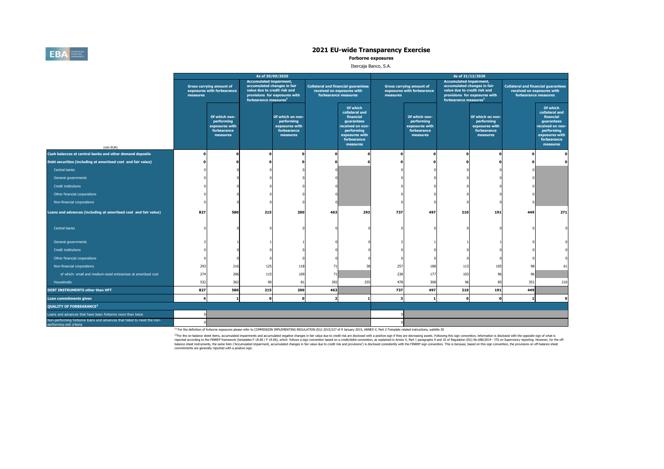

**Forborne exposures**

#### Ibercaja Banco, S.A.

|                                                                                                     |          |                                                                          | As of 30/09/2020                                                                                                                   |                                                                             |                                                                                                  |                                                                                                                                      |          |                                                                          | As of 31/12/2020                                                                                                                   |                                                                             |              |                                                                                                                                      |
|-----------------------------------------------------------------------------------------------------|----------|--------------------------------------------------------------------------|------------------------------------------------------------------------------------------------------------------------------------|-----------------------------------------------------------------------------|--------------------------------------------------------------------------------------------------|--------------------------------------------------------------------------------------------------------------------------------------|----------|--------------------------------------------------------------------------|------------------------------------------------------------------------------------------------------------------------------------|-----------------------------------------------------------------------------|--------------|--------------------------------------------------------------------------------------------------------------------------------------|
|                                                                                                     | measures | <b>Gross carrying amount of</b><br>exposures with forbearance            | <b>Accumulated impairment,</b><br>accumulated changes in fair<br>value due to credit risk and<br>forbearance measures <sup>2</sup> | provisions for exposures with                                               | <b>Collateral and financial guarantees</b><br>received on exposures with<br>forbearance measures |                                                                                                                                      | measures | <b>Gross carrying amount of</b><br>exposures with forbearance            | <b>Accumulated impairment,</b><br>accumulated changes in fair<br>value due to credit risk and<br>forbearance measures <sup>2</sup> | provisions for exposures with                                               |              | <b>Collateral and financial guarantees</b><br>received on exposures with<br>forbearance measures                                     |
| (mln EUR)                                                                                           |          | Of which non-<br>performing<br>exposures with<br>forbearance<br>measures |                                                                                                                                    | Of which on non-<br>performing<br>exposures with<br>forbearance<br>measures |                                                                                                  | Of which<br>collateral and<br>financial<br>guarantees<br>received on non-<br>performing<br>exposures with<br>forbearance<br>measures |          | Of which non-<br>performing<br>exposures with<br>forbearance<br>measures |                                                                                                                                    | Of which on non-<br>performing<br>exposures with<br>forbearance<br>measures |              | Of which<br>collateral and<br>financial<br>guarantees<br>received on non-<br>performing<br>exposures with<br>forbearance<br>measures |
| Cash balances at central banks and other demand deposits                                            |          |                                                                          | n                                                                                                                                  |                                                                             |                                                                                                  |                                                                                                                                      |          |                                                                          |                                                                                                                                    |                                                                             | $\mathbf{r}$ |                                                                                                                                      |
| Debt securities (including at amortised cost and fair value)                                        |          |                                                                          |                                                                                                                                    |                                                                             |                                                                                                  |                                                                                                                                      |          |                                                                          |                                                                                                                                    |                                                                             |              |                                                                                                                                      |
| Central banks                                                                                       |          |                                                                          |                                                                                                                                    |                                                                             |                                                                                                  |                                                                                                                                      |          |                                                                          |                                                                                                                                    |                                                                             |              |                                                                                                                                      |
| General governments                                                                                 |          |                                                                          |                                                                                                                                    |                                                                             |                                                                                                  |                                                                                                                                      |          |                                                                          |                                                                                                                                    |                                                                             |              |                                                                                                                                      |
| <b>Credit institutions</b>                                                                          |          |                                                                          |                                                                                                                                    |                                                                             |                                                                                                  |                                                                                                                                      |          |                                                                          |                                                                                                                                    |                                                                             |              |                                                                                                                                      |
| Other financial corporations                                                                        |          |                                                                          |                                                                                                                                    |                                                                             |                                                                                                  |                                                                                                                                      |          |                                                                          |                                                                                                                                    |                                                                             |              |                                                                                                                                      |
| Non-financial corporations                                                                          |          |                                                                          |                                                                                                                                    |                                                                             |                                                                                                  |                                                                                                                                      |          |                                                                          |                                                                                                                                    |                                                                             |              |                                                                                                                                      |
| Loans and advances (including at amortised cost and fair value)                                     | 827      | 580                                                                      | 215                                                                                                                                | 200                                                                         | 463                                                                                              | 293                                                                                                                                  | 737      | 497                                                                      | 210                                                                                                                                | 191                                                                         | 449          | 271                                                                                                                                  |
| Central banks                                                                                       |          |                                                                          |                                                                                                                                    |                                                                             |                                                                                                  |                                                                                                                                      |          |                                                                          |                                                                                                                                    |                                                                             |              |                                                                                                                                      |
| General governments                                                                                 |          |                                                                          |                                                                                                                                    |                                                                             |                                                                                                  |                                                                                                                                      |          |                                                                          |                                                                                                                                    |                                                                             |              |                                                                                                                                      |
| <b>Credit institutions</b>                                                                          |          |                                                                          |                                                                                                                                    |                                                                             |                                                                                                  |                                                                                                                                      |          |                                                                          |                                                                                                                                    |                                                                             |              |                                                                                                                                      |
| Other financial corporations                                                                        |          |                                                                          |                                                                                                                                    |                                                                             |                                                                                                  |                                                                                                                                      |          |                                                                          |                                                                                                                                    |                                                                             |              |                                                                                                                                      |
| Non-financial corporations                                                                          | 293      | 216                                                                      | 125                                                                                                                                | 118                                                                         | 71                                                                                               | 38                                                                                                                                   | 257      | 188                                                                      | 113                                                                                                                                | 105                                                                         | 98           | 61                                                                                                                                   |
| of which: small and medium-sized enterprises at amortised cost                                      | 274      | 206                                                                      | 115                                                                                                                                | 109                                                                         | 71                                                                                               |                                                                                                                                      | 238      | 177                                                                      | 103                                                                                                                                | 96                                                                          | 96           |                                                                                                                                      |
| Households                                                                                          | 532      | 362                                                                      | 90                                                                                                                                 | 81                                                                          | 392                                                                                              | 255                                                                                                                                  | 478      | 308                                                                      | 96                                                                                                                                 | 85                                                                          | 351          | 210                                                                                                                                  |
| DEBT INSTRUMENTS other than HFT                                                                     | 827      | 580                                                                      | 215                                                                                                                                | 200                                                                         | 463                                                                                              |                                                                                                                                      | 737      | 497                                                                      | 210                                                                                                                                | 191                                                                         | 449          |                                                                                                                                      |
| Loan commitments given                                                                              |          | $\mathbf{1}$                                                             | $\Omega$                                                                                                                           | $\Omega$                                                                    | $\overline{\phantom{a}}$                                                                         |                                                                                                                                      | 3        |                                                                          | $\Omega$                                                                                                                           |                                                                             |              | $\Omega$                                                                                                                             |
| <b>QUALITY OF FORBEARANCE<sup>2</sup></b>                                                           |          |                                                                          |                                                                                                                                    |                                                                             |                                                                                                  |                                                                                                                                      |          |                                                                          |                                                                                                                                    |                                                                             |              |                                                                                                                                      |
| Loans and advances that have been forborne more than twice                                          |          |                                                                          |                                                                                                                                    |                                                                             |                                                                                                  |                                                                                                                                      |          |                                                                          |                                                                                                                                    |                                                                             |              |                                                                                                                                      |
| Non-performing forborne loans and advances that failed to meet the non-<br>nerforming exit criteria |          |                                                                          |                                                                                                                                    |                                                                             |                                                                                                  |                                                                                                                                      |          |                                                                          |                                                                                                                                    |                                                                             |              |                                                                                                                                      |

<sup>(1)</sup> For the definition of forborne exposures please refer to COMMISSION IMPLEMENTING REGULATION (EU) 2015/227 of 9 January 2015, ANNEX V, Part 2-Template related instructions, subtitle 30

<sup>01</sup>For the or-balance sheet kems, accumulated impairments and accumulated negative changes in fair value due to redit rideal of the packing of the product and the packing solved in the property in the packing seculated th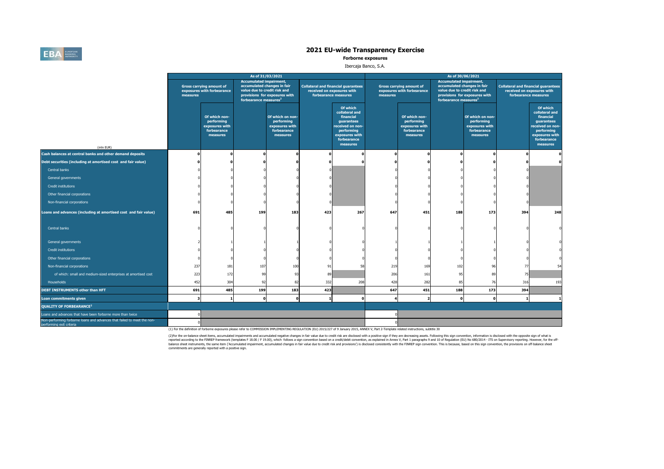

**Forborne exposures**

#### Ibercaja Banco, S.A.

|                                                                                                     |          |                                                                          | As of 31/03/2021                                                                                                                   |                                                                             |                                                    |                                                                                                                                      |          |                                                                          | As of 30/06/2021                                                                                                                   |                                                                             |                |                                                                                                                                      |
|-----------------------------------------------------------------------------------------------------|----------|--------------------------------------------------------------------------|------------------------------------------------------------------------------------------------------------------------------------|-----------------------------------------------------------------------------|----------------------------------------------------|--------------------------------------------------------------------------------------------------------------------------------------|----------|--------------------------------------------------------------------------|------------------------------------------------------------------------------------------------------------------------------------|-----------------------------------------------------------------------------|----------------|--------------------------------------------------------------------------------------------------------------------------------------|
|                                                                                                     | measures | <b>Gross carrying amount of</b><br>exposures with forbearance            | <b>Accumulated impairment,</b><br>accumulated changes in fair<br>value due to credit risk and<br>forbearance measures <sup>2</sup> | provisions for exposures with                                               | received on exposures with<br>forbearance measures | <b>Collateral and financial guarantees</b>                                                                                           | measures | <b>Gross carrying amount of</b><br>exposures with forbearance            | <b>Accumulated impairment,</b><br>accumulated changes in fair<br>value due to credit risk and<br>forbearance measures <sup>2</sup> | provisions for exposures with                                               |                | <b>Collateral and financial guarantees</b><br>received on exposures with<br>forbearance measures                                     |
| (mln EUR)                                                                                           |          | Of which non-<br>performing<br>exposures with<br>forbearance<br>measures |                                                                                                                                    | Of which on non-<br>performing<br>exposures with<br>forbearance<br>measures |                                                    | Of which<br>collateral and<br>financial<br>quarantees<br>received on non-<br>performing<br>exposures with<br>forbearance<br>measures |          | Of which non-<br>performing<br>exposures with<br>forbearance<br>measures |                                                                                                                                    | Of which on non-<br>performing<br>exposures with<br>forbearance<br>measures |                | Of which<br>collateral and<br>financial<br>quarantees<br>received on non-<br>performing<br>exposures with<br>forbearance<br>measures |
| Cash balances at central banks and other demand deposits                                            |          |                                                                          |                                                                                                                                    |                                                                             |                                                    | n                                                                                                                                    |          |                                                                          |                                                                                                                                    |                                                                             |                |                                                                                                                                      |
| Debt securities (including at amortised cost and fair value)                                        |          |                                                                          |                                                                                                                                    |                                                                             |                                                    |                                                                                                                                      |          |                                                                          |                                                                                                                                    |                                                                             |                |                                                                                                                                      |
| Central banks                                                                                       |          |                                                                          |                                                                                                                                    |                                                                             |                                                    |                                                                                                                                      |          |                                                                          |                                                                                                                                    |                                                                             |                |                                                                                                                                      |
| General governments                                                                                 |          |                                                                          |                                                                                                                                    |                                                                             |                                                    |                                                                                                                                      |          |                                                                          |                                                                                                                                    |                                                                             |                |                                                                                                                                      |
| <b>Credit institutions</b>                                                                          |          |                                                                          |                                                                                                                                    |                                                                             |                                                    |                                                                                                                                      |          |                                                                          |                                                                                                                                    |                                                                             |                |                                                                                                                                      |
| Other financial corporations                                                                        |          |                                                                          |                                                                                                                                    |                                                                             |                                                    |                                                                                                                                      |          |                                                                          |                                                                                                                                    |                                                                             |                |                                                                                                                                      |
| Non-financial corporations                                                                          |          |                                                                          |                                                                                                                                    |                                                                             |                                                    |                                                                                                                                      |          |                                                                          |                                                                                                                                    |                                                                             |                |                                                                                                                                      |
| Loans and advances (including at amortised cost and fair value)                                     | 691      | 485                                                                      | 199                                                                                                                                | 183                                                                         | 423                                                | 267                                                                                                                                  | 647      | 451                                                                      | 188                                                                                                                                | 173                                                                         | 394            | 248                                                                                                                                  |
| Central banks                                                                                       |          |                                                                          |                                                                                                                                    |                                                                             |                                                    |                                                                                                                                      |          |                                                                          |                                                                                                                                    |                                                                             |                |                                                                                                                                      |
| General governments                                                                                 |          |                                                                          |                                                                                                                                    |                                                                             |                                                    |                                                                                                                                      |          |                                                                          |                                                                                                                                    |                                                                             |                |                                                                                                                                      |
| <b>Credit institutions</b>                                                                          |          |                                                                          |                                                                                                                                    |                                                                             |                                                    |                                                                                                                                      |          |                                                                          |                                                                                                                                    |                                                                             |                |                                                                                                                                      |
| Other financial corporations                                                                        |          |                                                                          |                                                                                                                                    |                                                                             |                                                    |                                                                                                                                      |          |                                                                          |                                                                                                                                    |                                                                             |                |                                                                                                                                      |
| Non-financial corporations                                                                          | 237      | 181                                                                      | 107                                                                                                                                | 100                                                                         | 91                                                 | 58                                                                                                                                   | 219      | 169                                                                      | 102                                                                                                                                |                                                                             | 77             |                                                                                                                                      |
| of which: small and medium-sized enterprises at amortised cost                                      | 223      | 172                                                                      | 99                                                                                                                                 | 93                                                                          | 89                                                 |                                                                                                                                      | 206      | 161                                                                      | 95                                                                                                                                 | 89                                                                          | 75             |                                                                                                                                      |
| Households                                                                                          | 452      | 304                                                                      | 92                                                                                                                                 | 82                                                                          | 332                                                | 208                                                                                                                                  | 428      | 282                                                                      | 85                                                                                                                                 | 76                                                                          | 316            | 193                                                                                                                                  |
| <b>DEBT INSTRUMENTS other than HFT</b>                                                              | 691      | 485                                                                      | 199                                                                                                                                | 183                                                                         | 423                                                |                                                                                                                                      | 647      | 451                                                                      | 188                                                                                                                                | 173                                                                         | 394            |                                                                                                                                      |
| Loan commitments given                                                                              | 3        |                                                                          | $\Omega$                                                                                                                           | n                                                                           |                                                    | $\mathbf{o}$                                                                                                                         |          | $\overline{2}$                                                           | $\mathbf 0$                                                                                                                        |                                                                             | $\blacksquare$ |                                                                                                                                      |
| <b>OUALITY OF FORBEARANCE<sup>2</sup></b>                                                           |          |                                                                          |                                                                                                                                    |                                                                             |                                                    |                                                                                                                                      |          |                                                                          |                                                                                                                                    |                                                                             |                |                                                                                                                                      |
| Loans and advances that have been forborne more than twice                                          |          |                                                                          |                                                                                                                                    |                                                                             |                                                    |                                                                                                                                      |          |                                                                          |                                                                                                                                    |                                                                             |                |                                                                                                                                      |
| Non-performing forborne loans and advances that failed to meet the non-<br>nerforming exit criteria |          |                                                                          |                                                                                                                                    |                                                                             |                                                    |                                                                                                                                      |          |                                                                          |                                                                                                                                    |                                                                             |                |                                                                                                                                      |

(1) For the definition of forborne exposures please refer to COMMISSION IMPLEMENTING REGULATION (EU) 2015/227 of 9 January 2015, ANNEX V, Part 2-Template related instructions, subtitle 30

(2)For the on-balance sheet items, accumulated impairmers and accumulated negative changes in fair whe due to credit risk are disclosed with a positive sign convention, as explained in Amex V, Part 1 paragraphs 9 and 10 of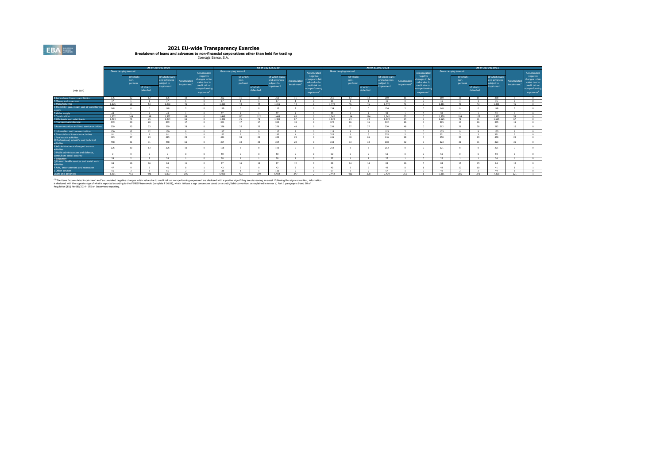**2021 EU-wide Transparency Exercise<br>Breakdown of Ioans and advances to non-financial corporations other than held for trading<br>Dercaja Banco, S.A.** 

|                                                                    |          | AS OF 30/09/2020<br>Gross carrying amount |                        |                                                            |                                        |                                                                                                           |       |                               |                        | AS OF 31/12/2020                                          |                           |                                                                                                           |                          |                               |                        | AS OF 31/03/2021                                            |                                        |                                                                                                           |                          |                               |                        | AS OF 30/06/2021                                           |                           |                                                                                                          |
|--------------------------------------------------------------------|----------|-------------------------------------------|------------------------|------------------------------------------------------------|----------------------------------------|-----------------------------------------------------------------------------------------------------------|-------|-------------------------------|------------------------|-----------------------------------------------------------|---------------------------|-----------------------------------------------------------------------------------------------------------|--------------------------|-------------------------------|------------------------|-------------------------------------------------------------|----------------------------------------|-----------------------------------------------------------------------------------------------------------|--------------------------|-------------------------------|------------------------|------------------------------------------------------------|---------------------------|----------------------------------------------------------------------------------------------------------|
|                                                                    |          |                                           |                        |                                                            |                                        | Accumulated                                                                                               |       | Gross carrying amount         |                        |                                                           |                           | Accumulated                                                                                               |                          | Gross carrying amount         |                        |                                                             |                                        | Accumulated                                                                                               |                          | Gross carrying amount         |                        |                                                            |                           | Accumulated                                                                                              |
| (mln EUR)                                                          |          | Of which:<br>non-<br>performi             | of which:<br>defaulted | Of which loans<br>and advances<br>subject to<br>impairment | Accumulated<br>impairment <sup>1</sup> | negative<br>changes in fair<br>value due to<br>credit risk on<br>non-performing<br>exposures <sup>1</sup> |       | Of which:<br>non-<br>performi | of which:<br>defaulted | Of which loans<br>and advances<br>subiect to<br>mpairment | Accumulated<br>impairment | negative<br>changes in fair<br>value due to<br>credit risk on<br>non-performine<br>exposures <sup>1</sup> |                          | Of which:<br>non-<br>performi | of which:<br>defaulted | Of which loans<br>and advances.<br>subject to<br>impairment | Accumulated<br>impairment <sup>1</sup> | negative<br>changes in fair<br>value due to<br>credit risk on<br>non-performing<br>exposures <sup>3</sup> |                          | Of which:<br>non-<br>performi | of which:<br>defaulted | Of which loans<br>and advances<br>subject to<br>impairment | Accumulated<br>impairment | negative<br>changes in fair<br>value due to<br>credit risk or<br>non-performir<br>exposures <sup>1</sup> |
| A Agriculture, forestry and fishing                                | 376      | $\sim$                                    | 12                     | 376                                                        | 12                                     |                                                                                                           | 362   |                               | 11                     | 361                                                       | 11                        |                                                                                                           | 361                      | 12                            | 12                     | 360                                                         |                                        |                                                                                                           | 360                      | 11                            | 11                     | 358                                                        |                           |                                                                                                          |
| B Mining and quarrying                                             | 17       |                                           |                        | 47.5                                                       |                                        |                                                                                                           | 17    |                               |                        | 17                                                        |                           |                                                                                                           | $\overline{\phantom{a}}$ |                               |                        | $\overline{16}$                                             |                                        |                                                                                                           | $\overline{\phantom{a}}$ |                               |                        | 16                                                         |                           |                                                                                                          |
| C Manufacturing                                                    | 1.275    | 52                                        | 62                     | 1.273                                                      | AC                                     |                                                                                                           | 1.315 | 44                            | $A$ 4                  | 1.315                                                     | 44                        |                                                                                                           | 1.449                    | 46                            | 46.                    | 1 449                                                       | 41                                     |                                                                                                           | 1 2 9 1                  | 42                            | 43                     | 1 7 9 1                                                    | AC                        |                                                                                                          |
| D Electricity, gas, steam and air conditioning<br>supply           | 148      |                                           |                        | 148                                                        |                                        |                                                                                                           | 110   |                               |                        | 110                                                       |                           |                                                                                                           | 124                      |                               |                        | 124                                                         |                                        |                                                                                                           | 148                      |                               |                        | 148                                                        |                           |                                                                                                          |
| E Water supply                                                     | 45       |                                           |                        | AC                                                         |                                        |                                                                                                           | 57    |                               |                        | 57                                                        |                           |                                                                                                           | 52                       |                               |                        | 52                                                          |                                        |                                                                                                           | 52                       |                               |                        | 52                                                         |                           |                                                                                                          |
| F Construction                                                     | 1532     | 149                                       | 149                    | 1532                                                       | 99                                     |                                                                                                           | 1 448 | 112                           | 112                    | 1,448                                                     | 62                        |                                                                                                           | 1.542                    | 114                           | 114                    | 1542                                                        | 63                                     |                                                                                                           | 1.550                    | 104                           | 102                    | 1500                                                       | FQ                        |                                                                                                          |
| G Wholesale and retail trade                                       | 1.404    | -75                                       | 75                     | 1,404                                                      | 61                                     |                                                                                                           | 1 481 | 75                            | -75                    | 1,480                                                     | 67                        |                                                                                                           | 1.619                    | 74                            | 74                     | 1.619                                                       | 64                                     |                                                                                                           | 1.525                    | 71                            | 71                     | 1.525                                                      | 67                        |                                                                                                          |
| H Transport and storage                                            | 339      | 20                                        | 20                     | 339                                                        | 17                                     |                                                                                                           | 364   | 17                            | 17                     | 364                                                       | 1.9                       |                                                                                                           | 372                      | 16                            | 16                     | 372                                                         | 16                                     |                                                                                                           | 265                      | 16                            | 16                     | 365                                                        | 15                        |                                                                                                          |
| I Accommodation and food service activities                        | 229      | 23                                        | 23                     | 229                                                        | 28                                     |                                                                                                           | 226   |                               | 25                     | 226                                                       | 49                        |                                                                                                           | 220                      | 27                            | 27                     | 220                                                         | 49                                     |                                                                                                           | 212                      | 28                            |                        | 212                                                        | 16                        |                                                                                                          |
| 3 Information and communication                                    | 130      | $\sim$                                    | 12 <sup>1</sup>        | 130                                                        |                                        |                                                                                                           | 117   |                               |                        | 117                                                       |                           |                                                                                                           | 115                      |                               |                        | 115                                                         |                                        |                                                                                                           | 135                      |                               |                        | 135                                                        |                           |                                                                                                          |
| K Financial and insurance activities                               | Q1       |                                           |                        | Q1                                                         |                                        |                                                                                                           | 197   |                               |                        | 192                                                       |                           |                                                                                                           | 325                      |                               |                        | 325                                                         |                                        |                                                                                                           | 321                      |                               |                        | 321                                                        |                           |                                                                                                          |
| L Real estate activities                                           | 415      | 27                                        | 22                     | 415                                                        | 29                                     |                                                                                                           | 424   |                               | 24                     | 424                                                       | 29                        |                                                                                                           | 446                      | 40 <sup>1</sup>               | 26                     | 446                                                         | 20                                     |                                                                                                           | 450                      | $\mathbf{r}$                  | 10                     | 450                                                        | $\sim$                    |                                                                                                          |
| M Professional, scientific and technical<br>activities             | 458      |                                           |                        | 458                                                        | 66                                     |                                                                                                           | 304   | 22                            | 33                     | 304                                                       | 20                        |                                                                                                           | 318                      | 33                            | $\mathcal{R}$          | 318                                                         | 32                                     |                                                                                                           | 323                      | 31                            |                        | 323                                                        |                           |                                                                                                          |
| N Administrative and support service<br>activities                 | 226      | 13                                        | 13                     | 226                                                        | 11                                     |                                                                                                           | 196   |                               |                        | 196                                                       |                           |                                                                                                           | 213                      |                               |                        | 213                                                         |                                        |                                                                                                           | 221                      |                               |                        | 221                                                        |                           |                                                                                                          |
| O Public administration and defence.<br>compulsory social security |          |                                           |                        |                                                            | $\sqrt{2}$                             |                                                                                                           | 50    |                               |                        | 50                                                        |                           |                                                                                                           | 50                       |                               |                        | 50                                                          |                                        |                                                                                                           | 50                       |                               |                        | 50                                                         |                           |                                                                                                          |
| P Education                                                        | 28       |                                           |                        | 29                                                         |                                        |                                                                                                           | nQ    |                               |                        | 28                                                        |                           |                                                                                                           | 27                       |                               |                        | 27                                                          |                                        |                                                                                                           | 26                       |                               |                        | 26                                                         |                           |                                                                                                          |
| Q Human health services and social work<br>activities              | 84       |                                           | 16                     | 84                                                         | 11                                     |                                                                                                           |       |                               | 16                     | 87                                                        | 12                        |                                                                                                           | 88                       | 14                            | 14                     | 88                                                          |                                        |                                                                                                           | 84                       | 15                            | 15                     | 84                                                         | 16                        |                                                                                                          |
| R Arts, entertainment and recreation                               | 47       |                                           |                        | 46                                                         |                                        |                                                                                                           | 42    |                               |                        | 42                                                        |                           |                                                                                                           | 43                       |                               |                        | 42                                                          |                                        |                                                                                                           | 42.                      | 10                            | 10                     | 41                                                         |                           |                                                                                                          |
| S Other services                                                   | $\infty$ |                                           |                        | 77                                                         |                                        |                                                                                                           | 116   |                               |                        | 116                                                       |                           |                                                                                                           | 57                       |                               |                        | 57                                                          |                                        |                                                                                                           | 49                       |                               |                        | 49                                                         |                           |                                                                                                          |
| Loans and advances                                                 | 6.901    | 461                                       | 446                    | 6.997                                                      | 306                                    |                                                                                                           | 6.938 | 402                           | 399                    | 6.934                                                     | 347                       |                                                                                                           | 7442                     | 412                           | 209                    | 7.439                                                       | 201                                    |                                                                                                           | 7311                     | 296                           | 271                    | 7.308                                                      | 221                       |                                                                                                          |

<sup>11</sup> The Rens "accumulated impairment" and "accumulated negative changes in far value due to cell the farming exposures" are disclosed with a positive sign if they are decreasing an asset. Following this sign convention, i

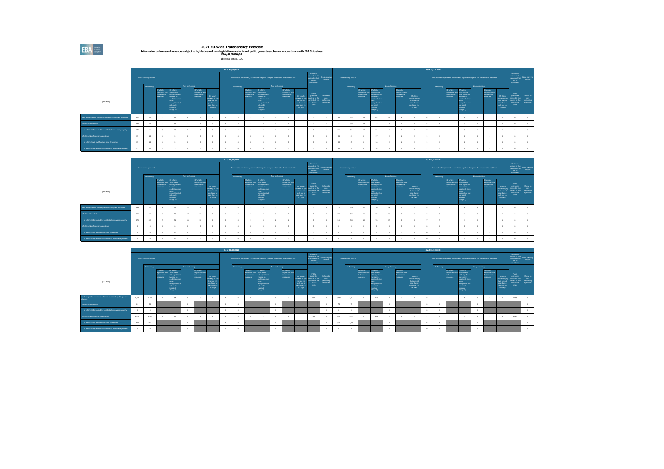2021 EU-wide Transparency Exercise<br>Information on loans and advances subject to legislative and non-legislative moratoria and public guarantee schemes in accordance with EBA Guidelines<br>EBA/GL/2020/02

Ibercaja Banco, S.A.

|                                                               |                                                                                                                                                                                                                                                                                                                                                               |                       |    |              |        |  |  | As of 30/09/2020 |            |                                                       |                                                                                                                                                                           |                |                                                        |                                                                                       |                                                                                 |                                                      |     |                       |                                                      |                                                                                                                                                |                |                                                        |                                                                                       | As of 31/12/2020 |            |                                                          |                                                                                                                                                     |                |                                                      |                                                                                   |                                                                             |                                                     |
|---------------------------------------------------------------|---------------------------------------------------------------------------------------------------------------------------------------------------------------------------------------------------------------------------------------------------------------------------------------------------------------------------------------------------------------|-----------------------|----|--------------|--------|--|--|------------------|------------|-------------------------------------------------------|---------------------------------------------------------------------------------------------------------------------------------------------------------------------------|----------------|--------------------------------------------------------|---------------------------------------------------------------------------------------|---------------------------------------------------------------------------------|------------------------------------------------------|-----|-----------------------|------------------------------------------------------|------------------------------------------------------------------------------------------------------------------------------------------------|----------------|--------------------------------------------------------|---------------------------------------------------------------------------------------|------------------|------------|----------------------------------------------------------|-----------------------------------------------------------------------------------------------------------------------------------------------------|----------------|------------------------------------------------------|-----------------------------------------------------------------------------------|-----------------------------------------------------------------------------|-----------------------------------------------------|
|                                                               |                                                                                                                                                                                                                                                                                                                                                               | Gross carrying amount |    |              |        |  |  |                  |            |                                                       | Accumulated impairment, accumulated negative changes in fair value due to credit risk                                                                                     |                |                                                        |                                                                                       | Maximum<br>amount of the<br>guarantee that<br>can be<br>considered              | Gross carrving<br>arrount                            |     | Gross carrying amount |                                                      |                                                                                                                                                |                |                                                        |                                                                                       |                  |            |                                                          | Accumulated impairment, accumulated negative changes in fair value due to credit risk                                                               |                |                                                      |                                                                                   | Maximum<br>amount of the<br>quarantee that<br>can be<br>considered          | Gross carryin<br>arrount                            |
|                                                               |                                                                                                                                                                                                                                                                                                                                                               | Performing            |    |              |        |  |  |                  | Performing |                                                       |                                                                                                                                                                           | Non-performing |                                                        |                                                                                       |                                                                                 |                                                      |     | Performing            |                                                      |                                                                                                                                                | Non-performing |                                                        |                                                                                       |                  | Performing |                                                          |                                                                                                                                                     | Non-performing |                                                      |                                                                                   |                                                                             |                                                     |
| (min EUR)                                                     | Non-performing<br>Of which:<br>Of which:<br>Of which:<br>Instruments<br>aposures with<br>ozosuna wit<br>forbainings<br>with significant<br>forbearance<br>measures<br>measures<br>increase in<br>Unlikely to pay<br>credit risk since<br>that are not<br><b>nitial</b><br>past-due or<br>recognition bu<br>past-due <=<br>rot credit-<br>impaired<br>(52aqa2) |                       |    |              |        |  |  |                  |            | Of which:<br>ozosunis with<br>forbainings<br>measures | Of which:<br><b>Instruments</b><br>with significant<br>ncrease in<br>credit risk sinos<br><b>Wilde</b><br>recognition bu<br>rot credit-<br><b>Impaired</b><br>(Szaroe 21) |                | Of which:<br>exposures with<br>forbearance<br>measures | Of which:<br>Unlikely to pay<br>that are not<br>past-due or<br>past-due <=<br>90 days | Public<br>guarantee<br>received in the<br>context of the<br>$CDMD-19$<br>crisis | Inflores to<br>non-<br>performing<br><b>COOSUTES</b> |     |                       | Of which:<br>exekres with<br>forbeasings<br>monument | Of which:<br>Instruments<br>with significant<br>nomaie in<br>credit risk since<br>recognition bu<br>not credit-<br><b>Impaired</b><br>(Sanoe2) |                | Of which:<br>exposures with<br>forbairance<br>measures | Of which:<br>Unlikely to pay<br>that are not<br>past-due or<br>past-due <=<br>90 days |                  |            | Of which:<br><b>DOCUME WIT</b><br>forbeasings<br>monumes | Of which:<br>nstruments<br>ith significant<br>nomase in<br>redit risk since<br><b>State</b><br>recognition but<br>not credit-<br>brigan<br>(Sanoe2) |                | Of which:<br>ozosuns with<br>forbainings<br>measures | Of which:<br>Unlikely to pay<br>that are not<br>past-due or<br>$n = 1$<br>90 days | Public<br>quarantee<br>somed in the<br>context of the<br>COVID-19<br>crisis | Inform to<br>non-<br>performing<br><b>EXDORUTES</b> |
| Loans and advances subject to active EBA-compliant moratorial | 305                                                                                                                                                                                                                                                                                                                                                           | 297                   | 17 | $\alpha$     |        |  |  |                  |            |                                                       | $\overline{2}$                                                                                                                                                            |                | - 11                                                   |                                                                                       |                                                                                 |                                                      | 366 | 355                   | $^{12}$                                              | 93                                                                                                                                             | 10             |                                                        |                                                                                       |                  |            | $\mathbf{1}$                                             | $\overline{a}$                                                                                                                                      |                |                                                      |                                                                                   |                                                                             |                                                     |
| of which: Households                                          | 292                                                                                                                                                                                                                                                                                                                                                           | 285                   |    | $\mathbf{C}$ |        |  |  |                  |            |                                                       |                                                                                                                                                                           |                |                                                        |                                                                                       |                                                                                 |                                                      | 331 | 322                   | 10                                                   | 77                                                                                                                                             |                |                                                        |                                                                                       |                  |            |                                                          |                                                                                                                                                     |                |                                                      |                                                                                   |                                                                             |                                                     |
| of which: Collateralised by residential immovable property    | 273                                                                                                                                                                                                                                                                                                                                                           | 265                   | 15 | Ab.          |        |  |  |                  |            |                                                       |                                                                                                                                                                           |                |                                                        |                                                                                       |                                                                                 |                                                      | 309 | 300                   | 17                                                   | 74                                                                                                                                             |                |                                                        |                                                                                       |                  |            |                                                          |                                                                                                                                                     |                |                                                      |                                                                                   |                                                                             |                                                     |
| of which: Non-financial corporations                          | 13                                                                                                                                                                                                                                                                                                                                                            | 12                    |    |              |        |  |  |                  |            |                                                       |                                                                                                                                                                           |                |                                                        |                                                                                       |                                                                                 |                                                      |     | 74                    |                                                      | 17                                                                                                                                             |                |                                                        |                                                                                       |                  |            |                                                          |                                                                                                                                                     |                |                                                      |                                                                                   |                                                                             |                                                     |
| of which: Small and Medium-sized Enterprises                  |                                                                                                                                                                                                                                                                                                                                                               | 12                    |    |              |        |  |  |                  |            |                                                       |                                                                                                                                                                           |                |                                                        |                                                                                       |                                                                                 |                                                      |     | 33                    |                                                      | 16                                                                                                                                             |                |                                                        |                                                                                       |                  |            |                                                          |                                                                                                                                                     |                |                                                      |                                                                                   |                                                                             |                                                     |
| of which: Collateralised by commercial immovable property     | 12 <sup>1</sup>                                                                                                                                                                                                                                                                                                                                               | 12                    |    |              | $\sim$ |  |  |                  |            |                                                       | $\sim$                                                                                                                                                                    | $\sim$         | - 0                                                    |                                                                                       |                                                                                 |                                                      | 12  | 30 <sub>1</sub>       |                                                      | 16                                                                                                                                             |                |                                                        |                                                                                       |                  |            |                                                          |                                                                                                                                                     |                |                                                      |                                                                                   |                                                                             |                                                     |

|                                                            |     |                       |                                                   |                                                                                                                                                                   |                |                                                                 |                                                                                       | As of 30/09/2020 |                                                             |                                                                                                                                                     |                |                                                        |                                                                                        |                                                                                |                                                      |     |                       |                                                     |                                                                                                                                                   |                |                                                       |                                                                                   | As of 31/12/2020 |                                                           |                                                                                                                                                                  |                |                                                         |                                                                                   |                                                                                    |                                              |
|------------------------------------------------------------|-----|-----------------------|---------------------------------------------------|-------------------------------------------------------------------------------------------------------------------------------------------------------------------|----------------|-----------------------------------------------------------------|---------------------------------------------------------------------------------------|------------------|-------------------------------------------------------------|-----------------------------------------------------------------------------------------------------------------------------------------------------|----------------|--------------------------------------------------------|----------------------------------------------------------------------------------------|--------------------------------------------------------------------------------|------------------------------------------------------|-----|-----------------------|-----------------------------------------------------|---------------------------------------------------------------------------------------------------------------------------------------------------|----------------|-------------------------------------------------------|-----------------------------------------------------------------------------------|------------------|-----------------------------------------------------------|------------------------------------------------------------------------------------------------------------------------------------------------------------------|----------------|---------------------------------------------------------|-----------------------------------------------------------------------------------|------------------------------------------------------------------------------------|----------------------------------------------|
|                                                            |     | Gross carrying amount |                                                   |                                                                                                                                                                   |                |                                                                 |                                                                                       |                  |                                                             | Accumulated impairment, accumulated negative changes in fair value due to credit risk                                                               |                |                                                        |                                                                                        | Maximum<br>arrount of the<br>guarantee that<br>can be<br>considered            | Gross carrying<br>arrount                            |     | Gross carrying amount |                                                     |                                                                                                                                                   |                |                                                       |                                                                                   |                  |                                                           | Accumulated impairment, accumulated negative changes in fair value due to credit risk                                                                            |                |                                                         |                                                                                   | Maximum<br>amount of the<br>cuantment that<br>can be<br>considered                 | Gross carrvino<br>amount                     |
| (min EUR)                                                  |     | Performing            | Of which:<br>ozosuna w<br>forbainings<br>measures | Of which:<br>Instruments<br>with significant<br>increase in<br>credit risk since<br><b>Indian</b><br>recognition but<br>not credit<br><i>impaired</i><br>(Size 2) | Non-performing | Of which:<br>inocouris with<br>forbiarance<br><b>Industries</b> | Of which:<br>Unlikely to pay<br>that are not<br>past-due or<br>past-due <=<br>90 days | Performing       | Of which:<br>ozosunis wit<br>forbainings<br><b>INSURANT</b> | Of which:<br>ratruments<br>with significant<br>ncrease in<br>zedit risk since<br>niniai.<br>recognition but<br>not credit-<br>impaired<br>(Sigma 2) | Non-performing | Of which:<br>exposures with<br>forbearance<br>measures | Of which:<br>Unlikely to pay<br>that are not<br>past-due or<br>past-due <=<br>90 dinni | Public<br>quasimble<br>received in the<br>context of the<br>CDVID-19<br>crisis | Inflows to<br>non-<br>performing<br><b>CODOSUTES</b> |     | Performing            | Of which:<br>diw innances<br>forbeasings<br>monumes | Of which:<br>Instruments<br>dth significant<br>nd skakeror<br>credit risk since<br>recognition but<br>not credit-<br><b>impaired</b><br>(Sauge 2) | Non-performing | Of which:<br>acosures with<br>forbairance<br>measures | Of which:<br>Unlikely to pay<br>that are not<br>past-due or<br>$n = 4$<br>90 days | Performing       | Of which:<br><b>DOCKLINE WE</b><br>forbearance<br>masures | Of which:<br>Instruments<br>with significant<br>increase in<br>credit risk since<br><b>Safe</b><br>recognition bu<br>not credit-<br><b>Impaired</b><br>(Slope 2) | Non-performing | Of which:<br>exposures with<br>forbainings<br>measures. | Of which:<br>Unlikely to pa<br>that are no<br>past-due o<br>part-due <<br>90 days | Public<br>quarantee<br>selved in the<br>intert of the<br>CONTD-19<br><b>crisis</b> | Inform to<br>non-<br>performing<br>exposures |
| Loans and advances with expired EBA-compliant moratoria    | 399 | 383                   |                                                   |                                                                                                                                                                   | 17             | 10                                                              |                                                                                       |                  |                                                             |                                                                                                                                                     |                |                                                        |                                                                                        |                                                                                |                                                      | 375 | 359                   |                                                     | 79                                                                                                                                                | $36 -$         |                                                       |                                                                                   |                  |                                                           |                                                                                                                                                                  |                |                                                         |                                                                                   |                                                                                    |                                              |
| of which: Households                                       | 299 | 382                   |                                                   |                                                                                                                                                                   | 12             |                                                                 |                                                                                       |                  |                                                             |                                                                                                                                                     |                |                                                        |                                                                                        |                                                                                |                                                      | 375 | 359                   |                                                     |                                                                                                                                                   | 16             |                                                       |                                                                                   |                  |                                                           |                                                                                                                                                                  |                |                                                         |                                                                                   |                                                                                    |                                              |
| of which: Collateralised by residential immovable property | 373 | 357                   | 15                                                | $\mathcal{F}$                                                                                                                                                     |                | 10                                                              |                                                                                       |                  |                                                             |                                                                                                                                                     |                |                                                        |                                                                                        |                                                                                |                                                      | 348 | 333                   | 15                                                  | $\mathbf{v}$                                                                                                                                      | 15             |                                                       |                                                                                   |                  |                                                           |                                                                                                                                                                  |                |                                                         |                                                                                   |                                                                                    |                                              |
| of which: Non-financial corporations                       |     |                       |                                                   |                                                                                                                                                                   |                |                                                                 |                                                                                       |                  |                                                             |                                                                                                                                                     |                |                                                        |                                                                                        |                                                                                |                                                      |     |                       |                                                     |                                                                                                                                                   |                |                                                       |                                                                                   |                  |                                                           |                                                                                                                                                                  |                |                                                         |                                                                                   |                                                                                    |                                              |
| of which: Small and Medium-sized Enterprises               |     |                       |                                                   |                                                                                                                                                                   |                |                                                                 |                                                                                       |                  |                                                             |                                                                                                                                                     |                |                                                        |                                                                                        |                                                                                |                                                      |     |                       |                                                     |                                                                                                                                                   |                |                                                       |                                                                                   |                  |                                                           |                                                                                                                                                                  |                |                                                         |                                                                                   |                                                                                    |                                              |
| of which: Collateralised by commercial immovable property  |     |                       |                                                   |                                                                                                                                                                   |                |                                                                 |                                                                                       |                  |                                                             |                                                                                                                                                     |                |                                                        |                                                                                        |                                                                                |                                                      |     |                       |                                                     |                                                                                                                                                   |                |                                                       |                                                                                   |                  |                                                           |                                                                                                                                                                  |                |                                                         |                                                                                   |                                                                                    |                                              |

|                                                                            |       |                         |                                                               |                                                                                                                                                      |                |                                                               |                                                                                       | As of 30/09/2020 |                                                              |                                                                                                                                                    |                |                                                         |                                                                                        |                                                                                 |                                                                  |       |                       |                                                     |                                                                                                                                                                  |                |                                                        |                                                                                      |        | As of 31/12/2020 |                                                      |                                                                                                                                                   |                |                                                        |                                                                                   |                                                                                    |                                                         |
|----------------------------------------------------------------------------|-------|-------------------------|---------------------------------------------------------------|------------------------------------------------------------------------------------------------------------------------------------------------------|----------------|---------------------------------------------------------------|---------------------------------------------------------------------------------------|------------------|--------------------------------------------------------------|----------------------------------------------------------------------------------------------------------------------------------------------------|----------------|---------------------------------------------------------|----------------------------------------------------------------------------------------|---------------------------------------------------------------------------------|------------------------------------------------------------------|-------|-----------------------|-----------------------------------------------------|------------------------------------------------------------------------------------------------------------------------------------------------------------------|----------------|--------------------------------------------------------|--------------------------------------------------------------------------------------|--------|------------------|------------------------------------------------------|---------------------------------------------------------------------------------------------------------------------------------------------------|----------------|--------------------------------------------------------|-----------------------------------------------------------------------------------|------------------------------------------------------------------------------------|---------------------------------------------------------|
|                                                                            |       | Gross carrying amount   |                                                               |                                                                                                                                                      |                |                                                               |                                                                                       |                  |                                                              | Accumulated impairment, accumulated negative changes in fair value due to credit risk                                                              |                |                                                         |                                                                                        | Maximum<br>arrount of the<br>guarantee that<br>can be<br>considered             | <b>Gross carrying</b><br>amount                                  |       | Gross carrying amount |                                                     |                                                                                                                                                                  |                |                                                        |                                                                                      |        |                  |                                                      | Accumulated impairment, accumulated negative changes in fair value due to credit risk                                                             |                |                                                        |                                                                                   | Maximum<br>arrount of the<br>guarantee that<br>can be<br>considered                | Gross carrying<br>arrount                               |
|                                                                            |       | Performing              |                                                               |                                                                                                                                                      | Non-performing |                                                               |                                                                                       | Performing       |                                                              |                                                                                                                                                    | Non-performing |                                                         |                                                                                        |                                                                                 |                                                                  |       | Performing            |                                                     |                                                                                                                                                                  | Non-performing |                                                        |                                                                                      |        | Performing       |                                                      |                                                                                                                                                   | Non-parforming |                                                        |                                                                                   |                                                                                    |                                                         |
| (min EUR)                                                                  |       |                         | Of which:<br>exposures with<br>forbaingnce<br><b>REGISTER</b> | Of which:<br>Instruments<br>with significant<br>increase in<br>credit risk since<br>ninia .<br>recognition by<br>not credit-<br>impaired<br>(52ace2) |                | Of which:<br>exposures with<br>forbiarance<br><b>Included</b> | Of which:<br>Unlikely to pay<br>that are not<br>past-due or<br>past-due <=<br>90 days |                  | Of which:<br>oposunis with<br>forbainings<br><b>DOM DERM</b> | Of which:<br>description<br>ith significant<br>ncrease in<br>credit risk since<br>nitial<br>recognition but<br>not credit-<br>impaired<br>(52ace2) |                | Of which:<br>exposures with<br>forbinirance<br>measures | Of which:<br>Unlikely to pay<br>that are not<br>past-due or<br>past-due <=<br>90 dinni | Public<br>quantities<br>niceived in the<br>context of the<br>COVID-19<br>crisis | Inflores to<br><b>CONTINUES</b><br>performing<br><b>COOSUTES</b> |       |                       | Of which:<br>diw innances<br>forbeasings<br>monumes | Of which:<br><b>Instruments</b><br>vith significant<br>crease in<br>credit risk since<br>nitial<br>recognition but<br>not credit-<br><b>Impaired</b><br>(Suge 2) |                | Of which:<br>exposures with<br>forbairance<br>measures | Of which:<br>Unlikely to pay<br>that are not<br>pat-due or<br>part-due <=<br>90 days |        |                  | Of which:<br>oppsures with<br>forbeasings<br>monumes | Of which:<br>Instruments<br>with significant<br>nowase in<br>credit risk since<br>nitial<br>recognition bu<br>not credit-<br>troubed<br>(Sbase 2) |                | Of which:<br>exposures with<br>forbainings<br>measures | Of which:<br>Unlikely to pa<br>that are no<br>pat-due o<br>part-due <><br>90 days | Public<br>quarantee<br>cult of healthy<br>sted of the<br>COVID-19<br><b>crisis</b> | Inform <sub>to</sub><br>nnn.<br>performing<br>exposures |
| Newly originated loans and advances subject to public quarantee<br>schemes | 1,250 | 1,250                   |                                                               | 15                                                                                                                                                   |                |                                                               |                                                                                       |                  |                                                              |                                                                                                                                                    |                |                                                         |                                                                                        | 962                                                                             |                                                                  | 1,454 | 1.452                 |                                                     | 179                                                                                                                                                              |                |                                                        |                                                                                      |        |                  |                                                      |                                                                                                                                                   |                |                                                        |                                                                                   | 1,089                                                                              |                                                         |
| of which: Households                                                       | 64    | $\overline{\mathbf{a}}$ |                                                               |                                                                                                                                                      |                |                                                               |                                                                                       |                  |                                                              |                                                                                                                                                    | $\sim$         |                                                         |                                                                                        |                                                                                 |                                                                  | 21    | $\pi$                 |                                                     |                                                                                                                                                                  |                |                                                        |                                                                                      |        |                  |                                                      |                                                                                                                                                   |                |                                                        |                                                                                   |                                                                                    |                                                         |
| of which: Collateralised by residential immovable property                 |       |                         |                                                               |                                                                                                                                                      |                |                                                               |                                                                                       |                  |                                                              |                                                                                                                                                    |                |                                                         |                                                                                        |                                                                                 |                                                                  |       |                       |                                                     |                                                                                                                                                                  |                |                                                        |                                                                                      |        |                  |                                                      |                                                                                                                                                   |                |                                                        |                                                                                   |                                                                                    |                                                         |
| of which: Non-financial corporations                                       | 1.183 | 1,182                   |                                                               | $^{18}$                                                                                                                                              |                |                                                               |                                                                                       |                  |                                                              |                                                                                                                                                    |                |                                                         |                                                                                        | 908                                                                             |                                                                  | 1,377 | 1.375                 |                                                     | 179                                                                                                                                                              |                |                                                        |                                                                                      | - 4    |                  |                                                      |                                                                                                                                                   |                |                                                        |                                                                                   | 1,029                                                                              |                                                         |
| of which: Small and Medium-sized Enterprises                               | 972   | 972                     |                                                               |                                                                                                                                                      |                |                                                               |                                                                                       |                  |                                                              |                                                                                                                                                    |                |                                                         |                                                                                        |                                                                                 |                                                                  | 1.111 | 1,109                 |                                                     |                                                                                                                                                                  |                |                                                        |                                                                                      |        |                  |                                                      |                                                                                                                                                   |                |                                                        |                                                                                   |                                                                                    |                                                         |
| of which: Collateralised by commercial immovable property                  |       |                         |                                                               |                                                                                                                                                      |                |                                                               |                                                                                       |                  |                                                              |                                                                                                                                                    |                |                                                         |                                                                                        |                                                                                 |                                                                  |       |                       |                                                     |                                                                                                                                                                  |                |                                                        |                                                                                      | $\sim$ |                  |                                                      |                                                                                                                                                   |                |                                                        |                                                                                   |                                                                                    |                                                         |